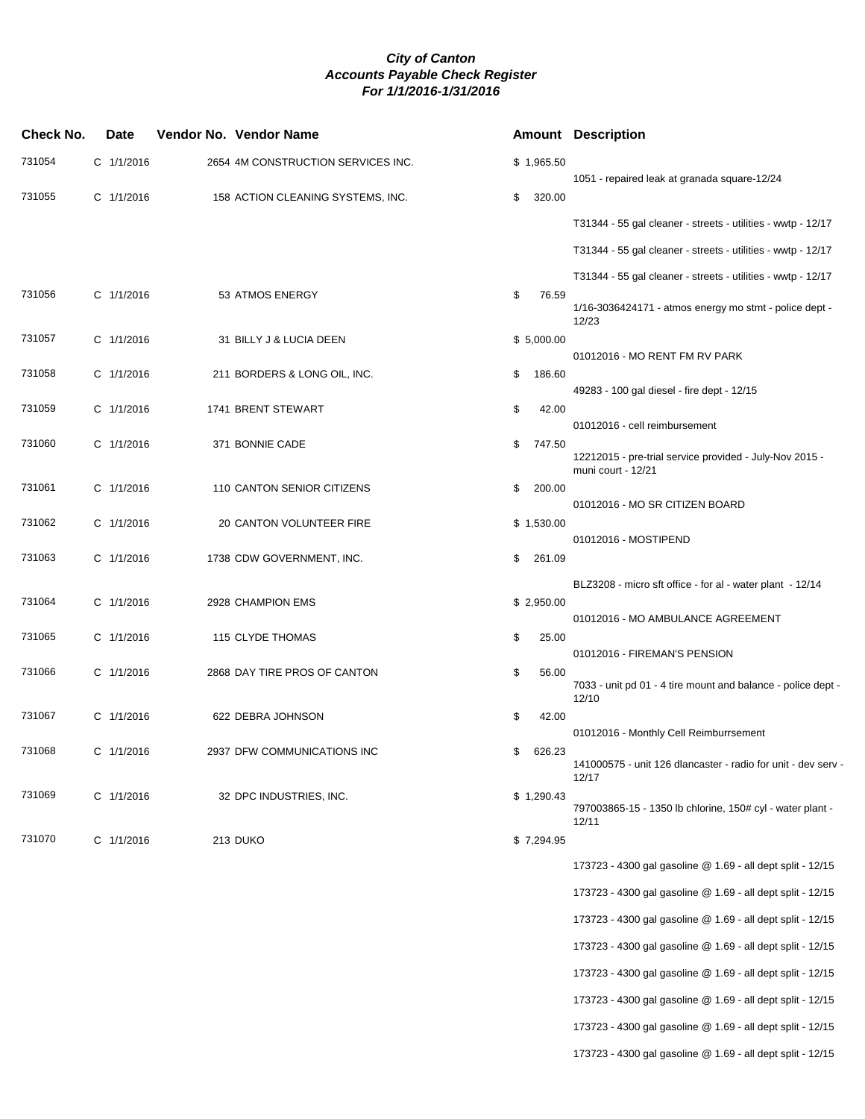| <b>Check No.</b> | Date       | Vendor No. Vendor Name             |              | <b>Amount Description</b>                                                     |
|------------------|------------|------------------------------------|--------------|-------------------------------------------------------------------------------|
| 731054           | C 1/1/2016 | 2654 4M CONSTRUCTION SERVICES INC. | \$1,965.50   |                                                                               |
| 731055           | C 1/1/2016 | 158 ACTION CLEANING SYSTEMS, INC.  | \$<br>320.00 | 1051 - repaired leak at granada square-12/24                                  |
|                  |            |                                    |              | T31344 - 55 gal cleaner - streets - utilities - wwtp - 12/17                  |
|                  |            |                                    |              | T31344 - 55 gal cleaner - streets - utilities - wwtp - 12/17                  |
|                  |            |                                    |              | T31344 - 55 gal cleaner - streets - utilities - wwtp - 12/17                  |
| 731056           | C 1/1/2016 | 53 ATMOS ENERGY                    | \$<br>76.59  | $1/16 - 3036424171 - \text{atmos energy}$ mo stmt - police dept -<br>12/23    |
| 731057           | C 1/1/2016 | 31 BILLY J & LUCIA DEEN            | \$5,000.00   | 01012016 - MO RENT FM RV PARK                                                 |
| 731058           | C 1/1/2016 | 211 BORDERS & LONG OIL, INC.       | \$<br>186.60 |                                                                               |
| 731059           | C 1/1/2016 | 1741 BRENT STEWART                 | \$<br>42.00  | 49283 - 100 gal diesel - fire dept - 12/15                                    |
|                  |            |                                    |              | 01012016 - cell reimbursement                                                 |
| 731060           | C 1/1/2016 | 371 BONNIE CADE                    | \$<br>747.50 | 12212015 - pre-trial service provided - July-Nov 2015 -<br>muni court - 12/21 |
| 731061           | C 1/1/2016 | 110 CANTON SENIOR CITIZENS         | \$<br>200.00 | 01012016 - MO SR CITIZEN BOARD                                                |
| 731062           | C 1/1/2016 | 20 CANTON VOLUNTEER FIRE           | \$1,530.00   |                                                                               |
| 731063           | C 1/1/2016 | 1738 CDW GOVERNMENT, INC.          | \$<br>261.09 | 01012016 - MOSTIPEND                                                          |
|                  |            |                                    |              | BLZ3208 - micro sft office - for al - water plant - 12/14                     |
| 731064           | C 1/1/2016 | 2928 CHAMPION EMS                  | \$2,950.00   |                                                                               |
| 731065           | C 1/1/2016 | 115 CLYDE THOMAS                   | \$<br>25.00  | 01012016 - MO AMBULANCE AGREEMENT                                             |
| 731066           | C 1/1/2016 | 2868 DAY TIRE PROS OF CANTON       | 56.00        | 01012016 - FIREMAN'S PENSION                                                  |
|                  |            |                                    | \$           | 7033 - unit pd 01 - 4 tire mount and balance - police dept -<br>12/10         |
| 731067           | C 1/1/2016 | 622 DEBRA JOHNSON                  | \$<br>42.00  | 01012016 - Monthly Cell Reimburrsement                                        |
| 731068           | C 1/1/2016 | 2937 DFW COMMUNICATIONS INC        | \$<br>626.23 | 141000575 - unit 126 dlancaster - radio for unit - dev serv -                 |
| 731069           |            |                                    |              | 12/17                                                                         |
|                  | C 1/1/2016 | 32 DPC INDUSTRIES, INC.            | \$1,290.43   | 797003865-15 - 1350 lb chlorine, 150# cyl - water plant -<br>12/11            |
| 731070           | C 1/1/2016 | <b>213 DUKO</b>                    | \$7,294.95   |                                                                               |
|                  |            |                                    |              | 173723 - 4300 gal gasoline @ 1.69 - all dept split - 12/15                    |
|                  |            |                                    |              | 173723 - 4300 gal gasoline @ 1.69 - all dept split - 12/15                    |
|                  |            |                                    |              | 173723 - 4300 gal gasoline @ 1.69 - all dept split - 12/15                    |
|                  |            |                                    |              | 173723 - 4300 gal gasoline @ 1.69 - all dept split - 12/15                    |
|                  |            |                                    |              | 173723 - 4300 gal gasoline @ 1.69 - all dept split - 12/15                    |
|                  |            |                                    |              | 173723 - 4300 gal gasoline @ 1.69 - all dept split - 12/15                    |
|                  |            |                                    |              | 173723 - 4300 gal gasoline @ 1.69 - all dept split - 12/15                    |

173723 - 4300 gal gasoline @ 1.69 - all dept split - 12/15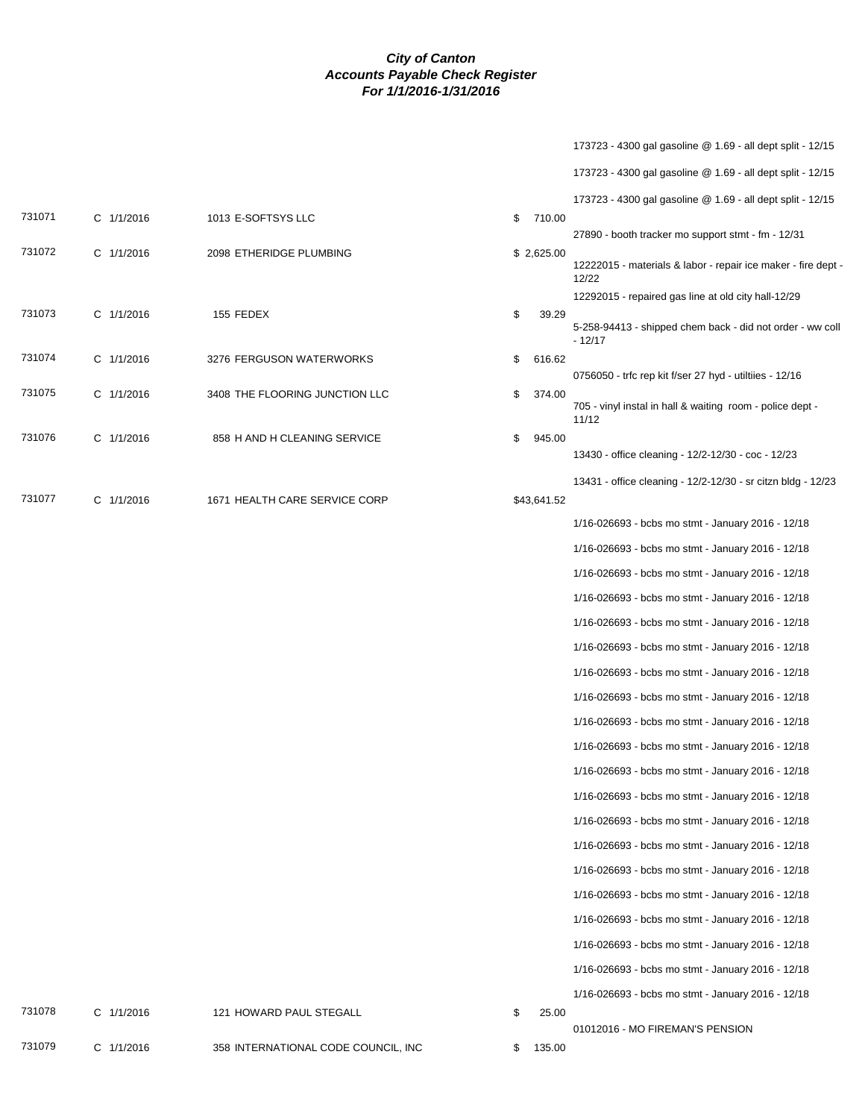|        |            |                                     |              | 173723 - 4300 gal gasoline @ 1.69 - all dept split - 12/15             |
|--------|------------|-------------------------------------|--------------|------------------------------------------------------------------------|
|        |            |                                     |              | 173723 - 4300 gal gasoline @ 1.69 - all dept split - 12/15             |
|        |            |                                     |              | 173723 - 4300 gal gasoline @ 1.69 - all dept split - 12/15             |
| 731071 | C 1/1/2016 | 1013 E-SOFTSYS LLC                  | 710.00<br>\$ | 27890 - booth tracker mo support stmt - fm - 12/31                     |
| 731072 | C 1/1/2016 | 2098 ETHERIDGE PLUMBING             | \$2,625.00   | 12222015 - materials & labor - repair ice maker - fire dept -<br>12/22 |
|        |            |                                     |              | 12292015 - repaired gas line at old city hall-12/29                    |
| 731073 | C 1/1/2016 | 155 FEDEX                           | \$<br>39.29  | 5-258-94413 - shipped chem back - did not order - ww coll<br>$-12/17$  |
| 731074 | C 1/1/2016 | 3276 FERGUSON WATERWORKS            | \$<br>616.62 | 0756050 - trfc rep kit f/ser 27 hyd - utiltiies - 12/16                |
| 731075 | C 1/1/2016 | 3408 THE FLOORING JUNCTION LLC      | \$<br>374.00 |                                                                        |
|        |            |                                     |              | 705 - vinyl instal in hall & waiting room - police dept -<br>11/12     |
| 731076 | C 1/1/2016 | 858 H AND H CLEANING SERVICE        | 945.00<br>\$ | 13430 - office cleaning - 12/2-12/30 - coc - 12/23                     |
|        |            |                                     |              |                                                                        |
| 731077 | C 1/1/2016 | 1671 HEALTH CARE SERVICE CORP       | \$43,641.52  | 13431 - office cleaning - 12/2-12/30 - sr citzn bldg - 12/23           |
|        |            |                                     |              | 1/16-026693 - bcbs mo stmt - January 2016 - 12/18                      |
|        |            |                                     |              | 1/16-026693 - bcbs mo stmt - January 2016 - 12/18                      |
|        |            |                                     |              | 1/16-026693 - bcbs mo stmt - January 2016 - 12/18                      |
|        |            |                                     |              | 1/16-026693 - bcbs mo stmt - January 2016 - 12/18                      |
|        |            |                                     |              | 1/16-026693 - bcbs mo stmt - January 2016 - 12/18                      |
|        |            |                                     |              | 1/16-026693 - bcbs mo stmt - January 2016 - 12/18                      |
|        |            |                                     |              | 1/16-026693 - bcbs mo stmt - January 2016 - 12/18                      |
|        |            |                                     |              | 1/16-026693 - bcbs mo stmt - January 2016 - 12/18                      |
|        |            |                                     |              | 1/16-026693 - bcbs mo stmt - January 2016 - 12/18                      |
|        |            |                                     |              | 1/16-026693 - bcbs mo stmt - January 2016 - 12/18                      |
|        |            |                                     |              | 1/16-026693 - bcbs mo stmt - January 2016 - 12/18                      |
|        |            |                                     |              | 1/16-026693 - bcbs mo stmt - January 2016 - 12/18                      |
|        |            |                                     |              | 1/16-026693 - bcbs mo stmt - January 2016 - 12/18                      |
|        |            |                                     |              | 1/16-026693 - bcbs mo stmt - January 2016 - 12/18                      |
|        |            |                                     |              | 1/16-026693 - bcbs mo stmt - January 2016 - 12/18                      |
|        |            |                                     |              | 1/16-026693 - bcbs mo stmt - January 2016 - 12/18                      |
|        |            |                                     |              | 1/16-026693 - bcbs mo stmt - January 2016 - 12/18                      |
|        |            |                                     |              | 1/16-026693 - bcbs mo stmt - January 2016 - 12/18                      |
|        |            |                                     |              | 1/16-026693 - bcbs mo stmt - January 2016 - 12/18                      |
|        |            |                                     |              | 1/16-026693 - bcbs mo stmt - January 2016 - 12/18                      |
| 731078 | C 1/1/2016 | 121 HOWARD PAUL STEGALL             | \$<br>25.00  | 01012016 - MO FIREMAN'S PENSION                                        |
| 731079 | C 1/1/2016 | 358 INTERNATIONAL CODE COUNCIL, INC | 135.00<br>\$ |                                                                        |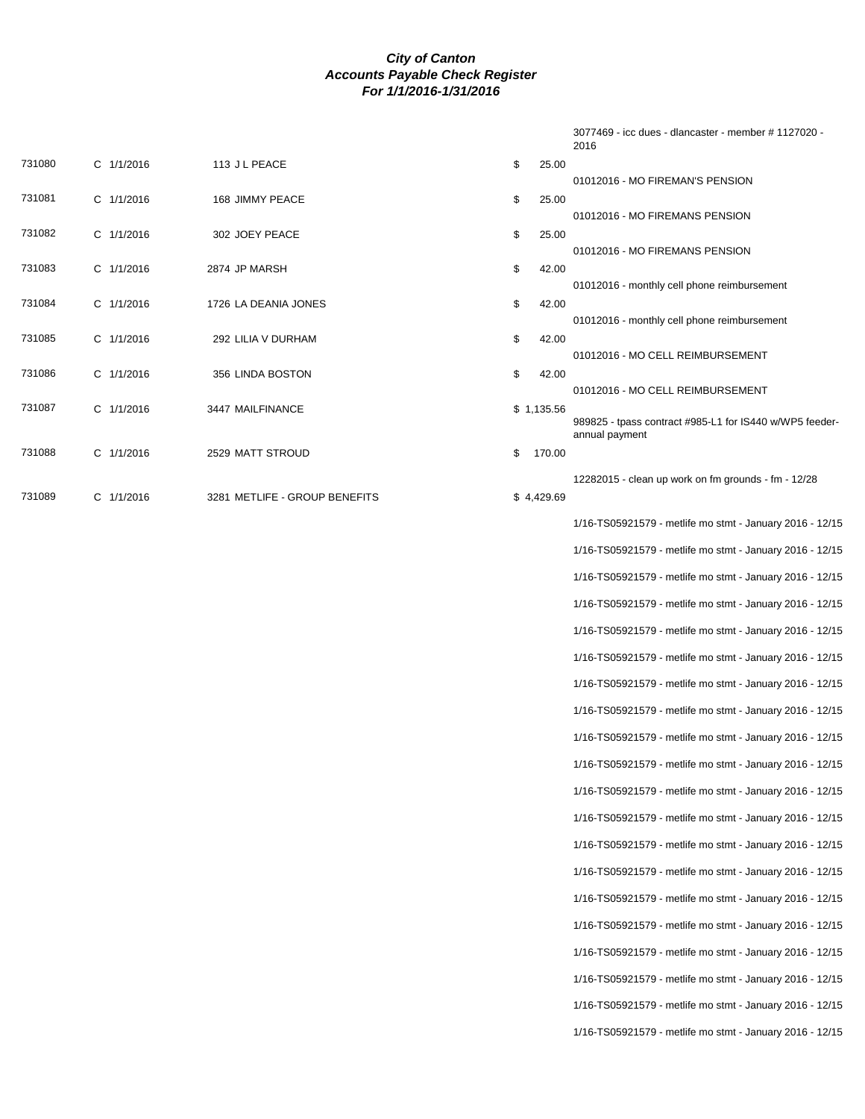|        |            |                               |              | 3077469 - icc dues - dlancaster - member # 1127020 -<br>2016              |
|--------|------------|-------------------------------|--------------|---------------------------------------------------------------------------|
| 731080 | C 1/1/2016 | 113 J L PEACE                 | \$<br>25.00  |                                                                           |
| 731081 | C 1/1/2016 | 168 JIMMY PEACE               | \$<br>25.00  | 01012016 - MO FIREMAN'S PENSION                                           |
|        |            |                               |              | 01012016 - MO FIREMANS PENSION                                            |
| 731082 | C 1/1/2016 | 302 JOEY PEACE                | \$<br>25.00  | 01012016 - MO FIREMANS PENSION                                            |
| 731083 | C 1/1/2016 | 2874 JP MARSH                 | \$<br>42.00  |                                                                           |
| 731084 | C 1/1/2016 | 1726 LA DEANIA JONES          | \$<br>42.00  | 01012016 - monthly cell phone reimbursement                               |
|        |            |                               |              | 01012016 - monthly cell phone reimbursement                               |
| 731085 | C 1/1/2016 | 292 LILIA V DURHAM            | \$<br>42.00  | 01012016 - MO CELL REIMBURSEMENT                                          |
| 731086 | C 1/1/2016 | 356 LINDA BOSTON              | \$<br>42.00  |                                                                           |
| 731087 | C 1/1/2016 |                               | \$1,135.56   | 01012016 - MO CELL REIMBURSEMENT                                          |
|        |            | 3447 MAILFINANCE              |              | 989825 - tpass contract #985-L1 for IS440 w/WP5 feeder-<br>annual payment |
| 731088 | C 1/1/2016 | 2529 MATT STROUD              | \$<br>170.00 |                                                                           |
| 731089 |            |                               |              | 12282015 - clean up work on fm grounds - fm - 12/28                       |
|        | C 1/1/2016 | 3281 METLIFE - GROUP BENEFITS | \$4,429.69   |                                                                           |
|        |            |                               |              | 1/16-TS05921579 - metlife mo stmt - January 2016 - 12/15                  |
|        |            |                               |              | 1/16-TS05921579 - metlife mo stmt - January 2016 - 12/15                  |
|        |            |                               |              | 1/16-TS05921579 - metlife mo stmt - January 2016 - 12/15                  |
|        |            |                               |              | 1/16-TS05921579 - metlife mo stmt - January 2016 - 12/15                  |
|        |            |                               |              | 1/16-TS05921579 - metlife mo stmt - January 2016 - 12/15                  |
|        |            |                               |              | 1/16-TS05921579 - metlife mo stmt - January 2016 - 12/15                  |
|        |            |                               |              | 1/16-TS05921579 - metlife mo stmt - January 2016 - 12/15                  |
|        |            |                               |              | 1/16-TS05921579 - metlife mo stmt - January 2016 - 12/15                  |
|        |            |                               |              | 1/16-TS05921579 - metlife mo stmt - January 2016 - 12/15                  |
|        |            |                               |              | 1/16-TS05921579 - metlife mo stmt - January 2016 - 12/15                  |
|        |            |                               |              | 1/16-TS05921579 - metlife mo stmt - January 2016 - 12/15                  |
|        |            |                               |              | 1/16-TS05921579 - metlife mo stmt - January 2016 - 12/15                  |
|        |            |                               |              | 1/16-TS05921579 - metlife mo stmt - January 2016 - 12/15                  |
|        |            |                               |              | 1/16-TS05921579 - metlife mo stmt - January 2016 - 12/15                  |
|        |            |                               |              | 1/16-TS05921579 - metlife mo stmt - January 2016 - 12/15                  |
|        |            |                               |              | 1/16-TS05921579 - metlife mo stmt - January 2016 - 12/15                  |
|        |            |                               |              | 1/16-TS05921579 - metlife mo stmt - January 2016 - 12/15                  |
|        |            |                               |              |                                                                           |

1/16-TS05921579 - metlife mo stmt - January 2016 - 12/15 1/16-TS05921579 - metlife mo stmt - January 2016 - 12/15

1/16-TS05921579 - metlife mo stmt - January 2016 - 12/15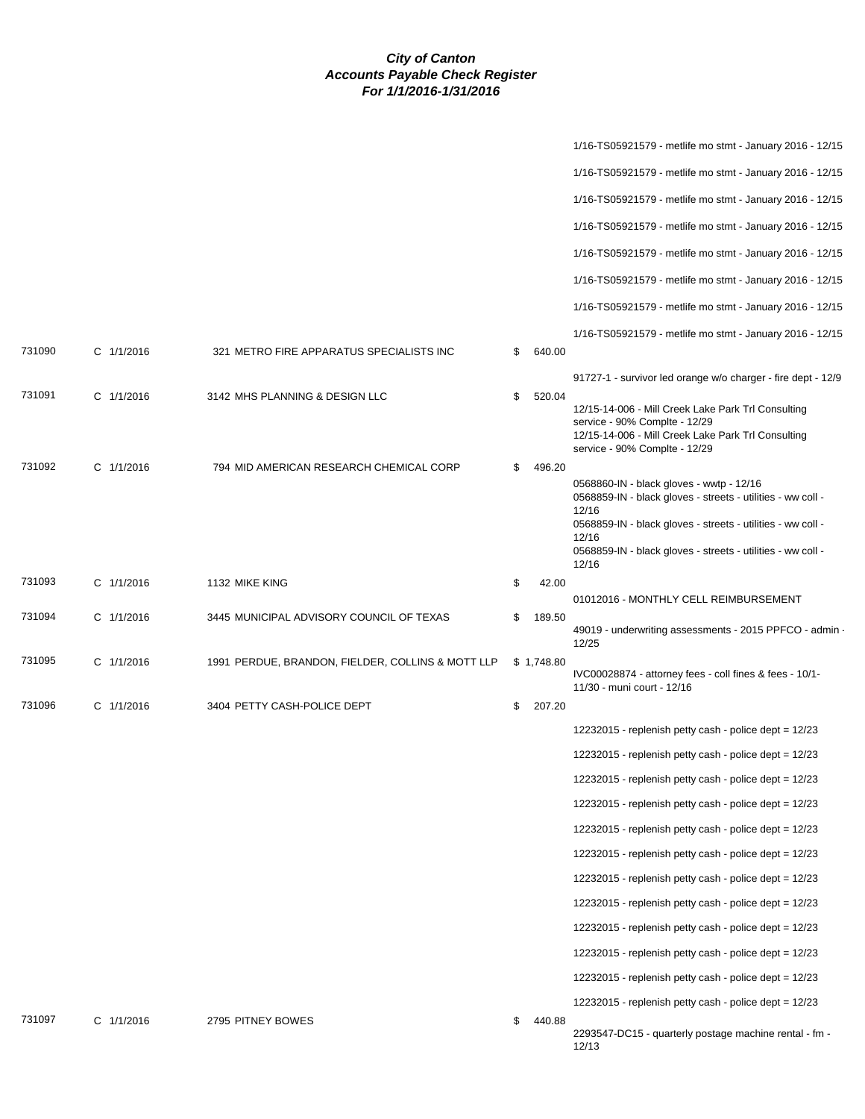|        |              |                                                   |              | 1/16-TS05921579 - metlife mo stmt - January 2016 - 12/15                                                                                                                   |
|--------|--------------|---------------------------------------------------|--------------|----------------------------------------------------------------------------------------------------------------------------------------------------------------------------|
|        |              |                                                   |              | 1/16-TS05921579 - metlife mo stmt - January 2016 - 12/15                                                                                                                   |
|        |              |                                                   |              | 1/16-TS05921579 - metlife mo stmt - January 2016 - 12/15                                                                                                                   |
|        |              |                                                   |              | 1/16-TS05921579 - metlife mo stmt - January 2016 - 12/15                                                                                                                   |
|        |              |                                                   |              | 1/16-TS05921579 - metlife mo stmt - January 2016 - 12/15                                                                                                                   |
|        |              |                                                   |              | 1/16-TS05921579 - metlife mo stmt - January 2016 - 12/15                                                                                                                   |
|        |              |                                                   |              | 1/16-TS05921579 - metlife mo stmt - January 2016 - 12/15                                                                                                                   |
|        |              |                                                   |              | 1/16-TS05921579 - metlife mo stmt - January 2016 - 12/15                                                                                                                   |
| 731090 | $C$ 1/1/2016 | 321 METRO FIRE APPARATUS SPECIALISTS INC          | \$<br>640.00 |                                                                                                                                                                            |
|        |              |                                                   |              | 91727-1 - survivor led orange w/o charger - fire dept - 12/9                                                                                                               |
| 731091 | C 1/1/2016   | 3142 MHS PLANNING & DESIGN LLC                    | \$<br>520.04 | 12/15-14-006 - Mill Creek Lake Park Trl Consulting<br>service - 90% Complte - 12/29<br>12/15-14-006 - Mill Creek Lake Park Trl Consulting<br>service - 90% Complte - 12/29 |
| 731092 | C 1/1/2016   | 794 MID AMERICAN RESEARCH CHEMICAL CORP           | \$<br>496.20 |                                                                                                                                                                            |
|        |              |                                                   |              | 0568860-IN - black gloves - wwtp - 12/16<br>0568859-IN - black gloves - streets - utilities - ww coll -                                                                    |
|        |              |                                                   |              | 12/16<br>0568859-IN - black gloves - streets - utilities - ww coll -                                                                                                       |
|        |              |                                                   |              | 12/16<br>0568859-IN - black gloves - streets - utilities - ww coll -<br>12/16                                                                                              |
| 731093 | C 1/1/2016   | 1132 MIKE KING                                    | \$<br>42.00  | 01012016 - MONTHLY CELL REIMBURSEMENT                                                                                                                                      |
| 731094 | C 1/1/2016   | 3445 MUNICIPAL ADVISORY COUNCIL OF TEXAS          | \$<br>189.50 |                                                                                                                                                                            |
|        |              |                                                   |              | 49019 - underwriting assessments - 2015 PPFCO - admin -<br>12/25                                                                                                           |
| 731095 | C 1/1/2016   | 1991 PERDUE, BRANDON, FIELDER, COLLINS & MOTT LLP | \$1,748.80   | IVC00028874 - attorney fees - coll fines & fees - 10/1-                                                                                                                    |
|        |              |                                                   |              | 11/30 - muni court - 12/16                                                                                                                                                 |
| 731096 | C 1/1/2016   | 3404 PETTY CASH-POLICE DEPT                       | \$<br>207.20 |                                                                                                                                                                            |
|        |              |                                                   |              | 12232015 - replenish petty cash - police dept = 12/23                                                                                                                      |
|        |              |                                                   |              | 12232015 - replenish petty cash - police dept = 12/23                                                                                                                      |
|        |              |                                                   |              | 12232015 - replenish petty cash - police dept = 12/23                                                                                                                      |
|        |              |                                                   |              | 12232015 - replenish petty cash - police dept = 12/23                                                                                                                      |
|        |              |                                                   |              | 12232015 - replenish petty cash - police dept = $12/23$                                                                                                                    |
|        |              |                                                   |              | 12232015 - replenish petty cash - police dept = 12/23                                                                                                                      |
|        |              |                                                   |              | 12232015 - replenish petty cash - police dept = 12/23                                                                                                                      |
|        |              |                                                   |              | 12232015 - replenish petty cash - police dept = $12/23$                                                                                                                    |
|        |              |                                                   |              | 12232015 - replenish petty cash - police dept $= 12/23$                                                                                                                    |
|        |              |                                                   |              | 12232015 - replenish petty cash - police dept = 12/23                                                                                                                      |
|        |              |                                                   |              | 12232015 - replenish petty cash - police dept = 12/23                                                                                                                      |
| 731097 | C 1/1/2016   | 2795 PITNEY BOWES                                 | \$<br>440.88 | 12232015 - replenish petty cash - police dept = $12/23$                                                                                                                    |
|        |              |                                                   |              | 2293547-DC15 - quarterly postage machine rental - fm -<br>12/13                                                                                                            |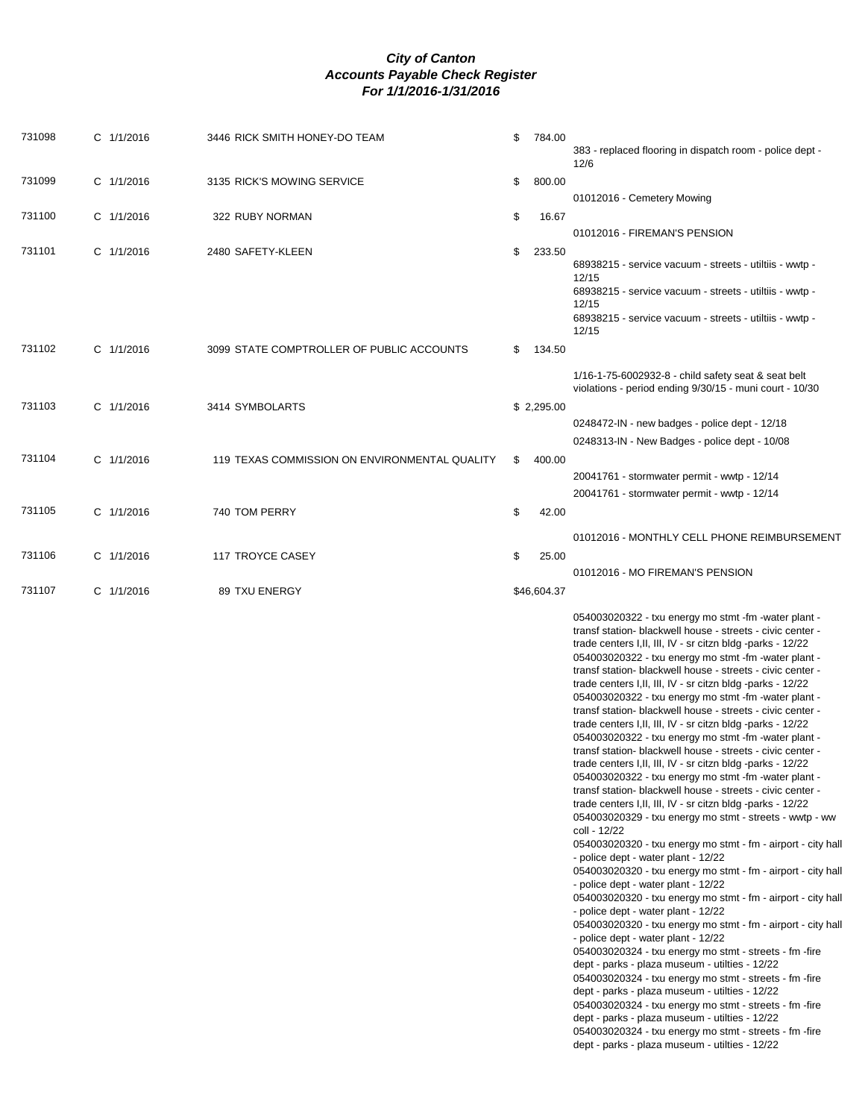| 731098 | C 1/1/2016 | 3446 RICK SMITH HONEY-DO TEAM                 | \$<br>784.00 | 383 - replaced flooring in dispatch room - police dept -<br>12/6                                                                                                                                                                                                                                                                                                                                                                                                                                                                                                                                                                                                                                                                                                                                                                                                                                                                                                                                                                                                                                                                                                                                                                                                                                                                                                                                                                                                                                                                                                                                                                                                                                                                                                                                                                                                                            |
|--------|------------|-----------------------------------------------|--------------|---------------------------------------------------------------------------------------------------------------------------------------------------------------------------------------------------------------------------------------------------------------------------------------------------------------------------------------------------------------------------------------------------------------------------------------------------------------------------------------------------------------------------------------------------------------------------------------------------------------------------------------------------------------------------------------------------------------------------------------------------------------------------------------------------------------------------------------------------------------------------------------------------------------------------------------------------------------------------------------------------------------------------------------------------------------------------------------------------------------------------------------------------------------------------------------------------------------------------------------------------------------------------------------------------------------------------------------------------------------------------------------------------------------------------------------------------------------------------------------------------------------------------------------------------------------------------------------------------------------------------------------------------------------------------------------------------------------------------------------------------------------------------------------------------------------------------------------------------------------------------------------------|
| 731099 | C 1/1/2016 | 3135 RICK'S MOWING SERVICE                    | \$<br>800.00 |                                                                                                                                                                                                                                                                                                                                                                                                                                                                                                                                                                                                                                                                                                                                                                                                                                                                                                                                                                                                                                                                                                                                                                                                                                                                                                                                                                                                                                                                                                                                                                                                                                                                                                                                                                                                                                                                                             |
| 731100 | C 1/1/2016 | 322 RUBY NORMAN                               | \$<br>16.67  | 01012016 - Cemetery Mowing                                                                                                                                                                                                                                                                                                                                                                                                                                                                                                                                                                                                                                                                                                                                                                                                                                                                                                                                                                                                                                                                                                                                                                                                                                                                                                                                                                                                                                                                                                                                                                                                                                                                                                                                                                                                                                                                  |
|        |            |                                               |              | 01012016 - FIREMAN'S PENSION                                                                                                                                                                                                                                                                                                                                                                                                                                                                                                                                                                                                                                                                                                                                                                                                                                                                                                                                                                                                                                                                                                                                                                                                                                                                                                                                                                                                                                                                                                                                                                                                                                                                                                                                                                                                                                                                |
| 731101 | C 1/1/2016 | 2480 SAFETY-KLEEN                             | \$<br>233.50 | 68938215 - service vacuum - streets - utiltiis - wwtp -<br>12/15<br>68938215 - service vacuum - streets - utiltiis - wwtp -<br>12/15<br>68938215 - service vacuum - streets - utiltiis - wwtp -<br>12/15                                                                                                                                                                                                                                                                                                                                                                                                                                                                                                                                                                                                                                                                                                                                                                                                                                                                                                                                                                                                                                                                                                                                                                                                                                                                                                                                                                                                                                                                                                                                                                                                                                                                                    |
| 731102 | C 1/1/2016 | 3099 STATE COMPTROLLER OF PUBLIC ACCOUNTS     | \$<br>134.50 |                                                                                                                                                                                                                                                                                                                                                                                                                                                                                                                                                                                                                                                                                                                                                                                                                                                                                                                                                                                                                                                                                                                                                                                                                                                                                                                                                                                                                                                                                                                                                                                                                                                                                                                                                                                                                                                                                             |
|        |            |                                               |              | $1/16 - 1 - 75 - 6002932 - 8 -$ child safety seat & seat belt<br>violations - period ending 9/30/15 - muni court - 10/30                                                                                                                                                                                                                                                                                                                                                                                                                                                                                                                                                                                                                                                                                                                                                                                                                                                                                                                                                                                                                                                                                                                                                                                                                                                                                                                                                                                                                                                                                                                                                                                                                                                                                                                                                                    |
| 731103 | C 1/1/2016 | 3414 SYMBOLARTS                               | \$2,295.00   |                                                                                                                                                                                                                                                                                                                                                                                                                                                                                                                                                                                                                                                                                                                                                                                                                                                                                                                                                                                                                                                                                                                                                                                                                                                                                                                                                                                                                                                                                                                                                                                                                                                                                                                                                                                                                                                                                             |
|        |            |                                               |              | 0248472-IN - new badges - police dept - 12/18<br>0248313-IN - New Badges - police dept - 10/08                                                                                                                                                                                                                                                                                                                                                                                                                                                                                                                                                                                                                                                                                                                                                                                                                                                                                                                                                                                                                                                                                                                                                                                                                                                                                                                                                                                                                                                                                                                                                                                                                                                                                                                                                                                              |
| 731104 | C 1/1/2016 | 119 TEXAS COMMISSION ON ENVIRONMENTAL QUALITY | \$<br>400.00 |                                                                                                                                                                                                                                                                                                                                                                                                                                                                                                                                                                                                                                                                                                                                                                                                                                                                                                                                                                                                                                                                                                                                                                                                                                                                                                                                                                                                                                                                                                                                                                                                                                                                                                                                                                                                                                                                                             |
|        |            |                                               |              | 20041761 - stormwater permit - wwtp - 12/14                                                                                                                                                                                                                                                                                                                                                                                                                                                                                                                                                                                                                                                                                                                                                                                                                                                                                                                                                                                                                                                                                                                                                                                                                                                                                                                                                                                                                                                                                                                                                                                                                                                                                                                                                                                                                                                 |
|        |            |                                               |              | 20041761 - stormwater permit - wwtp - 12/14                                                                                                                                                                                                                                                                                                                                                                                                                                                                                                                                                                                                                                                                                                                                                                                                                                                                                                                                                                                                                                                                                                                                                                                                                                                                                                                                                                                                                                                                                                                                                                                                                                                                                                                                                                                                                                                 |
| 731105 | C 1/1/2016 | 740 TOM PERRY                                 | \$<br>42.00  |                                                                                                                                                                                                                                                                                                                                                                                                                                                                                                                                                                                                                                                                                                                                                                                                                                                                                                                                                                                                                                                                                                                                                                                                                                                                                                                                                                                                                                                                                                                                                                                                                                                                                                                                                                                                                                                                                             |
|        |            |                                               |              | 01012016 - MONTHLY CELL PHONE REIMBURSEMENT                                                                                                                                                                                                                                                                                                                                                                                                                                                                                                                                                                                                                                                                                                                                                                                                                                                                                                                                                                                                                                                                                                                                                                                                                                                                                                                                                                                                                                                                                                                                                                                                                                                                                                                                                                                                                                                 |
| 731106 | C 1/1/2016 | 117 TROYCE CASEY                              | \$<br>25.00  |                                                                                                                                                                                                                                                                                                                                                                                                                                                                                                                                                                                                                                                                                                                                                                                                                                                                                                                                                                                                                                                                                                                                                                                                                                                                                                                                                                                                                                                                                                                                                                                                                                                                                                                                                                                                                                                                                             |
|        |            |                                               |              | 01012016 - MO FIREMAN'S PENSION                                                                                                                                                                                                                                                                                                                                                                                                                                                                                                                                                                                                                                                                                                                                                                                                                                                                                                                                                                                                                                                                                                                                                                                                                                                                                                                                                                                                                                                                                                                                                                                                                                                                                                                                                                                                                                                             |
| 731107 | C 1/1/2016 | 89 TXU ENERGY                                 | \$46,604.37  |                                                                                                                                                                                                                                                                                                                                                                                                                                                                                                                                                                                                                                                                                                                                                                                                                                                                                                                                                                                                                                                                                                                                                                                                                                                                                                                                                                                                                                                                                                                                                                                                                                                                                                                                                                                                                                                                                             |
|        |            |                                               |              | 054003020322 - txu energy mo stmt -fm -water plant -<br>transf station- blackwell house - streets - civic center -<br>trade centers I, II, III, IV - sr citzn bldg -parks - 12/22<br>054003020322 - txu energy mo stmt -fm -water plant -<br>transf station- blackwell house - streets - civic center -<br>trade centers I,II, III, IV - sr citzn bldg -parks - 12/22<br>054003020322 - txu energy mo stmt -fm -water plant -<br>transf station- blackwell house - streets - civic center -<br>trade centers I, II, III, IV - sr citzn bldg -parks - 12/22<br>054003020322 - txu energy mo stmt -fm -water plant -<br>transf station- blackwell house - streets - civic center -<br>trade centers I, II, III, IV - sr citzn bldg -parks - 12/22<br>054003020322 - txu energy mo stmt -fm -water plant -<br>transf station- blackwell house - streets - civic center -<br>trade centers I, II, III, IV - sr citzn bldg -parks - 12/22<br>054003020329 - txu energy mo stmt - streets - wwtp - ww<br>coll - 12/22<br>054003020320 - txu energy mo stmt - fm - airport - city hall<br>- police dept - water plant - 12/22<br>054003020320 - txu energy mo stmt - fm - airport - city hall<br>- police dept - water plant - 12/22<br>054003020320 - txu energy mo stmt - fm - airport - city hall<br>- police dept - water plant - 12/22<br>054003020320 - txu energy mo stmt - fm - airport - city hall<br>- police dept - water plant - 12/22<br>054003020324 - txu energy mo stmt - streets - fm -fire<br>dept - parks - plaza museum - utilties - 12/22<br>054003020324 - txu energy mo stmt - streets - fm -fire<br>dept - parks - plaza museum - utilties - 12/22<br>054003020324 - txu energy mo stmt - streets - fm -fire<br>dept - parks - plaza museum - utilties - 12/22<br>054003020324 - txu energy mo stmt - streets - fm -fire<br>dept - parks - plaza museum - utilties - 12/22 |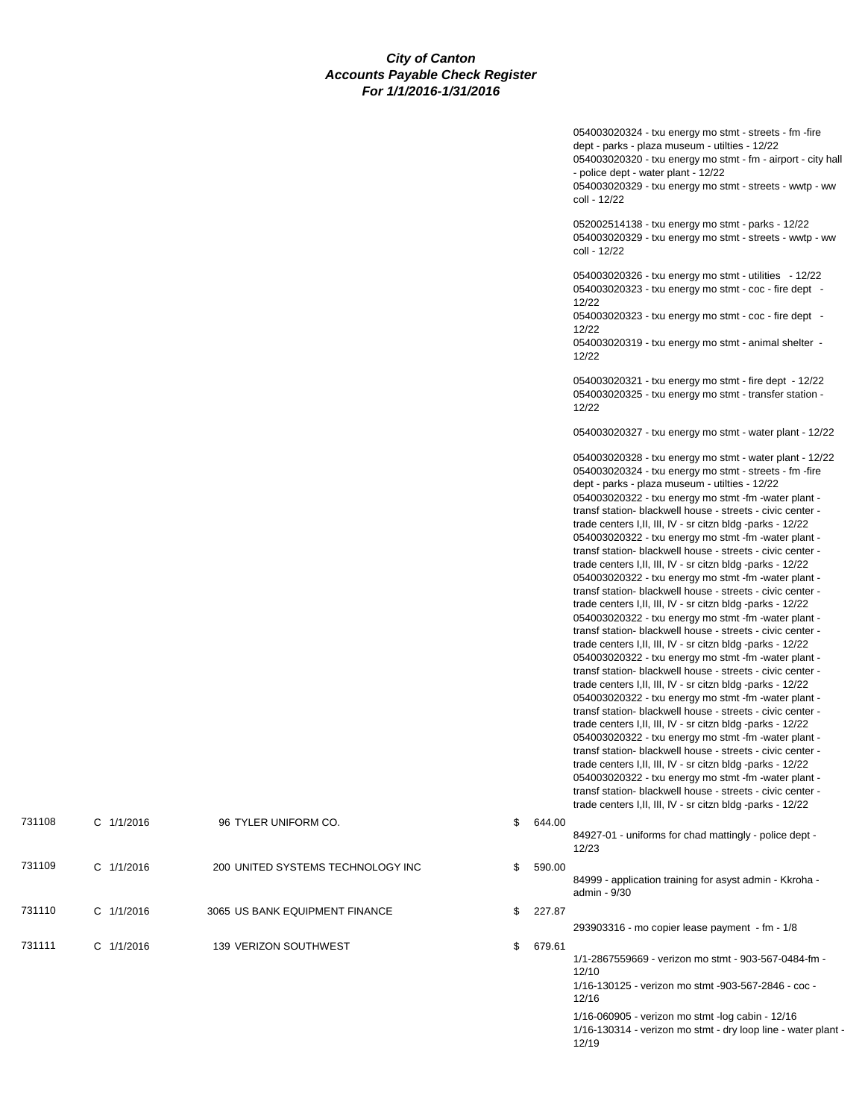|                       |              | 054003020324 - txu energy mo stmt - streets - fm -fire<br>dept - parks - plaza museum - utilties - 12/22<br>054003020320 - txu energy mo stmt - fm - airport - city hall<br>- police dept - water plant - 12/22<br>054003020329 - txu energy mo stmt - streets - wwtp - ww<br>coll - 12/22                                                                                                                                                                                                                                                                                                                                                                                                                                                                                                                                                                                                                                                                                                                                                                                                                                                                                                                                                                                                                                                                                                                                                                                                                                                                                                                 |
|-----------------------|--------------|------------------------------------------------------------------------------------------------------------------------------------------------------------------------------------------------------------------------------------------------------------------------------------------------------------------------------------------------------------------------------------------------------------------------------------------------------------------------------------------------------------------------------------------------------------------------------------------------------------------------------------------------------------------------------------------------------------------------------------------------------------------------------------------------------------------------------------------------------------------------------------------------------------------------------------------------------------------------------------------------------------------------------------------------------------------------------------------------------------------------------------------------------------------------------------------------------------------------------------------------------------------------------------------------------------------------------------------------------------------------------------------------------------------------------------------------------------------------------------------------------------------------------------------------------------------------------------------------------------|
|                       |              | 052002514138 - txu energy mo stmt - parks - 12/22<br>054003020329 - txu energy mo stmt - streets - wwtp - ww<br>coll - 12/22                                                                                                                                                                                                                                                                                                                                                                                                                                                                                                                                                                                                                                                                                                                                                                                                                                                                                                                                                                                                                                                                                                                                                                                                                                                                                                                                                                                                                                                                               |
|                       |              | 054003020326 - txu energy mo stmt - utilities - 12/22<br>054003020323 - txu energy mo stmt - coc - fire dept -<br>12/22                                                                                                                                                                                                                                                                                                                                                                                                                                                                                                                                                                                                                                                                                                                                                                                                                                                                                                                                                                                                                                                                                                                                                                                                                                                                                                                                                                                                                                                                                    |
|                       |              | 054003020323 - txu energy mo stmt - coc - fire dept -<br>12/22<br>054003020319 - txu energy mo stmt - animal shelter -<br>12/22                                                                                                                                                                                                                                                                                                                                                                                                                                                                                                                                                                                                                                                                                                                                                                                                                                                                                                                                                                                                                                                                                                                                                                                                                                                                                                                                                                                                                                                                            |
|                       |              | 054003020321 - txu energy mo stmt - fire dept - 12/22<br>054003020325 - txu energy mo stmt - transfer station -<br>12/22                                                                                                                                                                                                                                                                                                                                                                                                                                                                                                                                                                                                                                                                                                                                                                                                                                                                                                                                                                                                                                                                                                                                                                                                                                                                                                                                                                                                                                                                                   |
|                       |              | 054003020327 - txu energy mo stmt - water plant - 12/22                                                                                                                                                                                                                                                                                                                                                                                                                                                                                                                                                                                                                                                                                                                                                                                                                                                                                                                                                                                                                                                                                                                                                                                                                                                                                                                                                                                                                                                                                                                                                    |
|                       |              | 054003020328 - txu energy mo stmt - water plant - 12/22<br>054003020324 - txu energy mo stmt - streets - fm -fire<br>dept - parks - plaza museum - utilties - 12/22<br>054003020322 - txu energy mo stmt -fm -water plant -<br>transf station- blackwell house - streets - civic center -<br>trade centers I, II, III, IV - sr citzn bldg -parks - 12/22<br>054003020322 - txu energy mo stmt -fm -water plant -<br>transf station- blackwell house - streets - civic center -<br>trade centers I, II, III, IV - sr citzn bldg -parks - 12/22<br>054003020322 - txu energy mo stmt -fm -water plant -<br>transf station- blackwell house - streets - civic center -<br>trade centers I, II, III, IV - sr citzn bldg -parks - 12/22<br>054003020322 - txu energy mo stmt -fm -water plant -<br>transf station- blackwell house - streets - civic center -<br>trade centers I,II, III, IV - sr citzn bldg -parks - 12/22<br>054003020322 - txu energy mo stmt -fm -water plant -<br>transf station- blackwell house - streets - civic center -<br>trade centers I, II, III, IV - sr citzn bldg -parks - 12/22<br>054003020322 - txu energy mo stmt -fm -water plant -<br>transf station- blackwell house - streets - civic center -<br>trade centers I,II, III, IV - sr citzn bldg -parks - 12/22<br>054003020322 - txu energy mo stmt -fm -water plant -<br>transf station- blackwell house - streets - civic center -<br>trade centers I, II, III, IV - sr citzn bldg -parks - 12/22<br>054003020322 - txu energy mo stmt -fm -water plant -<br>transf station- blackwell house - streets - civic center - |
| CO.                   | \$<br>644.00 | trade centers I, II, III, IV - sr citzn bldg -parks - 12/22                                                                                                                                                                                                                                                                                                                                                                                                                                                                                                                                                                                                                                                                                                                                                                                                                                                                                                                                                                                                                                                                                                                                                                                                                                                                                                                                                                                                                                                                                                                                                |
|                       |              | 84927-01 - uniforms for chad mattingly - police dept -<br>12/23                                                                                                                                                                                                                                                                                                                                                                                                                                                                                                                                                                                                                                                                                                                                                                                                                                                                                                                                                                                                                                                                                                                                                                                                                                                                                                                                                                                                                                                                                                                                            |
| <b>TECHNOLOGY INC</b> | \$<br>590.00 | 84999 - application training for asyst admin - Kkroha -<br>admin - 9/30                                                                                                                                                                                                                                                                                                                                                                                                                                                                                                                                                                                                                                                                                                                                                                                                                                                                                                                                                                                                                                                                                                                                                                                                                                                                                                                                                                                                                                                                                                                                    |
| ENT FINANCE           | \$<br>227.87 | 293903316 - mo copier lease payment - fm - 1/8                                                                                                                                                                                                                                                                                                                                                                                                                                                                                                                                                                                                                                                                                                                                                                                                                                                                                                                                                                                                                                                                                                                                                                                                                                                                                                                                                                                                                                                                                                                                                             |
| /EST                  | \$<br>679.61 | 1/1-2867559669 - verizon mo stmt - 903-567-0484-fm -<br>12/10                                                                                                                                                                                                                                                                                                                                                                                                                                                                                                                                                                                                                                                                                                                                                                                                                                                                                                                                                                                                                                                                                                                                                                                                                                                                                                                                                                                                                                                                                                                                              |
|                       |              | 1/16-130125 - verizon mo stmt -903-567-2846 - coc -<br>12/16                                                                                                                                                                                                                                                                                                                                                                                                                                                                                                                                                                                                                                                                                                                                                                                                                                                                                                                                                                                                                                                                                                                                                                                                                                                                                                                                                                                                                                                                                                                                               |
|                       |              | 1/16-060905 - verizon mo stmt - log cabin - 12/16<br>1/16-130314 - verizon mo stmt - dry loop line - water plant -<br>12/19                                                                                                                                                                                                                                                                                                                                                                                                                                                                                                                                                                                                                                                                                                                                                                                                                                                                                                                                                                                                                                                                                                                                                                                                                                                                                                                                                                                                                                                                                |

| 731108 | $C$ 1/1/2016   | 96 TYLER UNIFORM CO.              | \$ | 644.00 |
|--------|----------------|-----------------------------------|----|--------|
| 731109 | $C$ 1/1/2016   | 200 UNITED SYSTEMS TECHNOLOGY INC | S  | 590.00 |
| 731110 | $C$ $1/1/2016$ | 3065 US BANK EQUIPMENT FINANCE    | S  | 227.87 |
| 731111 | $C$ 1/1/2016   | 139 VERIZON SOUTHWEST             | \$ | 679.61 |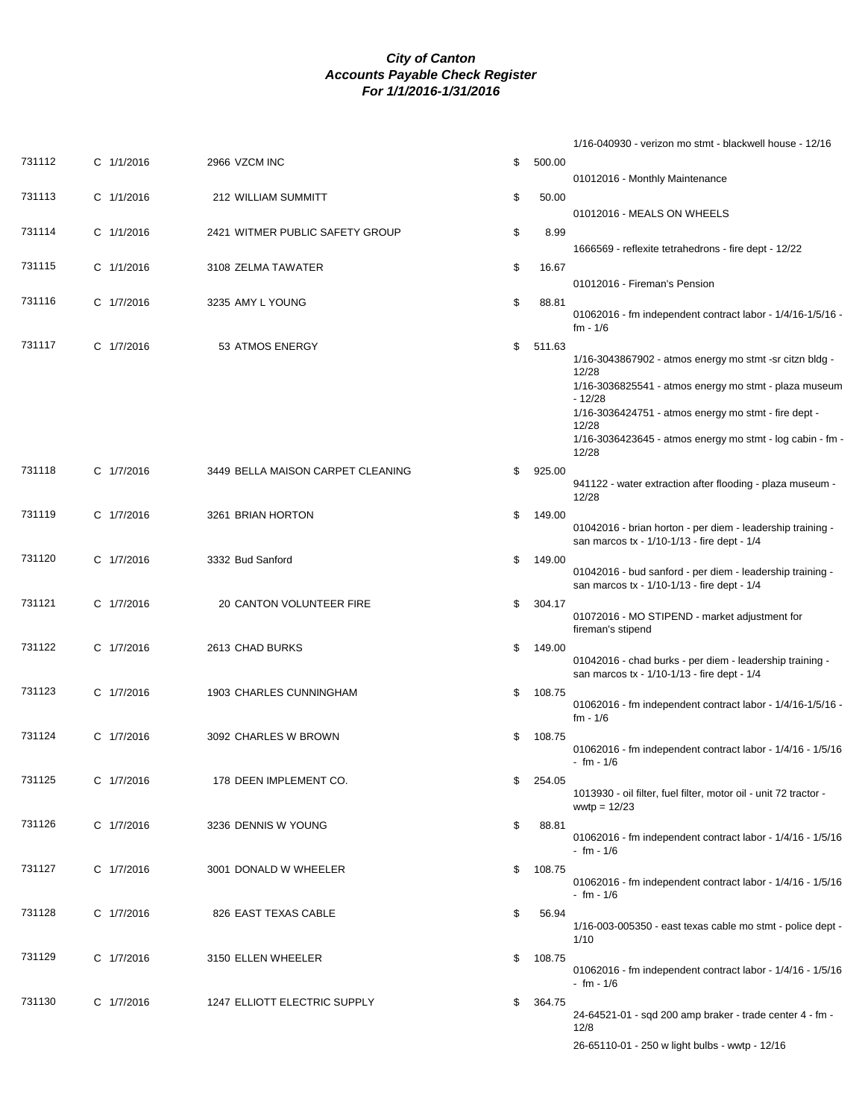|        |            |                                   |              | 1/16-040930 - verizon mo stmt - blackwell house - 12/16                                                                                                                                                                                                                                    |
|--------|------------|-----------------------------------|--------------|--------------------------------------------------------------------------------------------------------------------------------------------------------------------------------------------------------------------------------------------------------------------------------------------|
| 731112 | C 1/1/2016 | 2966 VZCM INC                     | \$<br>500.00 |                                                                                                                                                                                                                                                                                            |
| 731113 | C 1/1/2016 | 212 WILLIAM SUMMITT               | 50.00<br>\$  | 01012016 - Monthly Maintenance                                                                                                                                                                                                                                                             |
| 731114 | C 1/1/2016 | 2421 WITMER PUBLIC SAFETY GROUP   | \$<br>8.99   | 01012016 - MEALS ON WHEELS                                                                                                                                                                                                                                                                 |
|        |            |                                   |              | 1666569 - reflexite tetrahedrons - fire dept - 12/22                                                                                                                                                                                                                                       |
| 731115 | C 1/1/2016 | 3108 ZELMA TAWATER                | \$<br>16.67  | 01012016 - Fireman's Pension                                                                                                                                                                                                                                                               |
| 731116 | C 1/7/2016 | 3235 AMY L YOUNG                  | \$<br>88.81  | 01062016 - fm independent contract labor - 1/4/16-1/5/16 -<br>fm - 1/6                                                                                                                                                                                                                     |
| 731117 | C 1/7/2016 | 53 ATMOS ENERGY                   | \$<br>511.63 | $1/16 - 3043867902 -$ atmos energy mo stmt -sr citzn bldg -<br>12/28<br>1/16-3036825541 - atmos energy mo stmt - plaza museum<br>$-12/28$<br>$1/16 - 3036424751 -$ atmos energy mo stmt - fire dept -<br>12/28<br>$1/16 - 3036423645 - 3$ atmos energy mo stmt - log cabin - fm -<br>12/28 |
| 731118 | C 1/7/2016 | 3449 BELLA MAISON CARPET CLEANING | \$<br>925.00 | 941122 - water extraction after flooding - plaza museum -<br>12/28                                                                                                                                                                                                                         |
| 731119 | C 1/7/2016 | 3261 BRIAN HORTON                 | \$<br>149.00 | 01042016 - brian horton - per diem - leadership training -<br>san marcos tx - 1/10-1/13 - fire dept - 1/4                                                                                                                                                                                  |
| 731120 | C 1/7/2016 | 3332 Bud Sanford                  | \$<br>149.00 | 01042016 - bud sanford - per diem - leadership training -<br>san marcos tx - 1/10-1/13 - fire dept - 1/4                                                                                                                                                                                   |
| 731121 | C 1/7/2016 | 20 CANTON VOLUNTEER FIRE          | \$<br>304.17 | 01072016 - MO STIPEND - market adjustment for<br>fireman's stipend                                                                                                                                                                                                                         |
| 731122 | C 1/7/2016 | 2613 CHAD BURKS                   | 149.00<br>\$ | 01042016 - chad burks - per diem - leadership training -<br>san marcos tx - 1/10-1/13 - fire dept - 1/4                                                                                                                                                                                    |
| 731123 | C 1/7/2016 | 1903 CHARLES CUNNINGHAM           | \$<br>108.75 | 01062016 - fm independent contract labor - 1/4/16-1/5/16 -<br>fm - 1/6                                                                                                                                                                                                                     |
| 731124 | C 1/7/2016 | 3092 CHARLES W BROWN              | \$<br>108.75 | 01062016 - fm independent contract labor - 1/4/16 - 1/5/16<br>- fm - 1/6                                                                                                                                                                                                                   |
| 731125 | C 1/7/2016 | 178 DEEN IMPLEMENT CO.            | \$<br>254.05 | 1013930 - oil filter, fuel filter, motor oil - unit 72 tractor -<br>wwtp = $12/23$                                                                                                                                                                                                         |
| 731126 | C 1/7/2016 | 3236 DENNIS W YOUNG               | \$<br>88.81  | 01062016 - fm independent contract labor - 1/4/16 - 1/5/16<br>- fm - 1/6                                                                                                                                                                                                                   |
| 731127 | C 1/7/2016 | 3001 DONALD W WHEELER             | \$<br>108.75 | 01062016 - fm independent contract labor - 1/4/16 - 1/5/16<br>- fm - 1/6                                                                                                                                                                                                                   |
| 731128 | C 1/7/2016 | 826 EAST TEXAS CABLE              | \$<br>56.94  | 1/16-003-005350 - east texas cable mo stmt - police dept -<br>1/10                                                                                                                                                                                                                         |
| 731129 | C 1/7/2016 | 3150 ELLEN WHEELER                | \$<br>108.75 | 01062016 - fm independent contract labor - 1/4/16 - 1/5/16<br>- fm - 1/6                                                                                                                                                                                                                   |
| 731130 | C 1/7/2016 | 1247 ELLIOTT ELECTRIC SUPPLY      | \$<br>364.75 | 24-64521-01 - sqd 200 amp braker - trade center 4 - fm -<br>12/8<br>26-65110-01 - 250 w light bulbs - wwtp - 12/16                                                                                                                                                                         |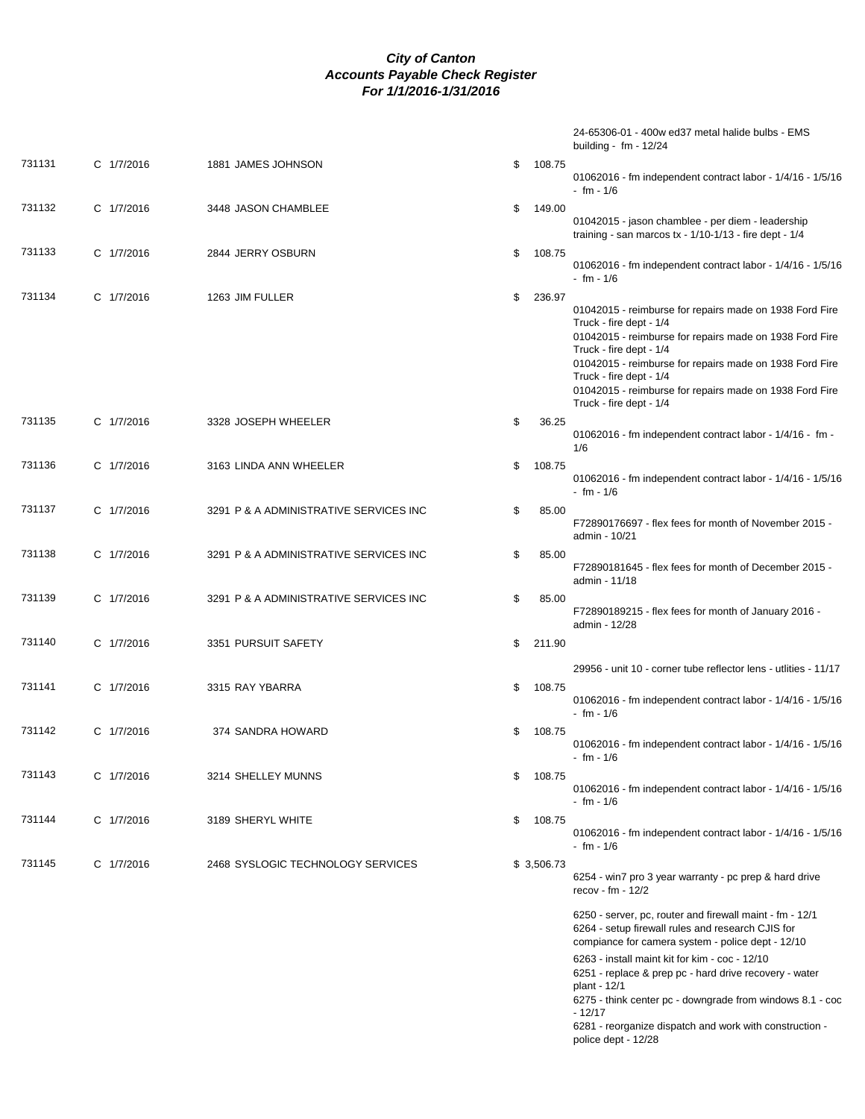|        |            |                                        |              | 24-65306-01 - 400w ed37 metal halide bulbs - EMS<br>building - fm - 12/24                                                                                                                                                                                                                                                                            |
|--------|------------|----------------------------------------|--------------|------------------------------------------------------------------------------------------------------------------------------------------------------------------------------------------------------------------------------------------------------------------------------------------------------------------------------------------------------|
| 731131 | C 1/7/2016 | 1881 JAMES JOHNSON                     | \$<br>108.75 | 01062016 - fm independent contract labor - 1/4/16 - 1/5/16<br>$-$ fm $-1/6$                                                                                                                                                                                                                                                                          |
| 731132 | C 1/7/2016 | 3448 JASON CHAMBLEE                    | \$<br>149.00 | 01042015 - jason chamblee - per diem - leadership<br>training - san marcos $tx - 1/10 - 1/13$ - fire dept - $1/4$                                                                                                                                                                                                                                    |
| 731133 | C 1/7/2016 | 2844 JERRY OSBURN                      | 108.75<br>\$ | 01062016 - fm independent contract labor - 1/4/16 - 1/5/16<br>$- fm - 1/6$                                                                                                                                                                                                                                                                           |
| 731134 | C 1/7/2016 | 1263 JIM FULLER                        | \$<br>236.97 | 01042015 - reimburse for repairs made on 1938 Ford Fire<br>Truck - fire dept - 1/4<br>01042015 - reimburse for repairs made on 1938 Ford Fire<br>Truck - fire dept - 1/4<br>01042015 - reimburse for repairs made on 1938 Ford Fire<br>Truck - fire dept - 1/4<br>01042015 - reimburse for repairs made on 1938 Ford Fire<br>Truck - fire dept - 1/4 |
| 731135 | C 1/7/2016 | 3328 JOSEPH WHEELER                    | \$<br>36.25  | 01062016 - fm independent contract labor - 1/4/16 - fm -<br>1/6                                                                                                                                                                                                                                                                                      |
| 731136 | C 1/7/2016 | 3163 LINDA ANN WHEELER                 | \$<br>108.75 | 01062016 - fm independent contract labor - 1/4/16 - 1/5/16<br>$- fm - 1/6$                                                                                                                                                                                                                                                                           |
| 731137 | C 1/7/2016 | 3291 P & A ADMINISTRATIVE SERVICES INC | \$<br>85.00  | F72890176697 - flex fees for month of November 2015 -<br>admin - 10/21                                                                                                                                                                                                                                                                               |
| 731138 | C 1/7/2016 | 3291 P & A ADMINISTRATIVE SERVICES INC | \$<br>85.00  | F72890181645 - flex fees for month of December 2015 -<br>admin - 11/18                                                                                                                                                                                                                                                                               |
| 731139 | C 1/7/2016 | 3291 P & A ADMINISTRATIVE SERVICES INC | \$<br>85.00  | F72890189215 - flex fees for month of January 2016 -<br>admin - 12/28                                                                                                                                                                                                                                                                                |
| 731140 | C 1/7/2016 | 3351 PURSUIT SAFETY                    | \$<br>211.90 |                                                                                                                                                                                                                                                                                                                                                      |
| 731141 |            |                                        |              | 29956 - unit 10 - corner tube reflector lens - utlities - 11/17                                                                                                                                                                                                                                                                                      |
|        | C 1/7/2016 | 3315 RAY YBARRA                        | \$<br>108.75 | 01062016 - fm independent contract labor - 1/4/16 - 1/5/16<br>$- fm - 1/6$                                                                                                                                                                                                                                                                           |
| 731142 | C 1/7/2016 | 374 SANDRA HOWARD                      | \$<br>108.75 | 01062016 - fm independent contract labor - 1/4/16 - 1/5/16<br>- fm - $1/6$                                                                                                                                                                                                                                                                           |
| 731143 | C 1/7/2016 | 3214 SHELLEY MUNNS                     | \$<br>108.75 | 01062016 - fm independent contract labor - 1/4/16 - 1/5/16<br>$- fm - 1/6$                                                                                                                                                                                                                                                                           |
| 731144 | C 1/7/2016 | 3189 SHERYL WHITE                      | 108.75<br>\$ | 01062016 - fm independent contract labor - 1/4/16 - 1/5/16<br>- fm - 1/6                                                                                                                                                                                                                                                                             |
| 731145 | C 1/7/2016 | 2468 SYSLOGIC TECHNOLOGY SERVICES      | \$3,506.73   | 6254 - win7 pro 3 year warranty - pc prep & hard drive<br>recov - fm - $12/2$                                                                                                                                                                                                                                                                        |
|        |            |                                        |              | 6250 - server, pc, router and firewall maint - fm - 12/1<br>6264 - setup firewall rules and research CJIS for<br>compiance for camera system - police dept - 12/10                                                                                                                                                                                   |
|        |            |                                        |              | 6263 - install maint kit for kim - coc - 12/10<br>6251 - replace & prep pc - hard drive recovery - water<br>plant - 12/1                                                                                                                                                                                                                             |

6275 - think center pc - downgrade from windows 8.1 - coc - 12/17

6281 - reorganize dispatch and work with construction police dept - 12/28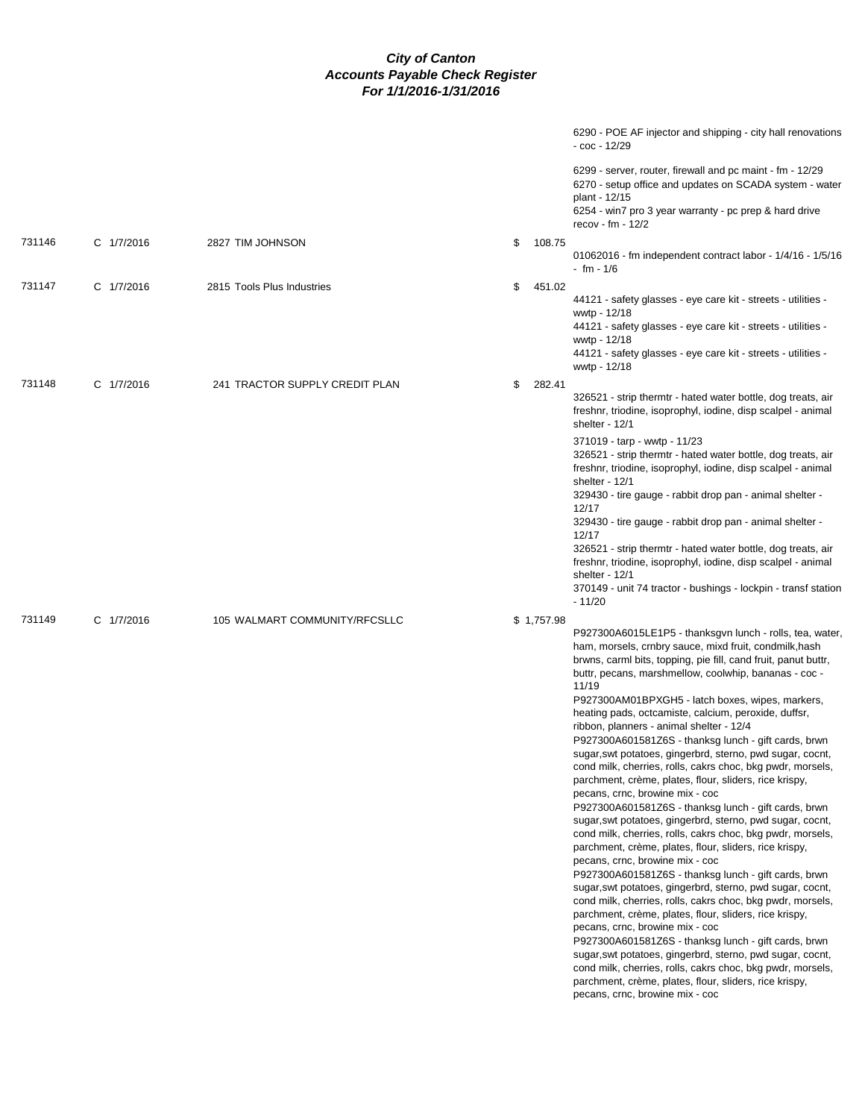|        |            |                                |              | 6290 - POE AF injector and shipping - city hall renovations<br>- coc - 12/29                                                                                                                                                                                                                                                                                                                                                                                                                                                                                                                                                                                                                                                                                                                                                                                                                                                                                                                                                                                                                                                                                                                                                                                                                                                                                                                                                                                                                                                                   |
|--------|------------|--------------------------------|--------------|------------------------------------------------------------------------------------------------------------------------------------------------------------------------------------------------------------------------------------------------------------------------------------------------------------------------------------------------------------------------------------------------------------------------------------------------------------------------------------------------------------------------------------------------------------------------------------------------------------------------------------------------------------------------------------------------------------------------------------------------------------------------------------------------------------------------------------------------------------------------------------------------------------------------------------------------------------------------------------------------------------------------------------------------------------------------------------------------------------------------------------------------------------------------------------------------------------------------------------------------------------------------------------------------------------------------------------------------------------------------------------------------------------------------------------------------------------------------------------------------------------------------------------------------|
|        |            |                                |              | 6299 - server, router, firewall and pc maint - fm - 12/29<br>6270 - setup office and updates on SCADA system - water<br>plant - 12/15<br>6254 - win7 pro 3 year warranty - pc prep & hard drive<br>recov - fm - $12/2$                                                                                                                                                                                                                                                                                                                                                                                                                                                                                                                                                                                                                                                                                                                                                                                                                                                                                                                                                                                                                                                                                                                                                                                                                                                                                                                         |
| 731146 | C 1/7/2016 | 2827 TIM JOHNSON               | \$<br>108.75 | 01062016 - fm independent contract labor - 1/4/16 - 1/5/16<br>$- fm - 1/6$                                                                                                                                                                                                                                                                                                                                                                                                                                                                                                                                                                                                                                                                                                                                                                                                                                                                                                                                                                                                                                                                                                                                                                                                                                                                                                                                                                                                                                                                     |
| 731147 | C 1/7/2016 | 2815 Tools Plus Industries     | \$<br>451.02 | 44121 - safety glasses - eye care kit - streets - utilities -<br>wwtp - 12/18<br>44121 - safety glasses - eye care kit - streets - utilities -<br>wwtp - 12/18<br>44121 - safety glasses - eye care kit - streets - utilities -<br>wwtp - 12/18                                                                                                                                                                                                                                                                                                                                                                                                                                                                                                                                                                                                                                                                                                                                                                                                                                                                                                                                                                                                                                                                                                                                                                                                                                                                                                |
| 731148 | C 1/7/2016 | 241 TRACTOR SUPPLY CREDIT PLAN | \$<br>282.41 | 326521 - strip thermtr - hated water bottle, dog treats, air<br>freshnr, triodine, isoprophyl, iodine, disp scalpel - animal<br>shelter - 12/1                                                                                                                                                                                                                                                                                                                                                                                                                                                                                                                                                                                                                                                                                                                                                                                                                                                                                                                                                                                                                                                                                                                                                                                                                                                                                                                                                                                                 |
|        |            |                                |              | 371019 - tarp - wwtp - 11/23<br>326521 - strip thermtr - hated water bottle, dog treats, air<br>freshnr, triodine, isoprophyl, iodine, disp scalpel - animal<br>shelter - $12/1$<br>329430 - tire gauge - rabbit drop pan - animal shelter -<br>12/17<br>329430 - tire gauge - rabbit drop pan - animal shelter -<br>12/17<br>326521 - strip thermtr - hated water bottle, dog treats, air<br>freshnr, triodine, isoprophyl, iodine, disp scalpel - animal<br>shelter - 12/1<br>370149 - unit 74 tractor - bushings - lockpin - transf station                                                                                                                                                                                                                                                                                                                                                                                                                                                                                                                                                                                                                                                                                                                                                                                                                                                                                                                                                                                                 |
|        |            |                                |              | $-11/20$                                                                                                                                                                                                                                                                                                                                                                                                                                                                                                                                                                                                                                                                                                                                                                                                                                                                                                                                                                                                                                                                                                                                                                                                                                                                                                                                                                                                                                                                                                                                       |
| 731149 | C 1/7/2016 | 105 WALMART COMMUNITY/RFCSLLC  | \$1,757.98   | P927300A6015LE1P5 - thanksgvn lunch - rolls, tea, water,<br>ham, morsels, crnbry sauce, mixd fruit, condmilk, hash<br>brwns, carml bits, topping, pie fill, cand fruit, panut buttr,<br>buttr, pecans, marshmellow, coolwhip, bananas - coc -<br>11/19<br>P927300AM01BPXGH5 - latch boxes, wipes, markers,<br>heating pads, octcamiste, calcium, peroxide, duffsr,<br>ribbon, planners - animal shelter - 12/4<br>P927300A601581Z6S - thanksg lunch - gift cards, brwn<br>sugar, swt potatoes, gingerbrd, sterno, pwd sugar, cocnt,<br>cond milk, cherries, rolls, cakrs choc, bkg pwdr, morsels,<br>parchment, crème, plates, flour, sliders, rice krispy,<br>pecans, crnc, browine mix - coc<br>P927300A601581Z6S - thanksg lunch - gift cards, brwn<br>sugar, swt potatoes, gingerbrd, sterno, pwd sugar, cocnt,<br>cond milk, cherries, rolls, cakrs choc, bkg pwdr, morsels,<br>parchment, crème, plates, flour, sliders, rice krispy,<br>pecans, crnc, browine mix - coc<br>P927300A601581Z6S - thanksg lunch - gift cards, brwn<br>sugar, swt potatoes, gingerbrd, sterno, pwd sugar, cocnt,<br>cond milk, cherries, rolls, cakrs choc, bkg pwdr, morsels,<br>parchment, crème, plates, flour, sliders, rice krispy,<br>pecans, crnc, browine mix - coc<br>P927300A601581Z6S - thanksg lunch - gift cards, brwn<br>sugar, swt potatoes, gingerbrd, sterno, pwd sugar, cocnt,<br>cond milk, cherries, rolls, cakrs choc, bkg pwdr, morsels,<br>parchment, crème, plates, flour, sliders, rice krispy,<br>pecans, crnc, browine mix - coc |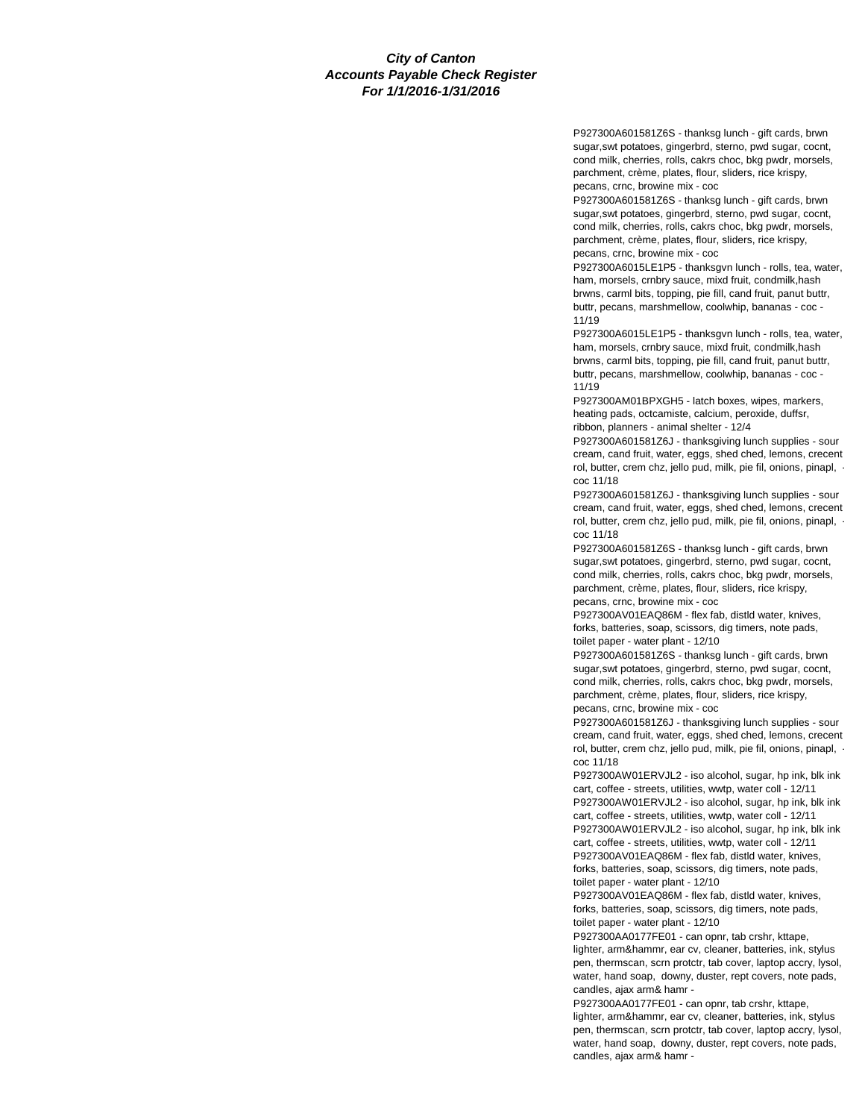P927300A601581Z6S - thanksg lunch - gift cards, brwn sugar,swt potatoes, gingerbrd, sterno, pwd sugar, cocnt, cond milk, cherries, rolls, cakrs choc, bkg pwdr, morsels, parchment, crème, plates, flour, sliders, rice krispy, pecans, crnc, browine mix - coc

P927300A601581Z6S - thanksg lunch - gift cards, brwn sugar,swt potatoes, gingerbrd, sterno, pwd sugar, cocnt, cond milk, cherries, rolls, cakrs choc, bkg pwdr, morsels, parchment, crème, plates, flour, sliders, rice krispy, pecans, crnc, browine mix - coc

P927300A6015LE1P5 - thanksgvn lunch - rolls, tea, water, ham, morsels, crnbry sauce, mixd fruit, condmilk,hash brwns, carml bits, topping, pie fill, cand fruit, panut buttr, buttr, pecans, marshmellow, coolwhip, bananas - coc - 11/19

P927300A6015LE1P5 - thanksgvn lunch - rolls, tea, water, ham, morsels, crnbry sauce, mixd fruit, condmilk,hash brwns, carml bits, topping, pie fill, cand fruit, panut buttr, buttr, pecans, marshmellow, coolwhip, bananas - coc - 11/19

P927300AM01BPXGH5 - latch boxes, wipes, markers, heating pads, octcamiste, calcium, peroxide, duffsr, ribbon, planners - animal shelter - 12/4

P927300A601581Z6J - thanksgiving lunch supplies - sour cream, cand fruit, water, eggs, shed ched, lemons, crecent rol, butter, crem chz, jello pud, milk, pie fil, onions, pinapl, coc 11/18

P927300A601581Z6J - thanksgiving lunch supplies - sour cream, cand fruit, water, eggs, shed ched, lemons, crecent rol, butter, crem chz, jello pud, milk, pie fil, onions, pinapl, coc 11/18

P927300A601581Z6S - thanksg lunch - gift cards, brwn sugar,swt potatoes, gingerbrd, sterno, pwd sugar, cocnt, cond milk, cherries, rolls, cakrs choc, bkg pwdr, morsels, parchment, crème, plates, flour, sliders, rice krispy, pecans, crnc, browine mix - coc

P927300AV01EAQ86M - flex fab, distld water, knives, forks, batteries, soap, scissors, dig timers, note pads, toilet paper - water plant - 12/10

P927300A601581Z6S - thanksg lunch - gift cards, brwn sugar,swt potatoes, gingerbrd, sterno, pwd sugar, cocnt, cond milk, cherries, rolls, cakrs choc, bkg pwdr, morsels, parchment, crème, plates, flour, sliders, rice krispy, pecans, crnc, browine mix - coc

P927300A601581Z6J - thanksgiving lunch supplies - sour cream, cand fruit, water, eggs, shed ched, lemons, crecent rol, butter, crem chz, jello pud, milk, pie fil, onions, pinapl, coc 11/18

P927300AW01ERVJL2 - iso alcohol, sugar, hp ink, blk ink cart, coffee - streets, utilities, wwtp, water coll - 12/11 P927300AW01ERVJL2 - iso alcohol, sugar, hp ink, blk ink cart, coffee - streets, utilities, wwtp, water coll - 12/11 P927300AW01ERVJL2 - iso alcohol, sugar, hp ink, blk ink cart, coffee - streets, utilities, wwtp, water coll - 12/11 P927300AV01EAQ86M - flex fab, distld water, knives, forks, batteries, soap, scissors, dig timers, note pads, toilet paper - water plant - 12/10

P927300AV01EAQ86M - flex fab, distld water, knives, forks, batteries, soap, scissors, dig timers, note pads, toilet paper - water plant - 12/10

P927300AA0177FE01 - can opnr, tab crshr, kttape, lighter, arm&hammr, ear cv, cleaner, batteries, ink, stylus pen, thermscan, scrn protctr, tab cover, laptop accry, lysol, water, hand soap, downy, duster, rept covers, note pads, candles, ajax arm& hamr -

P927300AA0177FE01 - can opnr, tab crshr, kttape, lighter, arm&hammr, ear cv, cleaner, batteries, ink, stylus pen, thermscan, scrn protctr, tab cover, laptop accry, lysol, water, hand soap, downy, duster, rept covers, note pads, candles, ajax arm& hamr -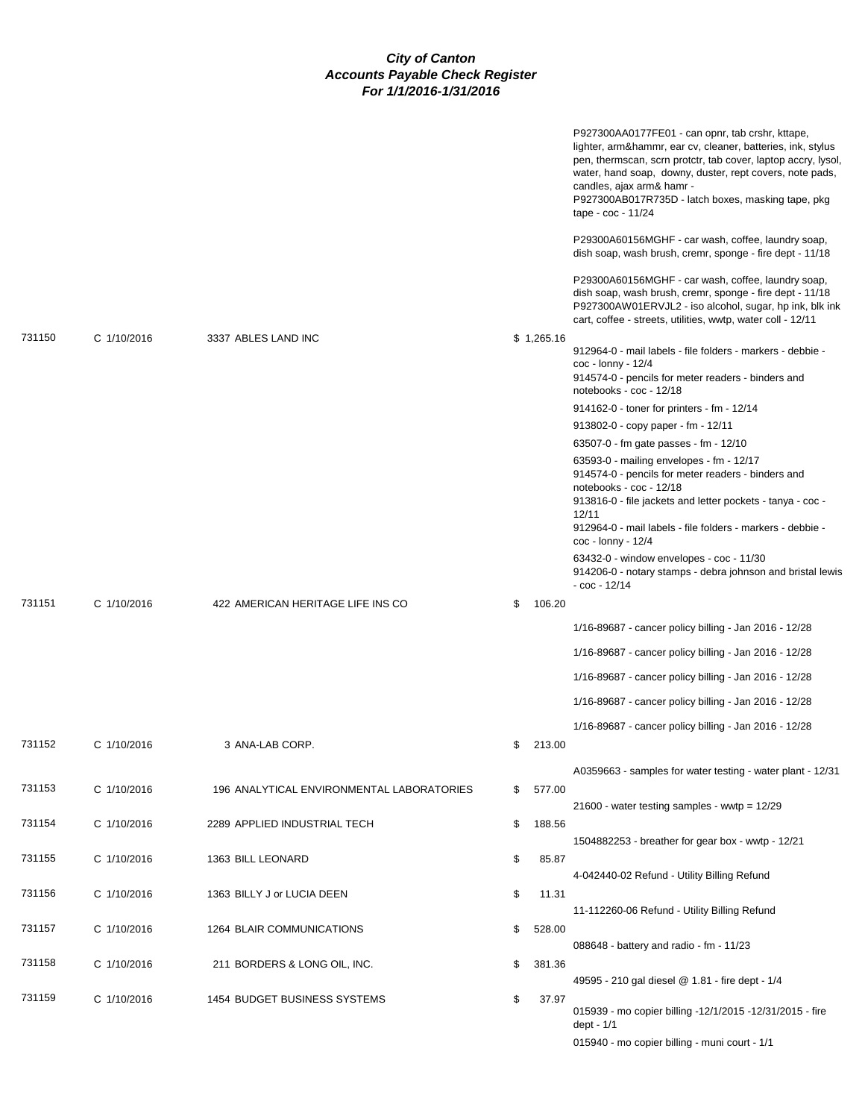|        |             |                                           |              | P927300AA0177FE01 - can opnr, tab crshr, kttape,<br>lighter, arm&hammr, ear cv, cleaner, batteries, ink, stylus<br>pen, thermscan, scrn protctr, tab cover, laptop accry, lysol,<br>water, hand soap, downy, duster, rept covers, note pads,<br>candles, ajax arm& hamr -<br>P927300AB017R735D - latch boxes, masking tape, pkg<br>tape - $\cot$ - 11/24 |
|--------|-------------|-------------------------------------------|--------------|----------------------------------------------------------------------------------------------------------------------------------------------------------------------------------------------------------------------------------------------------------------------------------------------------------------------------------------------------------|
|        |             |                                           |              | P29300A60156MGHF - car wash, coffee, laundry soap,<br>dish soap, wash brush, cremr, sponge - fire dept - 11/18                                                                                                                                                                                                                                           |
|        |             |                                           |              | P29300A60156MGHF - car wash, coffee, laundry soap,<br>dish soap, wash brush, cremr, sponge - fire dept - 11/18<br>P927300AW01ERVJL2 - iso alcohol, sugar, hp ink, blk ink<br>cart, coffee - streets, utilities, wwtp, water coll - 12/11                                                                                                                 |
| 731150 | C 1/10/2016 | 3337 ABLES LAND INC                       | \$1,265.16   | 912964-0 - mail labels - file folders - markers - debbie -<br>$\cos$ - lonny - 12/4<br>914574-0 - pencils for meter readers - binders and<br>notebooks - coc - 12/18                                                                                                                                                                                     |
|        |             |                                           |              | 914162-0 - toner for printers - fm - 12/14                                                                                                                                                                                                                                                                                                               |
|        |             |                                           |              | 913802-0 - copy paper - fm - 12/11                                                                                                                                                                                                                                                                                                                       |
|        |             |                                           |              | 63507-0 - fm gate passes - fm - 12/10                                                                                                                                                                                                                                                                                                                    |
|        |             |                                           |              | 63593-0 - mailing envelopes - fm - 12/17<br>914574-0 - pencils for meter readers - binders and<br>notebooks - coc - 12/18<br>913816-0 - file jackets and letter pockets - tanya - coc -<br>12/11                                                                                                                                                         |
|        |             |                                           |              | 912964-0 - mail labels - file folders - markers - debbie -<br>$\cos$ - lonny - 12/4                                                                                                                                                                                                                                                                      |
|        |             |                                           |              | 63432-0 - window envelopes - coc - 11/30<br>914206-0 - notary stamps - debra johnson and bristal lewis<br>$-$ coc $-$ 12/14                                                                                                                                                                                                                              |
| 731151 | C 1/10/2016 | 422 AMERICAN HERITAGE LIFE INS CO         | \$<br>106.20 |                                                                                                                                                                                                                                                                                                                                                          |
|        |             |                                           |              | 1/16-89687 - cancer policy billing - Jan 2016 - 12/28                                                                                                                                                                                                                                                                                                    |
|        |             |                                           |              | 1/16-89687 - cancer policy billing - Jan 2016 - 12/28                                                                                                                                                                                                                                                                                                    |
|        |             |                                           |              | 1/16-89687 - cancer policy billing - Jan 2016 - 12/28                                                                                                                                                                                                                                                                                                    |
|        |             |                                           |              | 1/16-89687 - cancer policy billing - Jan 2016 - 12/28                                                                                                                                                                                                                                                                                                    |
| 731152 | C 1/10/2016 | 3 ANA-LAB CORP.                           | \$<br>213.00 | 1/16-89687 - cancer policy billing - Jan 2016 - 12/28                                                                                                                                                                                                                                                                                                    |
| 731153 | C 1/10/2016 |                                           | 577.00       | A0359663 - samples for water testing - water plant - 12/31                                                                                                                                                                                                                                                                                               |
|        |             | 196 ANALYTICAL ENVIRONMENTAL LABORATORIES | \$           | 21600 - water testing samples - wwtp = $12/29$                                                                                                                                                                                                                                                                                                           |
| 731154 | C 1/10/2016 | 2289 APPLIED INDUSTRIAL TECH              | \$<br>188.56 | 1504882253 - breather for gear box - wwtp - 12/21                                                                                                                                                                                                                                                                                                        |
| 731155 | C 1/10/2016 | 1363 BILL LEONARD                         | \$<br>85.87  | 4-042440-02 Refund - Utility Billing Refund                                                                                                                                                                                                                                                                                                              |
| 731156 | C 1/10/2016 | 1363 BILLY J or LUCIA DEEN                | \$<br>11.31  | 11-112260-06 Refund - Utility Billing Refund                                                                                                                                                                                                                                                                                                             |
| 731157 | C 1/10/2016 | 1264 BLAIR COMMUNICATIONS                 | \$<br>528.00 |                                                                                                                                                                                                                                                                                                                                                          |
|        |             |                                           |              | 088648 - battery and radio - fm - 11/23                                                                                                                                                                                                                                                                                                                  |
| 731158 | C 1/10/2016 | 211 BORDERS & LONG OIL, INC.              | \$<br>381.36 | 49595 - 210 gal diesel @ 1.81 - fire dept - 1/4                                                                                                                                                                                                                                                                                                          |
| 731159 | C 1/10/2016 | 1454 BUDGET BUSINESS SYSTEMS              | \$<br>37.97  | 015939 - mo copier billing -12/1/2015 -12/31/2015 - fire                                                                                                                                                                                                                                                                                                 |
|        |             |                                           |              | dept - 1/1<br>015940 - mo copier billing - muni court - 1/1                                                                                                                                                                                                                                                                                              |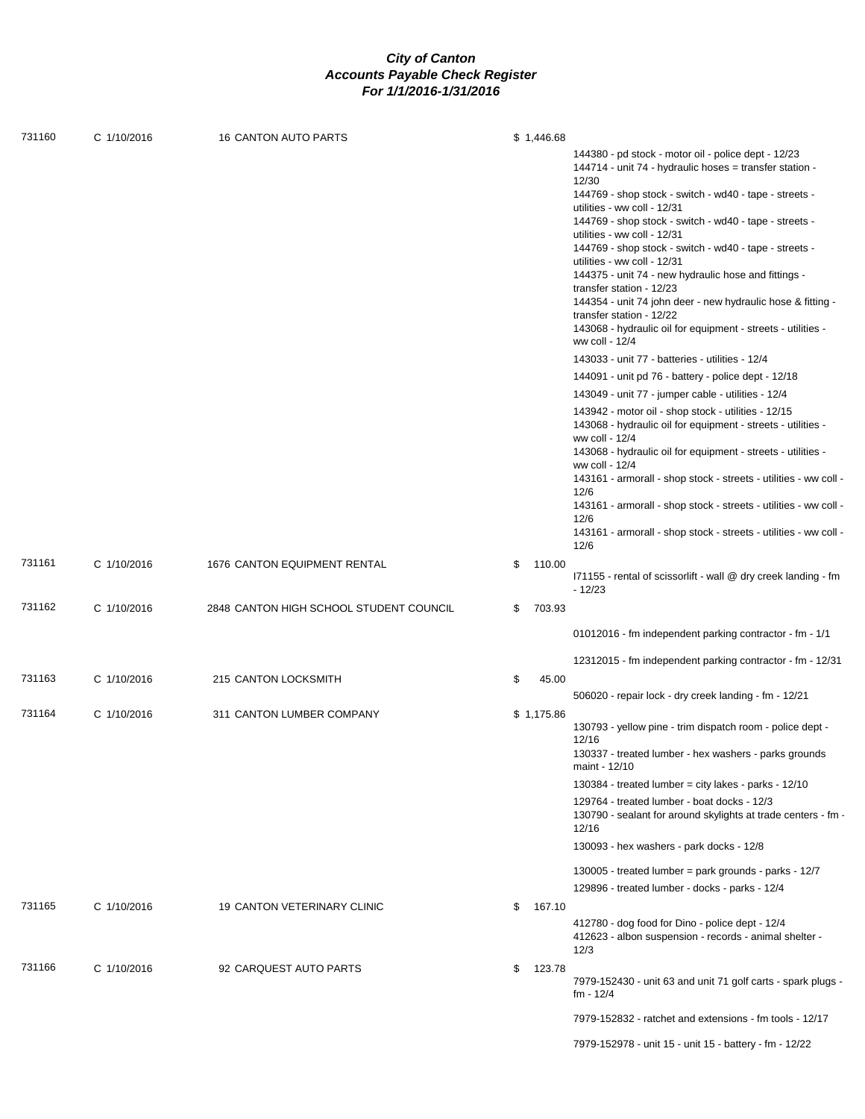| 731160 | C 1/10/2016 | <b>16 CANTON AUTO PARTS</b>             | \$1,446.68   |                                                                                                                                                                                                                                                                                                                                                                                                                                                                                                                                                                                                                                                                                                                                                                                                                                                                                                                                                                                                                                                                                                                                                                                                                                                                                            |
|--------|-------------|-----------------------------------------|--------------|--------------------------------------------------------------------------------------------------------------------------------------------------------------------------------------------------------------------------------------------------------------------------------------------------------------------------------------------------------------------------------------------------------------------------------------------------------------------------------------------------------------------------------------------------------------------------------------------------------------------------------------------------------------------------------------------------------------------------------------------------------------------------------------------------------------------------------------------------------------------------------------------------------------------------------------------------------------------------------------------------------------------------------------------------------------------------------------------------------------------------------------------------------------------------------------------------------------------------------------------------------------------------------------------|
|        |             |                                         |              | 144380 - pd stock - motor oil - police dept - 12/23<br>144714 - unit 74 - hydraulic hoses = transfer station -<br>12/30<br>144769 - shop stock - switch - wd40 - tape - streets -<br>utilities - ww coll - 12/31<br>144769 - shop stock - switch - wd40 - tape - streets -<br>utilities - ww coll - 12/31<br>144769 - shop stock - switch - wd40 - tape - streets -<br>utilities - ww coll - 12/31<br>144375 - unit 74 - new hydraulic hose and fittings -<br>transfer station - 12/23<br>144354 - unit 74 john deer - new hydraulic hose & fitting -<br>transfer station - 12/22<br>143068 - hydraulic oil for equipment - streets - utilities -<br>ww coll - 12/4<br>143033 - unit 77 - batteries - utilities - 12/4<br>144091 - unit pd 76 - battery - police dept - 12/18<br>143049 - unit 77 - jumper cable - utilities - 12/4<br>143942 - motor oil - shop stock - utilities - 12/15<br>143068 - hydraulic oil for equipment - streets - utilities -<br>ww coll - 12/4<br>143068 - hydraulic oil for equipment - streets - utilities -<br>ww coll - 12/4<br>143161 - armorall - shop stock - streets - utilities - ww coll -<br>12/6<br>143161 - armorall - shop stock - streets - utilities - ww coll -<br>12/6<br>143161 - armorall - shop stock - streets - utilities - ww coll - |
| 731161 | C 1/10/2016 | 1676 CANTON EQUIPMENT RENTAL            | \$<br>110.00 | 12/6<br>I71155 - rental of scissorlift - wall @ dry creek landing - fm<br>$-12/23$                                                                                                                                                                                                                                                                                                                                                                                                                                                                                                                                                                                                                                                                                                                                                                                                                                                                                                                                                                                                                                                                                                                                                                                                         |
| 731162 | C 1/10/2016 | 2848 CANTON HIGH SCHOOL STUDENT COUNCIL | \$<br>703.93 |                                                                                                                                                                                                                                                                                                                                                                                                                                                                                                                                                                                                                                                                                                                                                                                                                                                                                                                                                                                                                                                                                                                                                                                                                                                                                            |
|        |             |                                         |              | 01012016 - fm independent parking contractor - fm - 1/1                                                                                                                                                                                                                                                                                                                                                                                                                                                                                                                                                                                                                                                                                                                                                                                                                                                                                                                                                                                                                                                                                                                                                                                                                                    |
| 731163 | C 1/10/2016 | 215 CANTON LOCKSMITH                    | \$<br>45.00  | 12312015 - fm independent parking contractor - fm - 12/31                                                                                                                                                                                                                                                                                                                                                                                                                                                                                                                                                                                                                                                                                                                                                                                                                                                                                                                                                                                                                                                                                                                                                                                                                                  |
|        |             |                                         |              | 506020 - repair lock - dry creek landing - fm - 12/21                                                                                                                                                                                                                                                                                                                                                                                                                                                                                                                                                                                                                                                                                                                                                                                                                                                                                                                                                                                                                                                                                                                                                                                                                                      |
| 731164 | C 1/10/2016 | 311 CANTON LUMBER COMPANY               | \$1,175.86   | 130793 - yellow pine - trim dispatch room - police dept -<br>12/16<br>130337 - treated lumber - hex washers - parks grounds<br>maint - 12/10<br>130384 - treated lumber = city lakes - parks - $12/10$<br>129764 - treated lumber - boat docks - 12/3<br>130790 - sealant for around skylights at trade centers - fm -                                                                                                                                                                                                                                                                                                                                                                                                                                                                                                                                                                                                                                                                                                                                                                                                                                                                                                                                                                     |
|        |             |                                         |              | 12/16                                                                                                                                                                                                                                                                                                                                                                                                                                                                                                                                                                                                                                                                                                                                                                                                                                                                                                                                                                                                                                                                                                                                                                                                                                                                                      |
|        |             |                                         |              | 130093 - hex washers - park docks - 12/8<br>130005 - treated lumber = park grounds - parks - $12/7$<br>129896 - treated lumber - docks - parks - 12/4                                                                                                                                                                                                                                                                                                                                                                                                                                                                                                                                                                                                                                                                                                                                                                                                                                                                                                                                                                                                                                                                                                                                      |
| 731165 | C 1/10/2016 | <b>19 CANTON VETERINARY CLINIC</b>      | \$<br>167.10 | 412780 - dog food for Dino - police dept - 12/4<br>412623 - albon suspension - records - animal shelter -<br>12/3                                                                                                                                                                                                                                                                                                                                                                                                                                                                                                                                                                                                                                                                                                                                                                                                                                                                                                                                                                                                                                                                                                                                                                          |
| 731166 | C 1/10/2016 | 92 CARQUEST AUTO PARTS                  | \$<br>123.78 | 7979-152430 - unit 63 and unit 71 golf carts - spark plugs -<br>fm - 12/4                                                                                                                                                                                                                                                                                                                                                                                                                                                                                                                                                                                                                                                                                                                                                                                                                                                                                                                                                                                                                                                                                                                                                                                                                  |
|        |             |                                         |              | 7979-152832 - ratchet and extensions - fm tools - 12/17                                                                                                                                                                                                                                                                                                                                                                                                                                                                                                                                                                                                                                                                                                                                                                                                                                                                                                                                                                                                                                                                                                                                                                                                                                    |
|        |             |                                         |              | 7979-152978 - unit 15 - unit 15 - battery - fm - 12/22                                                                                                                                                                                                                                                                                                                                                                                                                                                                                                                                                                                                                                                                                                                                                                                                                                                                                                                                                                                                                                                                                                                                                                                                                                     |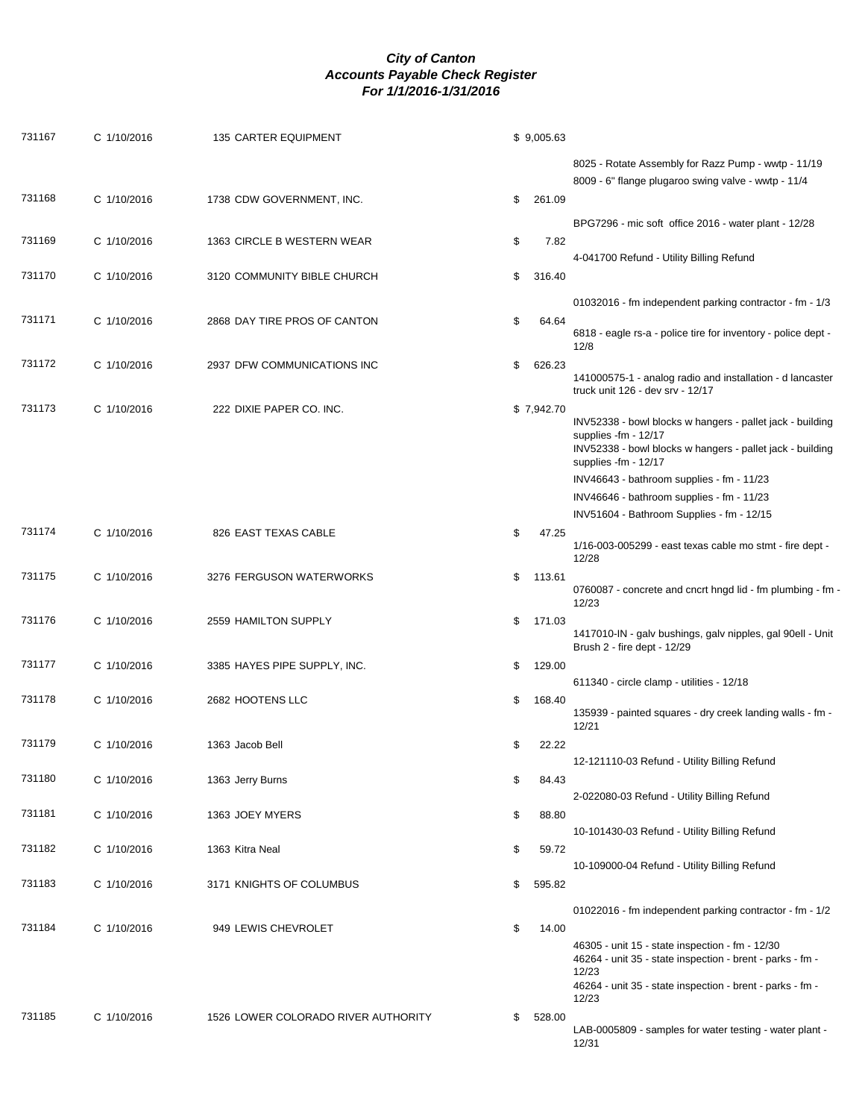| 731167 | C 1/10/2016 | 135 CARTER EQUIPMENT                | \$9,005.63   |                                                                                                                                                                                             |
|--------|-------------|-------------------------------------|--------------|---------------------------------------------------------------------------------------------------------------------------------------------------------------------------------------------|
|        |             |                                     |              | 8025 - Rotate Assembly for Razz Pump - wwtp - 11/19<br>8009 - 6" flange plugaroo swing valve - wwtp - 11/4                                                                                  |
| 731168 | C 1/10/2016 | 1738 CDW GOVERNMENT, INC.           | \$<br>261.09 |                                                                                                                                                                                             |
| 731169 | C 1/10/2016 | 1363 CIRCLE B WESTERN WEAR          | \$<br>7.82   | BPG7296 - mic soft office 2016 - water plant - 12/28                                                                                                                                        |
|        |             |                                     |              | 4-041700 Refund - Utility Billing Refund                                                                                                                                                    |
| 731170 | C 1/10/2016 | 3120 COMMUNITY BIBLE CHURCH         | \$<br>316.40 |                                                                                                                                                                                             |
|        |             |                                     |              | 01032016 - fm independent parking contractor - fm - 1/3                                                                                                                                     |
| 731171 | C 1/10/2016 | 2868 DAY TIRE PROS OF CANTON        | \$<br>64.64  | 6818 - eagle rs-a - police tire for inventory - police dept -<br>12/8                                                                                                                       |
| 731172 | C 1/10/2016 | 2937 DFW COMMUNICATIONS INC         | \$<br>626.23 | 141000575-1 - analog radio and installation - d lancaster<br>truck unit 126 - dev srv - 12/17                                                                                               |
| 731173 | C 1/10/2016 | 222 DIXIE PAPER CO. INC.            | \$7,942.70   | INV52338 - bowl blocks w hangers - pallet jack - building<br>supplies -fm - 12/17<br>INV52338 - bowl blocks w hangers - pallet jack - building<br>supplies -fm - 12/17                      |
|        |             |                                     |              | INV46643 - bathroom supplies - fm - 11/23                                                                                                                                                   |
|        |             |                                     |              | INV46646 - bathroom supplies - fm - 11/23                                                                                                                                                   |
|        |             |                                     |              | INV51604 - Bathroom Supplies - fm - 12/15                                                                                                                                                   |
| 731174 | C 1/10/2016 | 826 EAST TEXAS CABLE                | \$<br>47.25  | 1/16-003-005299 - east texas cable mo stmt - fire dept -<br>12/28                                                                                                                           |
| 731175 | C 1/10/2016 | 3276 FERGUSON WATERWORKS            | \$<br>113.61 | 0760087 - concrete and cncrt hngd lid - fm plumbing - fm -<br>12/23                                                                                                                         |
| 731176 | C 1/10/2016 | 2559 HAMILTON SUPPLY                | \$<br>171.03 | 1417010-IN - galv bushings, galv nipples, gal 90ell - Unit<br>Brush 2 - fire dept - 12/29                                                                                                   |
| 731177 | C 1/10/2016 | 3385 HAYES PIPE SUPPLY, INC.        | \$<br>129.00 | 611340 - circle clamp - utilities - 12/18                                                                                                                                                   |
| 731178 | C 1/10/2016 | 2682 HOOTENS LLC                    | \$<br>168.40 | 135939 - painted squares - dry creek landing walls - fm -<br>12/21                                                                                                                          |
| 731179 | C 1/10/2016 | 1363 Jacob Bell                     | \$<br>22.22  |                                                                                                                                                                                             |
|        |             |                                     |              | 12-121110-03 Refund - Utility Billing Refund                                                                                                                                                |
| 731180 | C 1/10/2016 | 1363 Jerry Burns                    | \$<br>84.43  | 2-022080-03 Refund - Utility Billing Refund                                                                                                                                                 |
| 731181 | C 1/10/2016 | 1363 JOEY MYERS                     | \$<br>88.80  |                                                                                                                                                                                             |
|        |             |                                     |              | 10-101430-03 Refund - Utility Billing Refund                                                                                                                                                |
| 731182 | C 1/10/2016 | 1363 Kitra Neal                     | \$<br>59.72  | 10-109000-04 Refund - Utility Billing Refund                                                                                                                                                |
| 731183 | C 1/10/2016 | 3171 KNIGHTS OF COLUMBUS            | \$<br>595.82 |                                                                                                                                                                                             |
|        |             |                                     |              | 01022016 - fm independent parking contractor - fm - 1/2                                                                                                                                     |
| 731184 | C 1/10/2016 | 949 LEWIS CHEVROLET                 | \$<br>14.00  | 46305 - unit 15 - state inspection - fm - 12/30<br>46264 - unit 35 - state inspection - brent - parks - fm -<br>12/23<br>46264 - unit 35 - state inspection - brent - parks - fm -<br>12/23 |
| 731185 | C 1/10/2016 | 1526 LOWER COLORADO RIVER AUTHORITY | \$<br>528.00 | LAB-0005809 - samples for water testing - water plant -<br>12/31                                                                                                                            |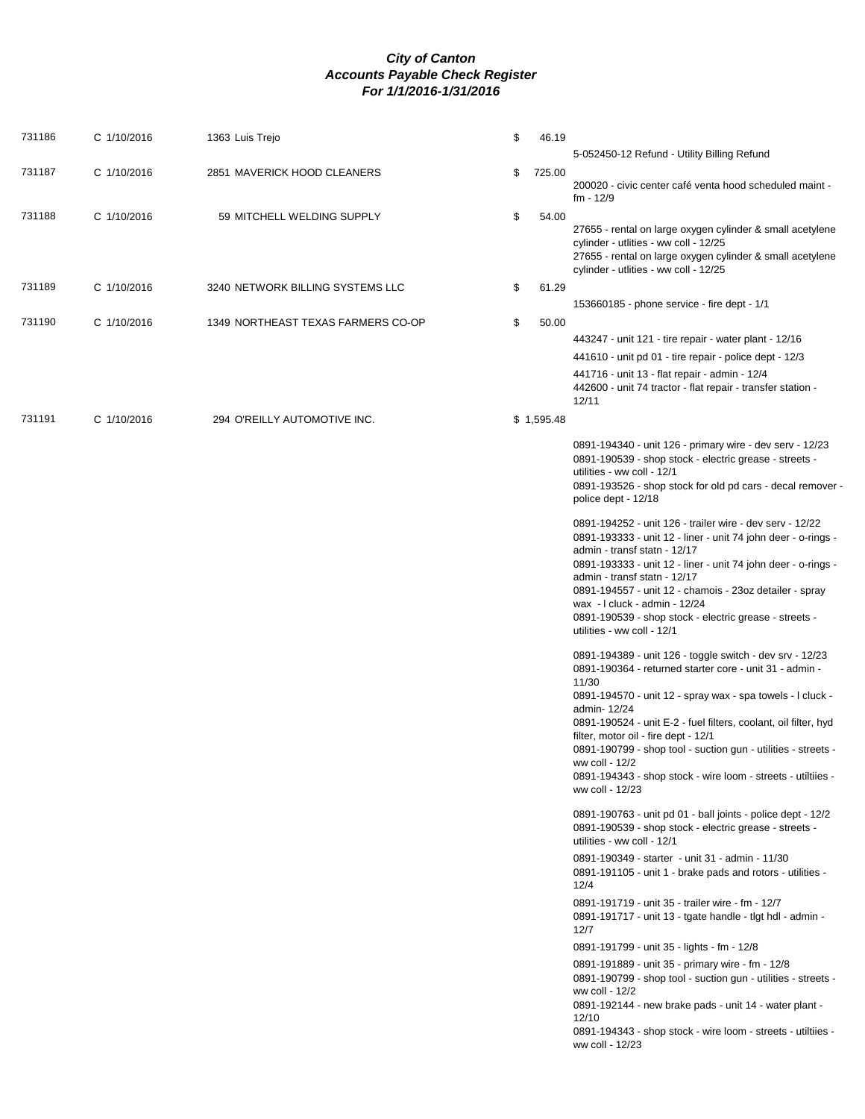| 731186 | C 1/10/2016 | 1363 Luis Trejo                    | \$<br>46.19  | 5-052450-12 Refund - Utility Billing Refund                                                                                                                                                                                                                                                                                                                                                                                                                                                 |
|--------|-------------|------------------------------------|--------------|---------------------------------------------------------------------------------------------------------------------------------------------------------------------------------------------------------------------------------------------------------------------------------------------------------------------------------------------------------------------------------------------------------------------------------------------------------------------------------------------|
| 731187 | C 1/10/2016 | 2851 MAVERICK HOOD CLEANERS        | \$<br>725.00 | 200020 - civic center café venta hood scheduled maint -                                                                                                                                                                                                                                                                                                                                                                                                                                     |
|        |             |                                    |              | fm - 12/9                                                                                                                                                                                                                                                                                                                                                                                                                                                                                   |
| 731188 | C 1/10/2016 | 59 MITCHELL WELDING SUPPLY         | \$<br>54.00  | 27655 - rental on large oxygen cylinder & small acetylene<br>cylinder - utlities - ww coll - 12/25<br>27655 - rental on large oxygen cylinder & small acetylene<br>cylinder - utlities - ww coll - 12/25                                                                                                                                                                                                                                                                                    |
| 731189 | C 1/10/2016 | 3240 NETWORK BILLING SYSTEMS LLC   | \$<br>61.29  |                                                                                                                                                                                                                                                                                                                                                                                                                                                                                             |
|        |             |                                    |              | 153660185 - phone service - fire dept - 1/1                                                                                                                                                                                                                                                                                                                                                                                                                                                 |
| 731190 | C 1/10/2016 | 1349 NORTHEAST TEXAS FARMERS CO-OP | \$<br>50.00  |                                                                                                                                                                                                                                                                                                                                                                                                                                                                                             |
|        |             |                                    |              | 443247 - unit 121 - tire repair - water plant - 12/16                                                                                                                                                                                                                                                                                                                                                                                                                                       |
|        |             |                                    |              | 441610 - unit pd 01 - tire repair - police dept - 12/3                                                                                                                                                                                                                                                                                                                                                                                                                                      |
|        |             |                                    |              | 441716 - unit 13 - flat repair - admin - 12/4<br>442600 - unit 74 tractor - flat repair - transfer station -<br>12/11                                                                                                                                                                                                                                                                                                                                                                       |
| 731191 | C 1/10/2016 | 294 O'REILLY AUTOMOTIVE INC.       | \$1,595.48   |                                                                                                                                                                                                                                                                                                                                                                                                                                                                                             |
|        |             |                                    |              | 0891-194340 - unit 126 - primary wire - dev serv - 12/23<br>0891-190539 - shop stock - electric grease - streets -<br>utilities - ww coll - 12/1<br>0891-193526 - shop stock for old pd cars - decal remover -<br>police dept - 12/18                                                                                                                                                                                                                                                       |
|        |             |                                    |              | 0891-194252 - unit 126 - trailer wire - dev serv - 12/22<br>0891-193333 - unit 12 - liner - unit 74 john deer - o-rings -<br>admin - transf statn - 12/17<br>0891-193333 - unit 12 - liner - unit 74 john deer - o-rings -<br>admin - transf statn - 12/17<br>0891-194557 - unit 12 - chamois - 23oz detailer - spray<br>wax - I cluck - admin - 12/24<br>0891-190539 - shop stock - electric grease - streets -<br>utilities - ww coll - 12/1                                              |
|        |             |                                    |              | 0891-194389 - unit 126 - toggle switch - dev srv - 12/23<br>0891-190364 - returned starter core - unit 31 - admin -<br>11/30<br>0891-194570 - unit 12 - spray wax - spa towels - I cluck -<br>admin- 12/24<br>0891-190524 - unit E-2 - fuel filters, coolant, oil filter, hyd<br>filter, motor oil - fire dept - 12/1<br>0891-190799 - shop tool - suction gun - utilities - streets -<br>ww coll - 12/2<br>0891-194343 - shop stock - wire loom - streets - utiltiies -<br>ww coll - 12/23 |
|        |             |                                    |              | 0891-190763 - unit pd 01 - ball joints - police dept - 12/2<br>0891-190539 - shop stock - electric grease - streets -<br>utilities - ww coll - 12/1                                                                                                                                                                                                                                                                                                                                         |
|        |             |                                    |              | 0891-190349 - starter - unit 31 - admin - 11/30<br>0891-191105 - unit 1 - brake pads and rotors - utilities -<br>12/4                                                                                                                                                                                                                                                                                                                                                                       |
|        |             |                                    |              | 0891-191719 - unit 35 - trailer wire - fm - 12/7<br>0891-191717 - unit 13 - tgate handle - tlgt hdl - admin -<br>12/7                                                                                                                                                                                                                                                                                                                                                                       |
|        |             |                                    |              | 0891-191799 - unit 35 - lights - fm - 12/8                                                                                                                                                                                                                                                                                                                                                                                                                                                  |
|        |             |                                    |              | 0891-191889 - unit 35 - primary wire - fm - 12/8<br>0891-190799 - shop tool - suction gun - utilities - streets -<br>ww coll - 12/2<br>0891-192144 - new brake pads - unit 14 - water plant -<br>12/10<br>0891-194343 - shop stock - wire loom - streets - utiltiies -<br>ww coll - 12/23                                                                                                                                                                                                   |
|        |             |                                    |              |                                                                                                                                                                                                                                                                                                                                                                                                                                                                                             |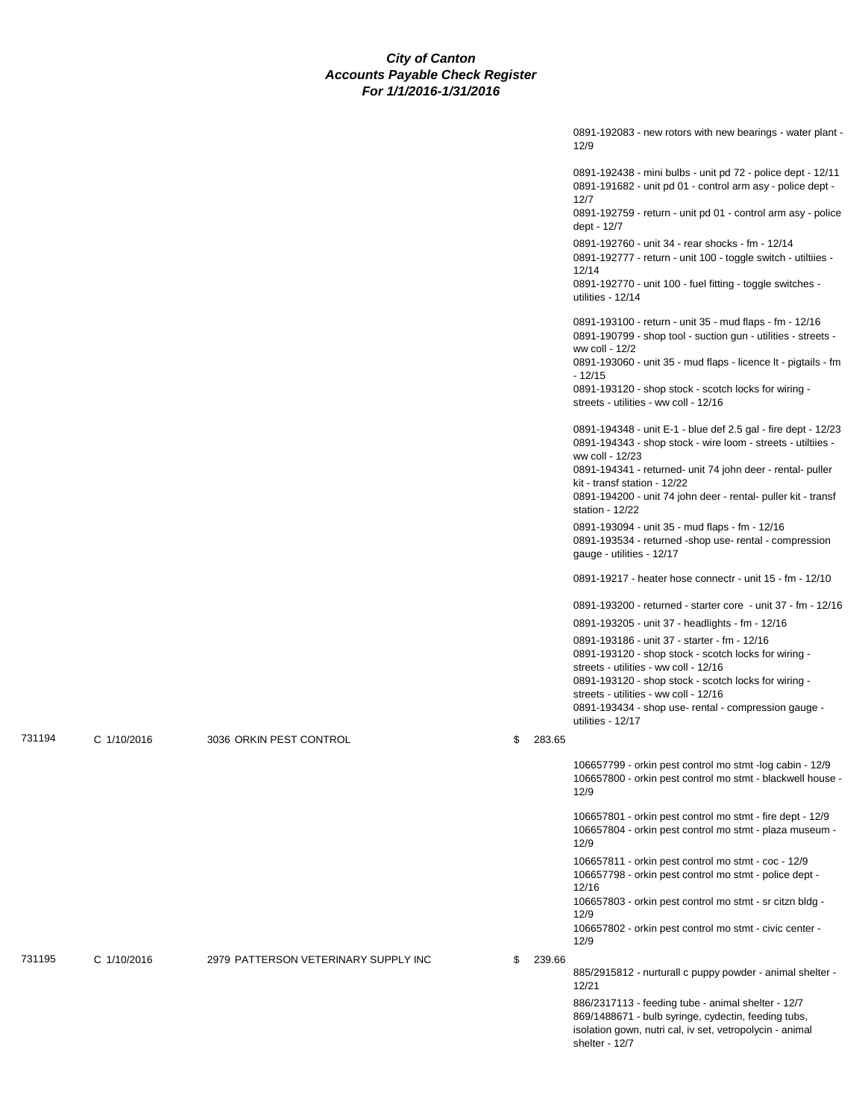|        |             |                                      |              | 0891-192083 - new rotors with new bearings - water plant -<br>12/9                                                                                                                                                                                                                                                          |
|--------|-------------|--------------------------------------|--------------|-----------------------------------------------------------------------------------------------------------------------------------------------------------------------------------------------------------------------------------------------------------------------------------------------------------------------------|
|        |             |                                      |              | 0891-192438 - mini bulbs - unit pd 72 - police dept - 12/11<br>0891-191682 - unit pd 01 - control arm asy - police dept -<br>12/7                                                                                                                                                                                           |
|        |             |                                      |              | 0891-192759 - return - unit pd 01 - control arm asy - police<br>dept - 12/7                                                                                                                                                                                                                                                 |
|        |             |                                      |              | 0891-192760 - unit 34 - rear shocks - fm - 12/14<br>0891-192777 - return - unit 100 - toggle switch - utiltiies -<br>12/14<br>0891-192770 - unit 100 - fuel fitting - toggle switches -                                                                                                                                     |
|        |             |                                      |              | utilities - 12/14                                                                                                                                                                                                                                                                                                           |
|        |             |                                      |              | 0891-193100 - return - unit 35 - mud flaps - fm - 12/16<br>0891-190799 - shop tool - suction gun - utilities - streets -<br>ww coll - 12/2                                                                                                                                                                                  |
|        |             |                                      |              | 0891-193060 - unit 35 - mud flaps - licence It - pigtails - fm<br>- 12/15<br>0891-193120 - shop stock - scotch locks for wiring -                                                                                                                                                                                           |
|        |             |                                      |              | streets - utilities - ww coll - 12/16                                                                                                                                                                                                                                                                                       |
|        |             |                                      |              | 0891-194348 - unit E-1 - blue def 2.5 gal - fire dept - 12/23<br>0891-194343 - shop stock - wire loom - streets - utiltiies -<br>ww coll - 12/23                                                                                                                                                                            |
|        |             |                                      |              | 0891-194341 - returned- unit 74 john deer - rental- puller<br>kit - transf station - 12/22<br>0891-194200 - unit 74 john deer - rental- puller kit - transf<br>station - 12/22                                                                                                                                              |
|        |             |                                      |              | 0891-193094 - unit 35 - mud flaps - fm - 12/16<br>0891-193534 - returned -shop use- rental - compression<br>gauge - utilities - 12/17                                                                                                                                                                                       |
|        |             |                                      |              | 0891-19217 - heater hose connectr - unit 15 - fm - 12/10                                                                                                                                                                                                                                                                    |
|        |             |                                      |              | 0891-193200 - returned - starter core - unit 37 - fm - 12/16                                                                                                                                                                                                                                                                |
|        |             |                                      |              | 0891-193205 - unit 37 - headlights - fm - 12/16                                                                                                                                                                                                                                                                             |
|        |             |                                      |              | 0891-193186 - unit 37 - starter - fm - 12/16<br>0891-193120 - shop stock - scotch locks for wiring -<br>streets - utilities - ww coll - 12/16<br>0891-193120 - shop stock - scotch locks for wiring -<br>streets - utilities - ww coll - 12/16<br>0891-193434 - shop use- rental - compression gauge -<br>utilities - 12/17 |
| 731194 | C 1/10/2016 | 3036 ORKIN PEST CONTROL              | 283.65       |                                                                                                                                                                                                                                                                                                                             |
|        |             |                                      |              | 106657799 - orkin pest control mo stmt -log cabin - 12/9<br>106657800 - orkin pest control mo stmt - blackwell house -<br>12/9                                                                                                                                                                                              |
|        |             |                                      |              | 106657801 - orkin pest control mo stmt - fire dept - 12/9<br>106657804 - orkin pest control mo stmt - plaza museum -<br>12/9                                                                                                                                                                                                |
|        |             |                                      |              | 106657811 - orkin pest control mo stmt - coc - 12/9<br>106657798 - orkin pest control mo stmt - police dept -<br>12/16                                                                                                                                                                                                      |
|        |             |                                      |              | 106657803 - orkin pest control mo stmt - sr citzn bldg -<br>12/9<br>106657802 - orkin pest control mo stmt - civic center -<br>12/9                                                                                                                                                                                         |
| 731195 | C 1/10/2016 | 2979 PATTERSON VETERINARY SUPPLY INC | \$<br>239.66 |                                                                                                                                                                                                                                                                                                                             |
|        |             |                                      |              | 885/2915812 - nurturall c puppy powder - animal shelter -<br>12/21                                                                                                                                                                                                                                                          |
|        |             |                                      |              | 886/2317113 - feeding tube - animal shelter - 12/7<br>869/1488671 - bulb syringe, cydectin, feeding tubs,<br>isolation gown, nutri cal, iv set, vetropolycin - animal<br>shelter - 12/7                                                                                                                                     |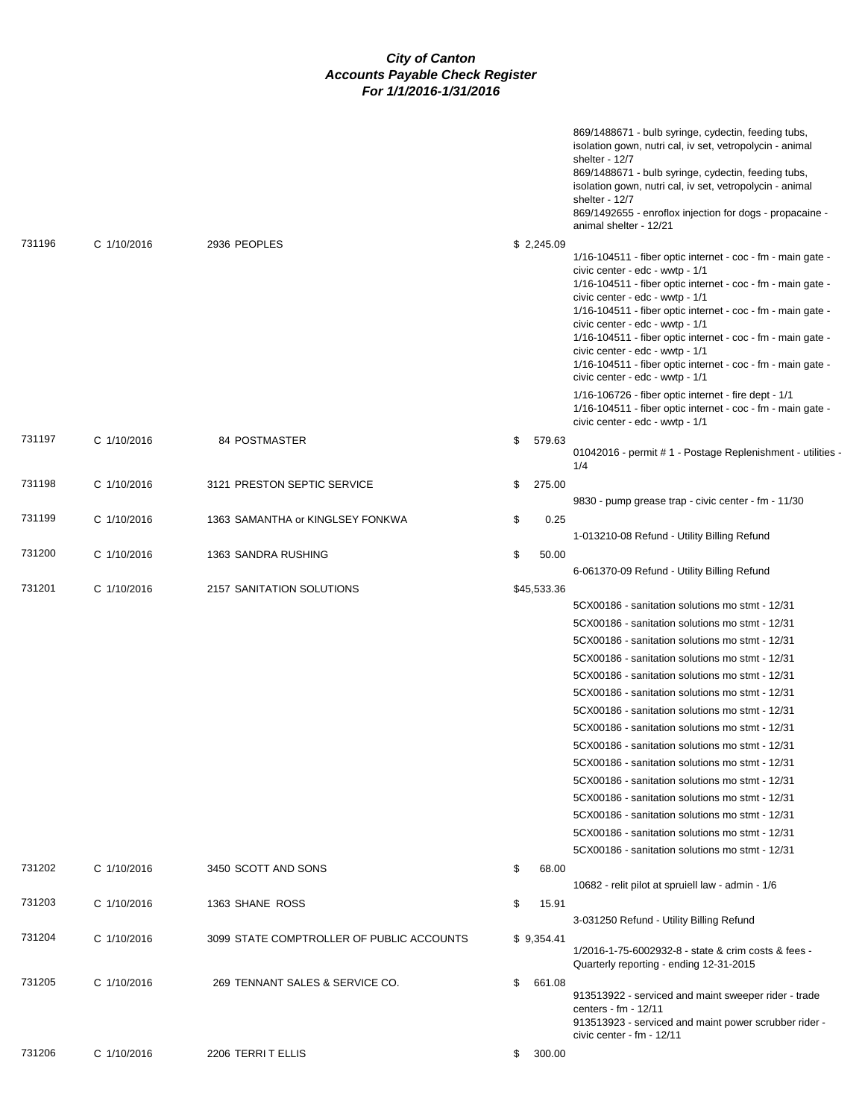|        |             |                                           |              | 869/1488671 - bulb syringe, cydectin, feeding tubs,<br>isolation gown, nutri cal, iv set, vetropolycin - animal<br>shelter - 12/7<br>869/1488671 - bulb syringe, cydectin, feeding tubs,<br>isolation gown, nutri cal, iv set, vetropolycin - animal<br>shelter - 12/7<br>869/1492655 - enroflox injection for dogs - propacaine -<br>animal shelter - 12/21                                                                                                                                               |
|--------|-------------|-------------------------------------------|--------------|------------------------------------------------------------------------------------------------------------------------------------------------------------------------------------------------------------------------------------------------------------------------------------------------------------------------------------------------------------------------------------------------------------------------------------------------------------------------------------------------------------|
| 731196 | C 1/10/2016 | 2936 PEOPLES                              |              |                                                                                                                                                                                                                                                                                                                                                                                                                                                                                                            |
|        |             |                                           | \$2,245.09   | $1/16 - 104511$ - fiber optic internet - coc - fm - main gate -<br>civic center - edc - wwtp - 1/1<br>1/16-104511 - fiber optic internet - coc - fm - main gate -<br>civic center - edc - wwtp - 1/1<br>1/16-104511 - fiber optic internet - coc - fm - main gate -<br>civic center - edc - wwtp - 1/1<br>1/16-104511 - fiber optic internet - coc - fm - main gate -<br>civic center - edc - wwtp - 1/1<br>1/16-104511 - fiber optic internet - coc - fm - main gate -<br>civic center - edc - wwtp - 1/1 |
|        |             |                                           |              | 1/16-106726 - fiber optic internet - fire dept - 1/1<br>1/16-104511 - fiber optic internet - coc - fm - main gate -<br>civic center - edc - wwtp - 1/1                                                                                                                                                                                                                                                                                                                                                     |
| 731197 | C 1/10/2016 | <b>84 POSTMASTER</b>                      | \$<br>579.63 | 01042016 - permit # 1 - Postage Replenishment - utilities -<br>1/4                                                                                                                                                                                                                                                                                                                                                                                                                                         |
| 731198 | C 1/10/2016 | 3121 PRESTON SEPTIC SERVICE               | \$<br>275.00 |                                                                                                                                                                                                                                                                                                                                                                                                                                                                                                            |
|        |             |                                           |              | 9830 - pump grease trap - civic center - fm - 11/30                                                                                                                                                                                                                                                                                                                                                                                                                                                        |
| 731199 | C 1/10/2016 | 1363 SAMANTHA or KINGLSEY FONKWA          | \$<br>0.25   |                                                                                                                                                                                                                                                                                                                                                                                                                                                                                                            |
|        |             |                                           |              | 1-013210-08 Refund - Utility Billing Refund                                                                                                                                                                                                                                                                                                                                                                                                                                                                |
| 731200 | C 1/10/2016 | 1363 SANDRA RUSHING                       | \$<br>50.00  | 6-061370-09 Refund - Utility Billing Refund                                                                                                                                                                                                                                                                                                                                                                                                                                                                |
| 731201 | C 1/10/2016 | 2157 SANITATION SOLUTIONS                 | \$45,533.36  |                                                                                                                                                                                                                                                                                                                                                                                                                                                                                                            |
|        |             |                                           |              | 5CX00186 - sanitation solutions mo stmt - 12/31                                                                                                                                                                                                                                                                                                                                                                                                                                                            |
|        |             |                                           |              | 5CX00186 - sanitation solutions mo stmt - 12/31                                                                                                                                                                                                                                                                                                                                                                                                                                                            |
|        |             |                                           |              | 5CX00186 - sanitation solutions mo stmt - 12/31                                                                                                                                                                                                                                                                                                                                                                                                                                                            |
|        |             |                                           |              | 5CX00186 - sanitation solutions mo stmt - 12/31                                                                                                                                                                                                                                                                                                                                                                                                                                                            |
|        |             |                                           |              | 5CX00186 - sanitation solutions mo stmt - 12/31                                                                                                                                                                                                                                                                                                                                                                                                                                                            |
|        |             |                                           |              | 5CX00186 - sanitation solutions mo stmt - 12/31                                                                                                                                                                                                                                                                                                                                                                                                                                                            |
|        |             |                                           |              | 5CX00186 - sanitation solutions mo stmt - 12/31                                                                                                                                                                                                                                                                                                                                                                                                                                                            |
|        |             |                                           |              | 5CX00186 - sanitation solutions mo stmt - 12/31                                                                                                                                                                                                                                                                                                                                                                                                                                                            |
|        |             |                                           |              | 5CX00186 - sanitation solutions mo stmt - 12/31                                                                                                                                                                                                                                                                                                                                                                                                                                                            |
|        |             |                                           |              | 5CX00186 - sanitation solutions mo stmt - 12/31                                                                                                                                                                                                                                                                                                                                                                                                                                                            |
|        |             |                                           |              | 5CX00186 - sanitation solutions mo stmt - 12/31                                                                                                                                                                                                                                                                                                                                                                                                                                                            |
|        |             |                                           |              | 5CX00186 - sanitation solutions mo stmt - 12/31                                                                                                                                                                                                                                                                                                                                                                                                                                                            |
|        |             |                                           |              | 5CX00186 - sanitation solutions mo stmt - 12/31                                                                                                                                                                                                                                                                                                                                                                                                                                                            |
|        |             |                                           |              | 5CX00186 - sanitation solutions mo stmt - 12/31                                                                                                                                                                                                                                                                                                                                                                                                                                                            |
|        |             |                                           |              | 5CX00186 - sanitation solutions mo stmt - 12/31                                                                                                                                                                                                                                                                                                                                                                                                                                                            |
| 731202 | C 1/10/2016 | 3450 SCOTT AND SONS                       | \$<br>68.00  |                                                                                                                                                                                                                                                                                                                                                                                                                                                                                                            |
|        |             |                                           |              | 10682 - relit pilot at spruiell law - admin - 1/6                                                                                                                                                                                                                                                                                                                                                                                                                                                          |
| 731203 | C 1/10/2016 | 1363 SHANE ROSS                           | \$<br>15.91  |                                                                                                                                                                                                                                                                                                                                                                                                                                                                                                            |
|        |             |                                           |              | 3-031250 Refund - Utility Billing Refund                                                                                                                                                                                                                                                                                                                                                                                                                                                                   |
| 731204 | C 1/10/2016 | 3099 STATE COMPTROLLER OF PUBLIC ACCOUNTS | \$9,354.41   | 1/2016-1-75-6002932-8 - state & crim costs & fees -<br>Quarterly reporting - ending 12-31-2015                                                                                                                                                                                                                                                                                                                                                                                                             |
| 731205 | C 1/10/2016 | 269 TENNANT SALES & SERVICE CO.           | \$<br>661.08 | 913513922 - serviced and maint sweeper rider - trade<br>centers - fm - 12/11<br>913513923 - serviced and maint power scrubber rider -<br>civic center - fm - 12/11                                                                                                                                                                                                                                                                                                                                         |
| 731206 | C 1/10/2016 | 2206 TERRIT ELLIS                         | \$<br>300.00 |                                                                                                                                                                                                                                                                                                                                                                                                                                                                                                            |
|        |             |                                           |              |                                                                                                                                                                                                                                                                                                                                                                                                                                                                                                            |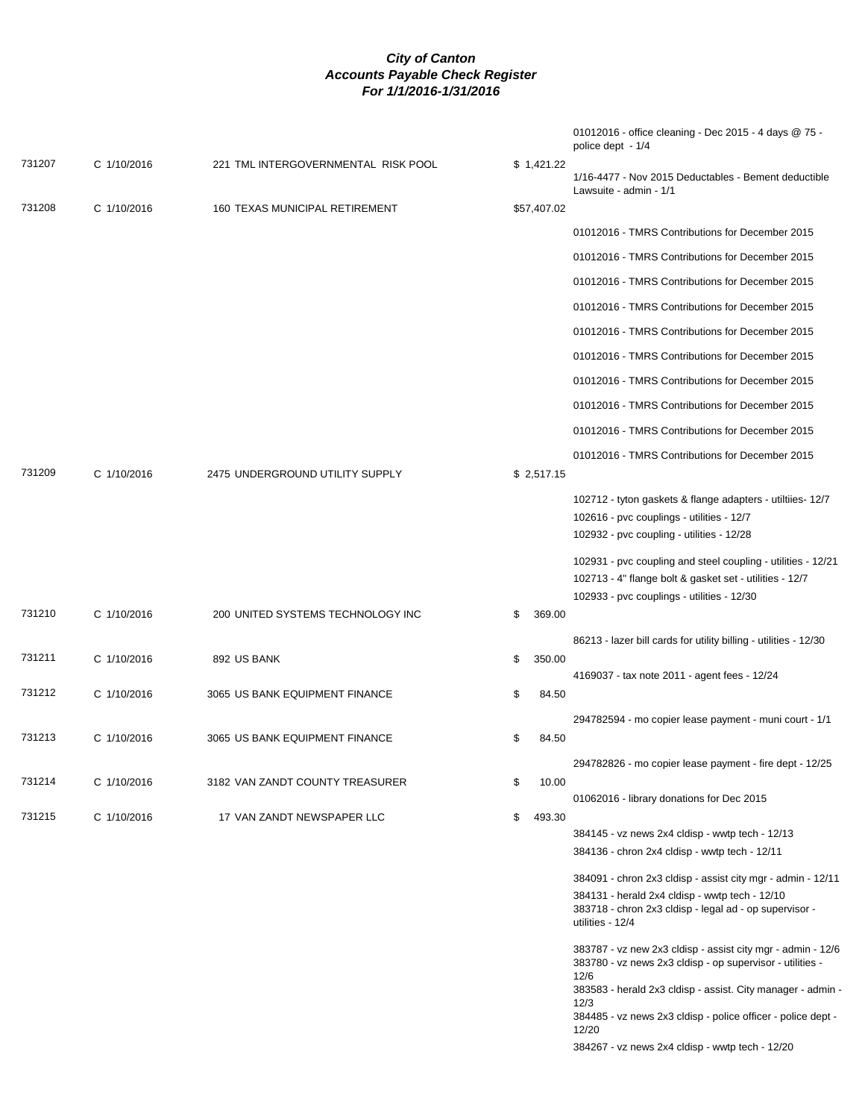|        |             |                                     |              | 01012016 - office cleaning - Dec 2015 - 4 days @ 75 -<br>police dept - 1/4                                                                                                                              |
|--------|-------------|-------------------------------------|--------------|---------------------------------------------------------------------------------------------------------------------------------------------------------------------------------------------------------|
| 731207 | C 1/10/2016 | 221 TML INTERGOVERNMENTAL RISK POOL | \$1,421.22   | 1/16-4477 - Nov 2015 Deductables - Bement deductible<br>Lawsuite - admin - 1/1                                                                                                                          |
| 731208 | C 1/10/2016 | 160 TEXAS MUNICIPAL RETIREMENT      | \$57,407.02  |                                                                                                                                                                                                         |
|        |             |                                     |              | 01012016 - TMRS Contributions for December 2015                                                                                                                                                         |
|        |             |                                     |              | 01012016 - TMRS Contributions for December 2015                                                                                                                                                         |
|        |             |                                     |              | 01012016 - TMRS Contributions for December 2015                                                                                                                                                         |
|        |             |                                     |              | 01012016 - TMRS Contributions for December 2015                                                                                                                                                         |
|        |             |                                     |              | 01012016 - TMRS Contributions for December 2015                                                                                                                                                         |
|        |             |                                     |              | 01012016 - TMRS Contributions for December 2015                                                                                                                                                         |
|        |             |                                     |              | 01012016 - TMRS Contributions for December 2015                                                                                                                                                         |
|        |             |                                     |              | 01012016 - TMRS Contributions for December 2015                                                                                                                                                         |
|        |             |                                     |              | 01012016 - TMRS Contributions for December 2015                                                                                                                                                         |
|        |             |                                     |              | 01012016 - TMRS Contributions for December 2015                                                                                                                                                         |
| 731209 | C 1/10/2016 | 2475 UNDERGROUND UTILITY SUPPLY     | \$2,517.15   |                                                                                                                                                                                                         |
|        |             |                                     |              | 102712 - tyton gaskets & flange adapters - utiltiies- 12/7<br>102616 - pvc couplings - utilities - 12/7<br>102932 - pvc coupling - utilities - 12/28                                                    |
|        |             |                                     |              | 102931 - pvc coupling and steel coupling - utilities - 12/21<br>102713 - 4" flange bolt & gasket set - utilities - 12/7<br>102933 - pvc couplings - utilities - 12/30                                   |
| 731210 | C 1/10/2016 | 200 UNITED SYSTEMS TECHNOLOGY INC   | \$<br>369.00 |                                                                                                                                                                                                         |
|        |             |                                     |              | 86213 - lazer bill cards for utility billing - utilities - 12/30                                                                                                                                        |
| 731211 | C 1/10/2016 | 892 US BANK                         | \$<br>350.00 | 4169037 - tax note 2011 - agent fees - 12/24                                                                                                                                                            |
| 731212 | C 1/10/2016 | 3065 US BANK EQUIPMENT FINANCE      | \$<br>84.50  |                                                                                                                                                                                                         |
| 731213 | C 1/10/2016 | 3065 US BANK EQUIPMENT FINANCE      | \$<br>84.50  | 294782594 - mo copier lease payment - muni court - 1/1                                                                                                                                                  |
|        |             |                                     |              | 294782826 - mo copier lease payment - fire dept - 12/25                                                                                                                                                 |
| 731214 | C 1/10/2016 | 3182 VAN ZANDT COUNTY TREASURER     | \$<br>10.00  |                                                                                                                                                                                                         |
|        |             |                                     |              | 01062016 - library donations for Dec 2015                                                                                                                                                               |
| 731215 | C 1/10/2016 | 17 VAN ZANDT NEWSPAPER LLC          | \$<br>493.30 | 384145 - vz news 2x4 cldisp - wwtp tech - 12/13                                                                                                                                                         |
|        |             |                                     |              | 384136 - chron 2x4 cldisp - wwtp tech - 12/11                                                                                                                                                           |
|        |             |                                     |              | 384091 - chron 2x3 cldisp - assist city mgr - admin - 12/11                                                                                                                                             |
|        |             |                                     |              | 384131 - herald 2x4 cldisp - wwtp tech - 12/10<br>383718 - chron 2x3 cldisp - legal ad - op supervisor -<br>utilities - 12/4                                                                            |
|        |             |                                     |              | 383787 - vz new 2x3 cldisp - assist city mgr - admin - 12/6<br>383780 - vz news 2x3 cldisp - op supervisor - utilities -<br>12/6<br>383583 - herald 2x3 cldisp - assist. City manager - admin -<br>12/3 |

384485 - vz news 2x3 cldisp - police officer - police dept - 12/20

384267 - vz news 2x4 cldisp - wwtp tech - 12/20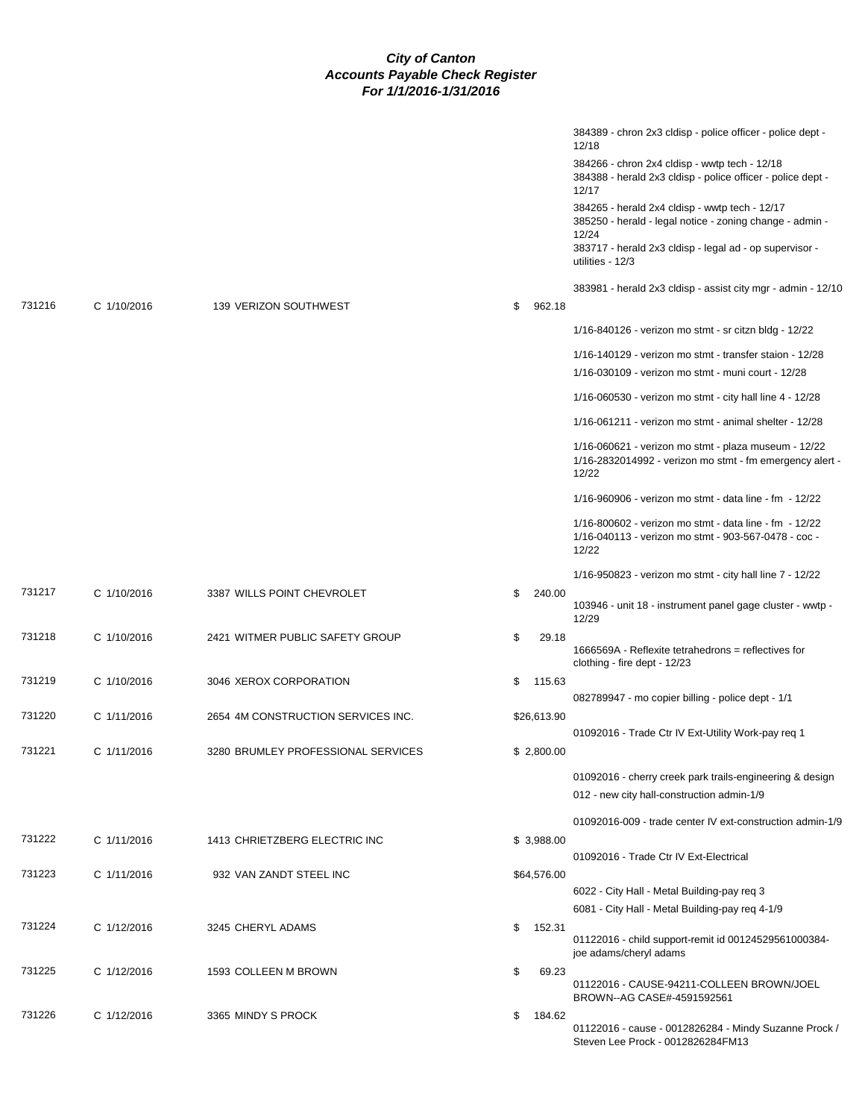|        |             |                                    |              | 384389 - chron 2x3 cldisp - police officer - police dept -<br>12/18                                                       |
|--------|-------------|------------------------------------|--------------|---------------------------------------------------------------------------------------------------------------------------|
|        |             |                                    |              | 384266 - chron 2x4 cldisp - wwtp tech - 12/18<br>384388 - herald 2x3 cldisp - police officer - police dept -<br>12/17     |
|        |             |                                    |              | 384265 - herald 2x4 cldisp - wwtp tech - 12/17<br>385250 - herald - legal notice - zoning change - admin -<br>12/24       |
|        |             |                                    |              | 383717 - herald 2x3 cldisp - legal ad - op supervisor -<br>utilities - 12/3                                               |
| 731216 | C 1/10/2016 | 139 VERIZON SOUTHWEST              | \$<br>962.18 | 383981 - herald 2x3 cldisp - assist city mgr - admin - 12/10                                                              |
|        |             |                                    |              | 1/16-840126 - verizon mo stmt - sr citzn bldg - 12/22                                                                     |
|        |             |                                    |              | 1/16-140129 - verizon mo stmt - transfer staion - 12/28<br>1/16-030109 - verizon mo stmt - muni court - 12/28             |
|        |             |                                    |              | 1/16-060530 - verizon mo stmt - city hall line $4 - 12/28$                                                                |
|        |             |                                    |              | 1/16-061211 - verizon mo stmt - animal shelter - 12/28                                                                    |
|        |             |                                    |              |                                                                                                                           |
|        |             |                                    |              | 1/16-060621 - verizon mo stmt - plaza museum - 12/22<br>1/16-2832014992 - verizon mo stmt - fm emergency alert -<br>12/22 |
|        |             |                                    |              | 1/16-960906 - verizon mo stmt - data line - fm - 12/22                                                                    |
|        |             |                                    |              | 1/16-800602 - verizon mo stmt - data line - fm - 12/22<br>1/16-040113 - verizon mo stmt - 903-567-0478 - coc -<br>12/22   |
|        |             |                                    |              | 1/16-950823 - verizon mo stmt - city hall line 7 - 12/22                                                                  |
| 731217 | C 1/10/2016 | 3387 WILLS POINT CHEVROLET         | \$<br>240.00 | 103946 - unit 18 - instrument panel gage cluster - wwtp -<br>12/29                                                        |
| 731218 | C 1/10/2016 | 2421 WITMER PUBLIC SAFETY GROUP    | \$<br>29.18  | 1666569A - Reflexite tetrahedrons = reflectives for<br>clothing - fire dept - 12/23                                       |
| 731219 | C 1/10/2016 | 3046 XEROX CORPORATION             | \$<br>115.63 |                                                                                                                           |
| 731220 | C 1/11/2016 | 2654 4M CONSTRUCTION SERVICES INC. | \$26,613.90  | 082789947 - mo copier billing - police dept - 1/1                                                                         |
|        |             |                                    |              | 01092016 - Trade Ctr IV Ext-Utility Work-pay req 1                                                                        |
| 731221 | C 1/11/2016 | 3280 BRUMLEY PROFESSIONAL SERVICES | \$2,800.00   |                                                                                                                           |
|        |             |                                    |              | 01092016 - cherry creek park trails-engineering & design<br>012 - new city hall-construction admin-1/9                    |
|        |             |                                    |              | 01092016-009 - trade center IV ext-construction admin-1/9                                                                 |
| 731222 | C 1/11/2016 | 1413 CHRIETZBERG ELECTRIC INC      | \$3,988.00   | 01092016 - Trade Ctr IV Ext-Electrical                                                                                    |
| 731223 | C 1/11/2016 | 932 VAN ZANDT STEEL INC            | \$64,576.00  |                                                                                                                           |
|        |             |                                    |              | 6022 - City Hall - Metal Building-pay req 3                                                                               |
| 731224 | C 1/12/2016 | 3245 CHERYL ADAMS                  | \$<br>152.31 | 6081 - City Hall - Metal Building-pay req 4-1/9                                                                           |
|        |             |                                    |              | 01122016 - child support-remit id 00124529561000384-<br>joe adams/cheryl adams                                            |
| 731225 | C 1/12/2016 | 1593 COLLEEN M BROWN               | \$<br>69.23  | 01122016 - CAUSE-94211-COLLEEN BROWN/JOEL<br>BROWN--AG CASE#-4591592561                                                   |
| 731226 | C 1/12/2016 | 3365 MINDY S PROCK                 | \$<br>184.62 |                                                                                                                           |
|        |             |                                    |              | 01122016 - cause - 0012826284 - Mindy Suzanne Prock /<br>Steven Lee Prock - 0012826284FM13                                |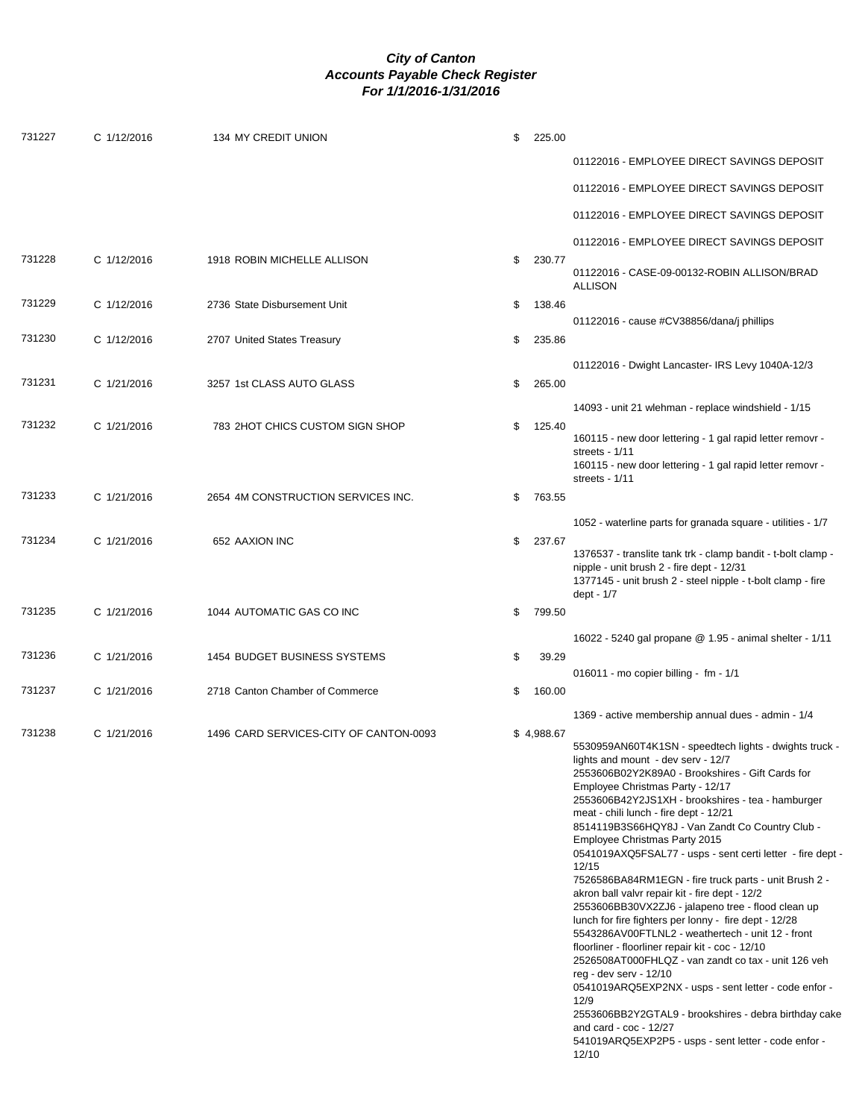| 731227 | C 1/12/2016 | 134 MY CREDIT UNION                    | \$<br>225.00 |                                                                                                                                                                                                                                                                                                                                                                                                                                                                                                                                                                                                                                                                                                                                                                                                                                                                                                                                                                                                                                                                                            |
|--------|-------------|----------------------------------------|--------------|--------------------------------------------------------------------------------------------------------------------------------------------------------------------------------------------------------------------------------------------------------------------------------------------------------------------------------------------------------------------------------------------------------------------------------------------------------------------------------------------------------------------------------------------------------------------------------------------------------------------------------------------------------------------------------------------------------------------------------------------------------------------------------------------------------------------------------------------------------------------------------------------------------------------------------------------------------------------------------------------------------------------------------------------------------------------------------------------|
|        |             |                                        |              | 01122016 - EMPLOYEE DIRECT SAVINGS DEPOSIT                                                                                                                                                                                                                                                                                                                                                                                                                                                                                                                                                                                                                                                                                                                                                                                                                                                                                                                                                                                                                                                 |
|        |             |                                        |              | 01122016 - EMPLOYEE DIRECT SAVINGS DEPOSIT                                                                                                                                                                                                                                                                                                                                                                                                                                                                                                                                                                                                                                                                                                                                                                                                                                                                                                                                                                                                                                                 |
|        |             |                                        |              | 01122016 - EMPLOYEE DIRECT SAVINGS DEPOSIT                                                                                                                                                                                                                                                                                                                                                                                                                                                                                                                                                                                                                                                                                                                                                                                                                                                                                                                                                                                                                                                 |
|        |             |                                        |              | 01122016 - EMPLOYEE DIRECT SAVINGS DEPOSIT                                                                                                                                                                                                                                                                                                                                                                                                                                                                                                                                                                                                                                                                                                                                                                                                                                                                                                                                                                                                                                                 |
| 731228 | C 1/12/2016 | 1918 ROBIN MICHELLE ALLISON            | \$<br>230.77 | 01122016 - CASE-09-00132-ROBIN ALLISON/BRAD<br><b>ALLISON</b>                                                                                                                                                                                                                                                                                                                                                                                                                                                                                                                                                                                                                                                                                                                                                                                                                                                                                                                                                                                                                              |
| 731229 | C 1/12/2016 | 2736 State Disbursement Unit           | \$<br>138.46 | 01122016 - cause #CV38856/dana/j phillips                                                                                                                                                                                                                                                                                                                                                                                                                                                                                                                                                                                                                                                                                                                                                                                                                                                                                                                                                                                                                                                  |
| 731230 | C 1/12/2016 | 2707 United States Treasury            | \$<br>235.86 |                                                                                                                                                                                                                                                                                                                                                                                                                                                                                                                                                                                                                                                                                                                                                                                                                                                                                                                                                                                                                                                                                            |
| 731231 | C 1/21/2016 | 3257 1st CLASS AUTO GLASS              | \$<br>265.00 | 01122016 - Dwight Lancaster- IRS Levy 1040A-12/3                                                                                                                                                                                                                                                                                                                                                                                                                                                                                                                                                                                                                                                                                                                                                                                                                                                                                                                                                                                                                                           |
|        |             |                                        |              | 14093 - unit 21 wlehman - replace windshield - 1/15                                                                                                                                                                                                                                                                                                                                                                                                                                                                                                                                                                                                                                                                                                                                                                                                                                                                                                                                                                                                                                        |
| 731232 | C 1/21/2016 | 783 2HOT CHICS CUSTOM SIGN SHOP        | \$<br>125.40 | 160115 - new door lettering - 1 gal rapid letter removr -<br>streets - 1/11<br>160115 - new door lettering - 1 gal rapid letter removr -<br>streets - 1/11                                                                                                                                                                                                                                                                                                                                                                                                                                                                                                                                                                                                                                                                                                                                                                                                                                                                                                                                 |
| 731233 | C 1/21/2016 | 2654 4M CONSTRUCTION SERVICES INC.     | \$<br>763.55 |                                                                                                                                                                                                                                                                                                                                                                                                                                                                                                                                                                                                                                                                                                                                                                                                                                                                                                                                                                                                                                                                                            |
|        |             |                                        |              | 1052 - waterline parts for granada square - utilities - 1/7                                                                                                                                                                                                                                                                                                                                                                                                                                                                                                                                                                                                                                                                                                                                                                                                                                                                                                                                                                                                                                |
| 731234 | C 1/21/2016 | 652 AAXION INC                         | \$<br>237.67 | 1376537 - translite tank trk - clamp bandit - t-bolt clamp -<br>nipple - unit brush 2 - fire dept - 12/31<br>1377145 - unit brush 2 - steel nipple - t-bolt clamp - fire<br>dept - 1/7                                                                                                                                                                                                                                                                                                                                                                                                                                                                                                                                                                                                                                                                                                                                                                                                                                                                                                     |
| 731235 | C 1/21/2016 | 1044 AUTOMATIC GAS CO INC              | \$<br>799.50 |                                                                                                                                                                                                                                                                                                                                                                                                                                                                                                                                                                                                                                                                                                                                                                                                                                                                                                                                                                                                                                                                                            |
|        |             |                                        |              | 16022 - 5240 gal propane @ 1.95 - animal shelter - 1/11                                                                                                                                                                                                                                                                                                                                                                                                                                                                                                                                                                                                                                                                                                                                                                                                                                                                                                                                                                                                                                    |
| 731236 | C 1/21/2016 | 1454 BUDGET BUSINESS SYSTEMS           | \$<br>39.29  | 016011 - mo copier billing - fm - 1/1                                                                                                                                                                                                                                                                                                                                                                                                                                                                                                                                                                                                                                                                                                                                                                                                                                                                                                                                                                                                                                                      |
| 731237 | C 1/21/2016 | 2718 Canton Chamber of Commerce        | \$<br>160.00 |                                                                                                                                                                                                                                                                                                                                                                                                                                                                                                                                                                                                                                                                                                                                                                                                                                                                                                                                                                                                                                                                                            |
| 731238 | C 1/21/2016 | 1496 CARD SERVICES-CITY OF CANTON-0093 | \$4,988.67   | 1369 - active membership annual dues - admin - 1/4                                                                                                                                                                                                                                                                                                                                                                                                                                                                                                                                                                                                                                                                                                                                                                                                                                                                                                                                                                                                                                         |
|        |             |                                        |              | 5530959AN60T4K1SN - speedtech lights - dwights truck -<br>lights and mount - dev serv - 12/7<br>2553606B02Y2K89A0 - Brookshires - Gift Cards for<br>Employee Christmas Party - 12/17<br>2553606B42Y2JS1XH - brookshires - tea - hamburger<br>meat - chili lunch - fire dept - 12/21<br>8514119B3S66HQY8J - Van Zandt Co Country Club -<br>Employee Christmas Party 2015<br>0541019AXQ5FSAL77 - usps - sent certi letter - fire dept -<br>12/15<br>7526586BA84RM1EGN - fire truck parts - unit Brush 2 -<br>akron ball valvr repair kit - fire dept - 12/2<br>2553606BB30VX2ZJ6 - jalapeno tree - flood clean up<br>lunch for fire fighters per lonny - fire dept - 12/28<br>5543286AV00FTLNL2 - weathertech - unit 12 - front<br>floorliner - floorliner repair kit - coc - 12/10<br>2526508AT000FHLQZ - van zandt co tax - unit 126 veh<br>reg - dev serv - 12/10<br>0541019ARQ5EXP2NX - usps - sent letter - code enfor -<br>12/9<br>2553606BB2Y2GTAL9 - brookshires - debra birthday cake<br>and card - $\cos$ - 12/27<br>541019ARQ5EXP2P5 - usps - sent letter - code enfor -<br>12/10 |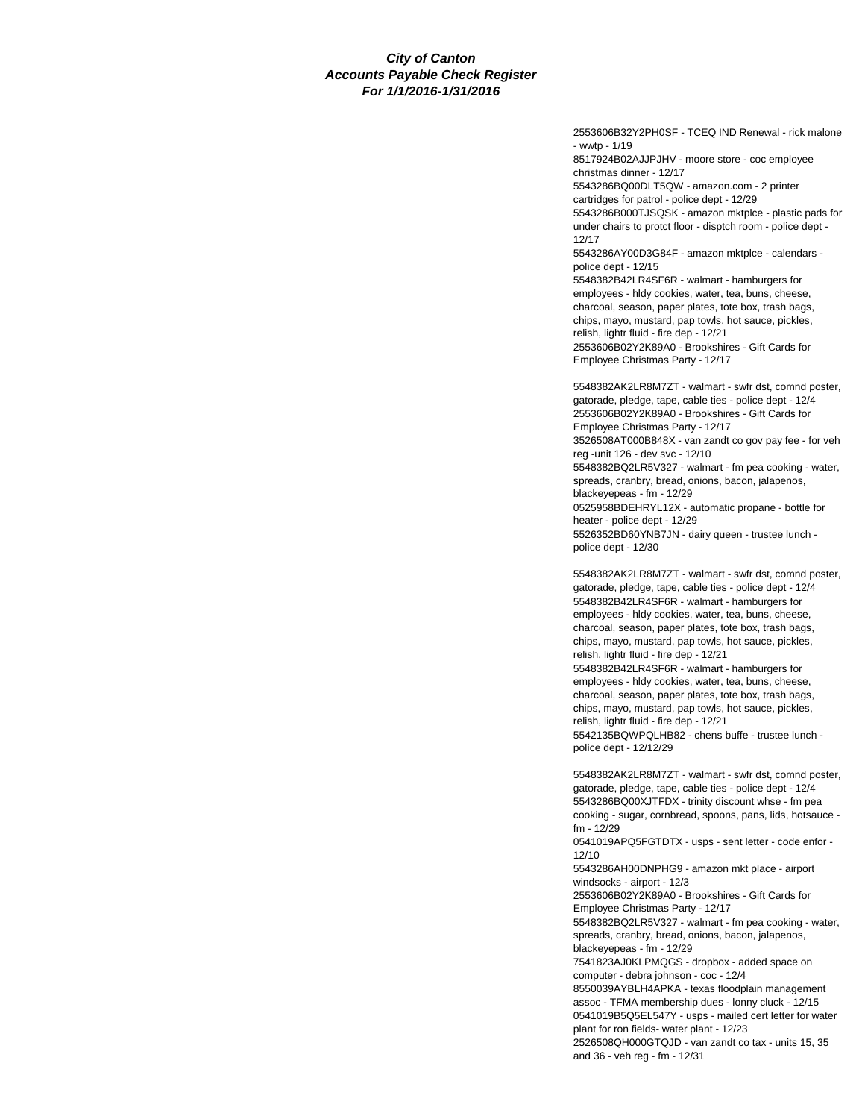2553606B32Y2PH0SF - TCEQ IND Renewal - rick malone - wwtp - 1/19 8517924B02AJJPJHV - moore store - coc employee christmas dinner - 12/17 5543286BQ00DLT5QW - amazon.com - 2 printer cartridges for patrol - police dept - 12/29 5543286B000TJSQSK - amazon mktplce - plastic pads for under chairs to protct floor - disptch room - police dept - 12/17 5543286AY00D3G84F - amazon mktplce - calendars police dept - 12/15 5548382B42LR4SF6R - walmart - hamburgers for employees - hldy cookies, water, tea, buns, cheese, charcoal, season, paper plates, tote box, trash bags, chips, mayo, mustard, pap towls, hot sauce, pickles, relish, lightr fluid - fire dep - 12/21 2553606B02Y2K89A0 - Brookshires - Gift Cards for Employee Christmas Party - 12/17

5548382AK2LR8M7ZT - walmart - swfr dst, comnd poster, gatorade, pledge, tape, cable ties - police dept - 12/4 2553606B02Y2K89A0 - Brookshires - Gift Cards for Employee Christmas Party - 12/17 3526508AT000B848X - van zandt co gov pay fee - for veh reg -unit 126 - dev svc - 12/10 5548382BQ2LR5V327 - walmart - fm pea cooking - water, spreads, cranbry, bread, onions, bacon, jalapenos, blackeyepeas - fm - 12/29 0525958BDEHRYL12X - automatic propane - bottle for heater - police dept - 12/29 5526352BD60YNB7JN - dairy queen - trustee lunch police dept - 12/30

5548382AK2LR8M7ZT - walmart - swfr dst, comnd poster, gatorade, pledge, tape, cable ties - police dept - 12/4 5548382B42LR4SF6R - walmart - hamburgers for employees - hldy cookies, water, tea, buns, cheese, charcoal, season, paper plates, tote box, trash bags, chips, mayo, mustard, pap towls, hot sauce, pickles, relish, lightr fluid - fire dep - 12/21 5548382B42LR4SF6R - walmart - hamburgers for employees - hldy cookies, water, tea, buns, cheese, charcoal, season, paper plates, tote box, trash bags, chips, mayo, mustard, pap towls, hot sauce, pickles, relish, lightr fluid - fire dep - 12/21 5542135BQWPQLHB82 - chens buffe - trustee lunch -

police dept - 12/12/29

5548382AK2LR8M7ZT - walmart - swfr dst, comnd poster, gatorade, pledge, tape, cable ties - police dept - 12/4 5543286BQ00XJTFDX - trinity discount whse - fm pea cooking - sugar, cornbread, spoons, pans, lids, hotsauce fm - 12/29

0541019APQ5FGTDTX - usps - sent letter - code enfor - 12/10

5543286AH00DNPHG9 - amazon mkt place - airport windsocks - airport - 12/3

2553606B02Y2K89A0 - Brookshires - Gift Cards for Employee Christmas Party - 12/17

5548382BQ2LR5V327 - walmart - fm pea cooking - water, spreads, cranbry, bread, onions, bacon, jalapenos, blackeyepeas - fm - 12/29

7541823AJ0KLPMQGS - dropbox - added space on computer - debra johnson - coc - 12/4

8550039AYBLH4APKA - texas floodplain management assoc - TFMA membership dues - lonny cluck - 12/15 0541019B5Q5EL547Y - usps - mailed cert letter for water

plant for ron fields- water plant - 12/23 2526508QH000GTQJD - van zandt co tax - units 15, 35

and 36 - veh reg - fm - 12/31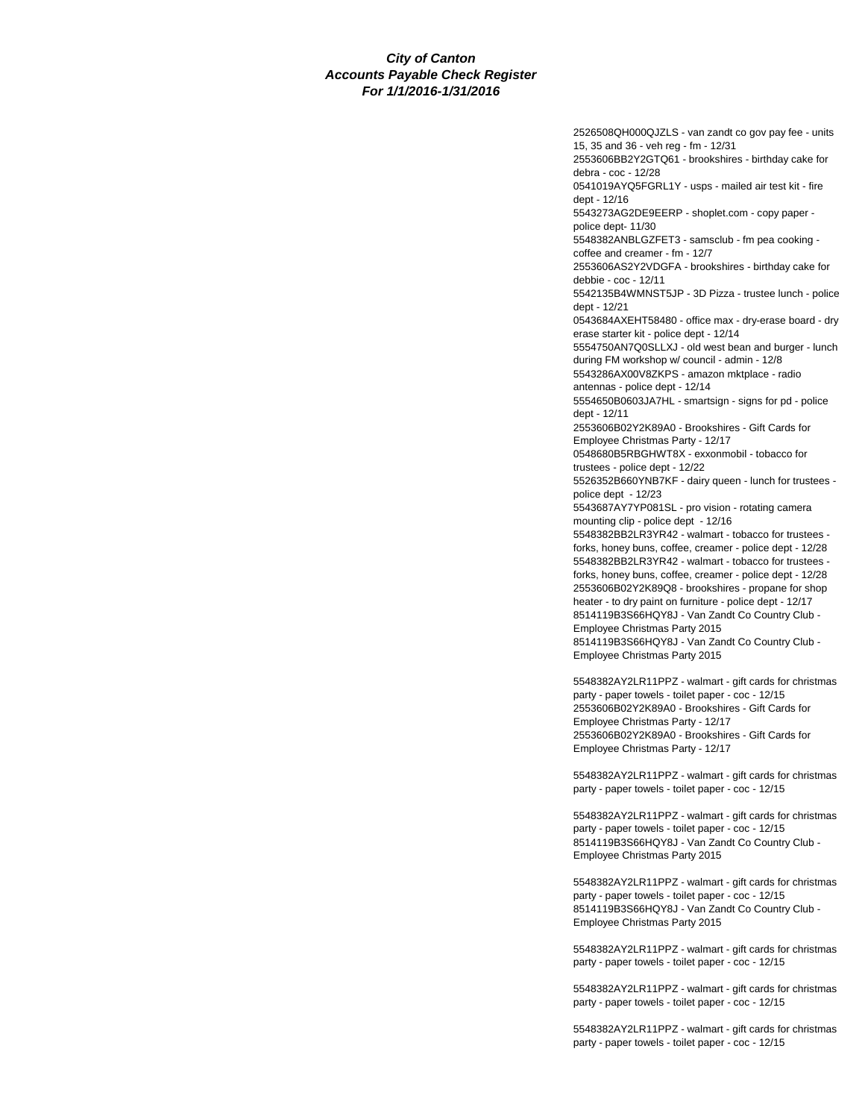2526508QH000QJZLS - van zandt co gov pay fee - units 15, 35 and 36 - veh reg - fm - 12/31 2553606BB2Y2GTQ61 - brookshires - birthday cake for debra - coc - 12/28 0541019AYQ5FGRL1Y - usps - mailed air test kit - fire dept - 12/16 5543273AG2DE9EERP - shoplet.com - copy paper police dept- 11/30 5548382ANBLGZFET3 - samsclub - fm pea cooking coffee and creamer - fm - 12/7 2553606AS2Y2VDGFA - brookshires - birthday cake for debbie - coc - 12/11 5542135B4WMNST5JP - 3D Pizza - trustee lunch - police dept - 12/21 0543684AXEHT58480 - office max - dry-erase board - dry erase starter kit - police dept - 12/14 5554750AN7Q0SLLXJ - old west bean and burger - lunch during FM workshop w/ council - admin - 12/8 5543286AX00V8ZKPS - amazon mktplace - radio antennas - police dept - 12/14 5554650B0603JA7HL - smartsign - signs for pd - police dept - 12/11 2553606B02Y2K89A0 - Brookshires - Gift Cards for Employee Christmas Party - 12/17 0548680B5RBGHWT8X - exxonmobil - tobacco for trustees - police dept - 12/22 5526352B660YNB7KF - dairy queen - lunch for trustees police dept - 12/23 5543687AY7YP081SL - pro vision - rotating camera mounting clip - police dept - 12/16 5548382BB2LR3YR42 - walmart - tobacco for trustees forks, honey buns, coffee, creamer - police dept - 12/28 5548382BB2LR3YR42 - walmart - tobacco for trustees forks, honey buns, coffee, creamer - police dept - 12/28 2553606B02Y2K89Q8 - brookshires - propane for shop heater - to dry paint on furniture - police dept - 12/17 8514119B3S66HQY8J - Van Zandt Co Country Club - Employee Christmas Party 2015 8514119B3S66HQY8J - Van Zandt Co Country Club - Employee Christmas Party 2015 5548382AY2LR11PPZ - walmart - gift cards for christmas party - paper towels - toilet paper - coc - 12/15 2553606B02Y2K89A0 - Brookshires - Gift Cards for Employee Christmas Party - 12/17 2553606B02Y2K89A0 - Brookshires - Gift Cards for Employee Christmas Party - 12/17 5548382AY2LR11PPZ - walmart - gift cards for christmas party - paper towels - toilet paper - coc - 12/15

5548382AY2LR11PPZ - walmart - gift cards for christmas party - paper towels - toilet paper - coc - 12/15 8514119B3S66HQY8J - Van Zandt Co Country Club - Employee Christmas Party 2015

5548382AY2LR11PPZ - walmart - gift cards for christmas party - paper towels - toilet paper - coc - 12/15 8514119B3S66HQY8J - Van Zandt Co Country Club - Employee Christmas Party 2015

5548382AY2LR11PPZ - walmart - gift cards for christmas party - paper towels - toilet paper - coc - 12/15

5548382AY2LR11PPZ - walmart - gift cards for christmas party - paper towels - toilet paper - coc - 12/15

5548382AY2LR11PPZ - walmart - gift cards for christmas party - paper towels - toilet paper - coc - 12/15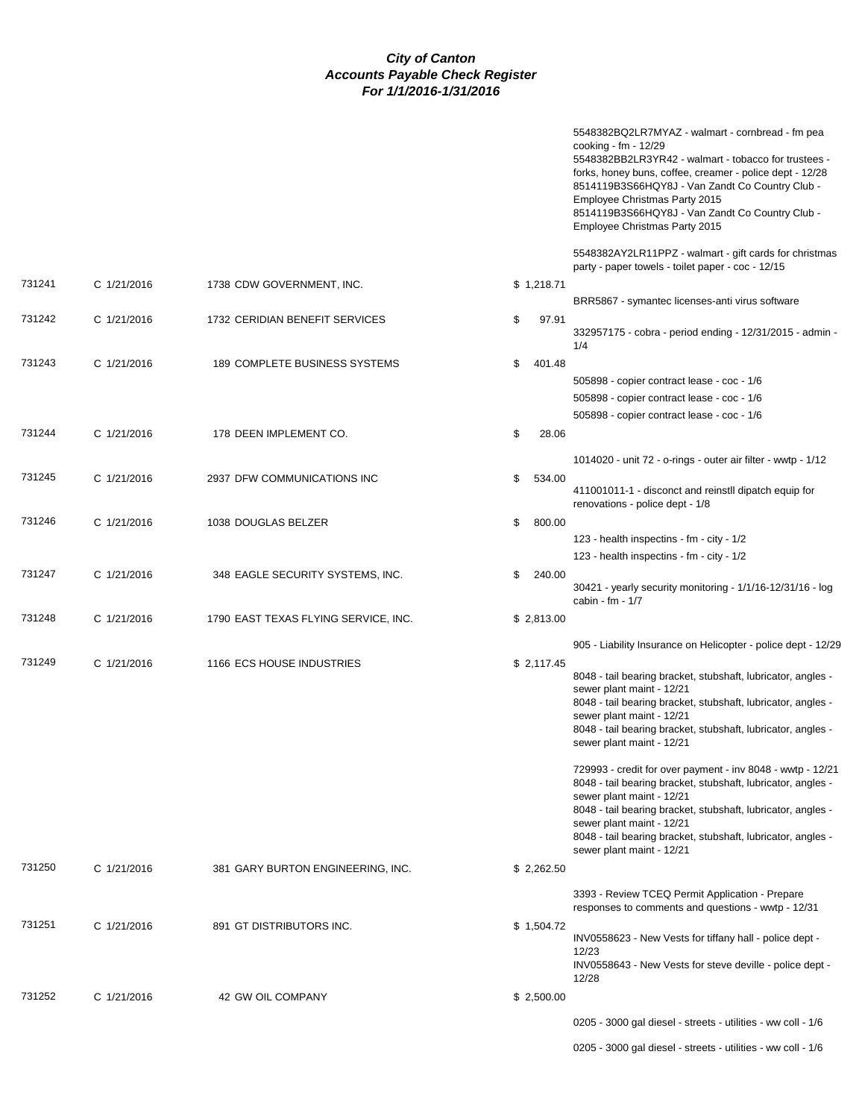|        |             |                                      |              | 5548382BQ2LR7MYAZ - walmart - cornbread - fm pea<br>cooking - fm - 12/29<br>5548382BB2LR3YR42 - walmart - tobacco for trustees -<br>forks, honey buns, coffee, creamer - police dept - 12/28<br>8514119B3S66HQY8J - Van Zandt Co Country Club -<br>Employee Christmas Party 2015<br>8514119B3S66HQY8J - Van Zandt Co Country Club -<br>Employee Christmas Party 2015 |
|--------|-------------|--------------------------------------|--------------|----------------------------------------------------------------------------------------------------------------------------------------------------------------------------------------------------------------------------------------------------------------------------------------------------------------------------------------------------------------------|
|        |             |                                      |              | 5548382AY2LR11PPZ - walmart - gift cards for christmas<br>party - paper towels - toilet paper - coc - 12/15                                                                                                                                                                                                                                                          |
| 731241 | C 1/21/2016 | 1738 CDW GOVERNMENT, INC.            | \$1,218.71   | BRR5867 - symantec licenses-anti virus software                                                                                                                                                                                                                                                                                                                      |
| 731242 | C 1/21/2016 | 1732 CERIDIAN BENEFIT SERVICES       | \$<br>97.91  | 332957175 - cobra - period ending - 12/31/2015 - admin -<br>1/4                                                                                                                                                                                                                                                                                                      |
| 731243 | C 1/21/2016 | <b>189 COMPLETE BUSINESS SYSTEMS</b> | \$<br>401.48 |                                                                                                                                                                                                                                                                                                                                                                      |
|        |             |                                      |              | 505898 - copier contract lease - coc - 1/6                                                                                                                                                                                                                                                                                                                           |
|        |             |                                      |              | 505898 - copier contract lease - coc - 1/6                                                                                                                                                                                                                                                                                                                           |
|        |             |                                      |              | 505898 - copier contract lease - coc - 1/6                                                                                                                                                                                                                                                                                                                           |
| 731244 | C 1/21/2016 | 178 DEEN IMPLEMENT CO.               | \$<br>28.06  |                                                                                                                                                                                                                                                                                                                                                                      |
|        |             |                                      |              | 1014020 - unit 72 - o-rings - outer air filter - wwtp - 1/12                                                                                                                                                                                                                                                                                                         |
| 731245 | C 1/21/2016 | 2937 DFW COMMUNICATIONS INC          | \$<br>534.00 | 411001011-1 - disconct and reinstil dipatch equip for<br>renovations - police dept - 1/8                                                                                                                                                                                                                                                                             |
| 731246 | C 1/21/2016 | 1038 DOUGLAS BELZER                  | \$<br>800.00 |                                                                                                                                                                                                                                                                                                                                                                      |
|        |             |                                      |              | 123 - health inspectins - fm - city - 1/2                                                                                                                                                                                                                                                                                                                            |
|        |             |                                      |              | 123 - health inspectins - fm - city - 1/2                                                                                                                                                                                                                                                                                                                            |
| 731247 | C 1/21/2016 | 348 EAGLE SECURITY SYSTEMS, INC.     | 240.00<br>\$ | 30421 - yearly security monitoring - 1/1/16-12/31/16 - log<br>cabin - fm - 1/7                                                                                                                                                                                                                                                                                       |
| 731248 | C 1/21/2016 | 1790 EAST TEXAS FLYING SERVICE, INC. | \$2,813.00   |                                                                                                                                                                                                                                                                                                                                                                      |
|        |             |                                      |              | 905 - Liability Insurance on Helicopter - police dept - 12/29                                                                                                                                                                                                                                                                                                        |
| 731249 | C 1/21/2016 | 1166 ECS HOUSE INDUSTRIES            | \$2,117.45   | 8048 - tail bearing bracket, stubshaft, lubricator, angles -<br>sewer plant maint - 12/21<br>8048 - tail bearing bracket, stubshaft, lubricator, angles -<br>sewer plant maint - 12/21<br>8048 - tail bearing bracket, stubshaft, lubricator, angles -<br>sewer plant maint - 12/21                                                                                  |
|        |             |                                      |              | 729993 - credit for over payment - inv 8048 - wwtp - 12/21<br>8048 - tail bearing bracket, stubshaft, lubricator, angles -<br>sewer plant maint - 12/21<br>8048 - tail bearing bracket, stubshaft, lubricator, angles -<br>sewer plant maint - 12/21<br>8048 - tail bearing bracket, stubshaft, lubricator, angles -<br>sewer plant maint - 12/21                    |
| 731250 | C 1/21/2016 | 381 GARY BURTON ENGINEERING, INC.    | \$2,262.50   |                                                                                                                                                                                                                                                                                                                                                                      |
|        |             |                                      |              | 3393 - Review TCEQ Permit Application - Prepare<br>responses to comments and questions - wwtp - 12/31                                                                                                                                                                                                                                                                |
| 731251 | C 1/21/2016 | 891 GT DISTRIBUTORS INC.             | \$1,504.72   | INV0558623 - New Vests for tiffany hall - police dept -<br>12/23<br>INV0558643 - New Vests for steve deville - police dept -<br>12/28                                                                                                                                                                                                                                |
| 731252 |             |                                      |              |                                                                                                                                                                                                                                                                                                                                                                      |
|        | C 1/21/2016 | 42 GW OIL COMPANY                    | \$2,500.00   | 0205 - 3000 gal diesel - streets - utilities - ww coll - 1/6                                                                                                                                                                                                                                                                                                         |
|        |             |                                      |              |                                                                                                                                                                                                                                                                                                                                                                      |
|        |             |                                      |              | 0205 - 3000 gal diesel - streets - utilities - ww coll - 1/6                                                                                                                                                                                                                                                                                                         |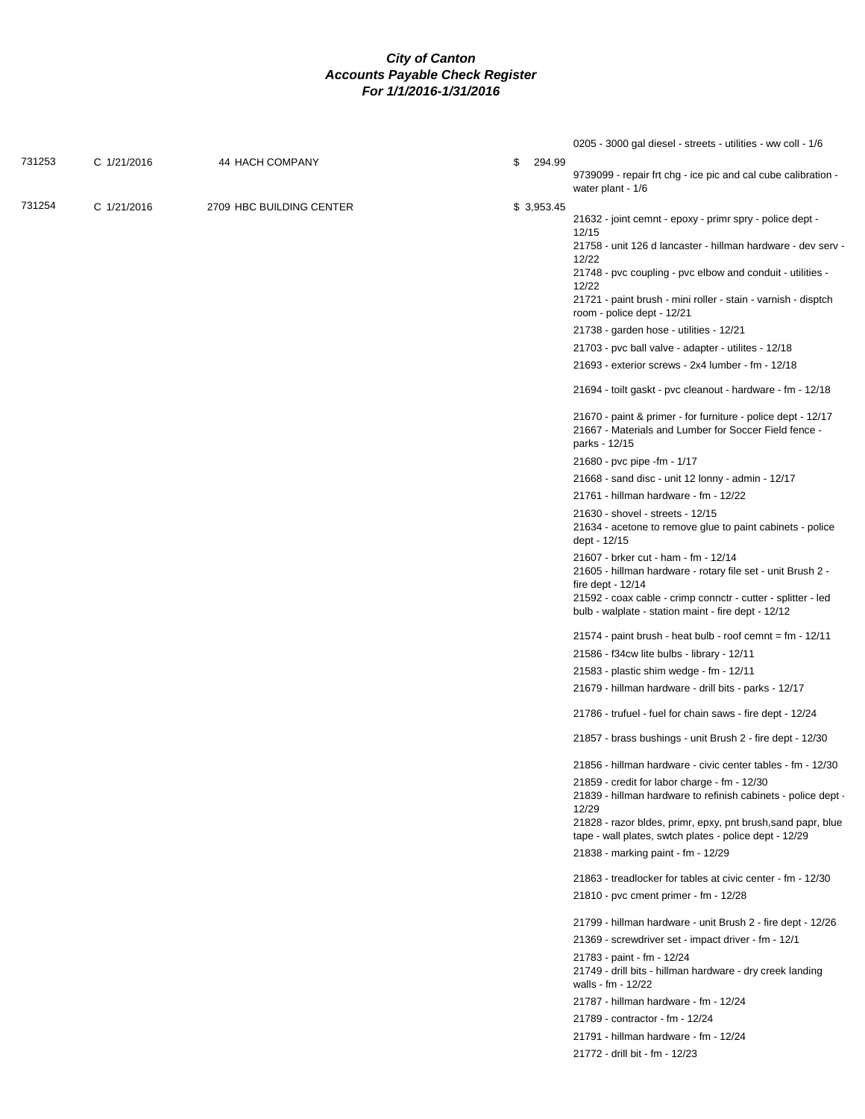|        |             |                          |              | 0205 - 3000 gal diesel - streets - utilities - ww coll - 1/6                                                                                                                                                                                                                                                     |
|--------|-------------|--------------------------|--------------|------------------------------------------------------------------------------------------------------------------------------------------------------------------------------------------------------------------------------------------------------------------------------------------------------------------|
| 731253 | C 1/21/2016 | 44 HACH COMPANY          | \$<br>294.99 | 9739099 - repair frt chg - ice pic and cal cube calibration -<br>water plant - 1/6                                                                                                                                                                                                                               |
| 731254 | C 1/21/2016 | 2709 HBC BUILDING CENTER | \$3,953.45   | 21632 - joint cemnt - epoxy - primr spry - police dept -<br>12/15<br>21758 - unit 126 d lancaster - hillman hardware - dev serv -<br>12/22<br>21748 - pvc coupling - pvc elbow and conduit - utilities -<br>12/22<br>21721 - paint brush - mini roller - stain - varnish - disptch<br>room - police dept - 12/21 |
|        |             |                          |              | 21738 - garden hose - utilities - 12/21                                                                                                                                                                                                                                                                          |
|        |             |                          |              | 21703 - pvc ball valve - adapter - utilites - 12/18                                                                                                                                                                                                                                                              |
|        |             |                          |              |                                                                                                                                                                                                                                                                                                                  |
|        |             |                          |              | 21693 - exterior screws - 2x4 lumber - fm - 12/18                                                                                                                                                                                                                                                                |
|        |             |                          |              | 21694 - toilt gaskt - pvc cleanout - hardware - fm - 12/18                                                                                                                                                                                                                                                       |
|        |             |                          |              | 21670 - paint & primer - for furniture - police dept - 12/17<br>21667 - Materials and Lumber for Soccer Field fence -<br>parks - 12/15                                                                                                                                                                           |
|        |             |                          |              | 21680 - pvc pipe -fm - 1/17                                                                                                                                                                                                                                                                                      |
|        |             |                          |              | 21668 - sand disc - unit 12 lonny - admin - 12/17                                                                                                                                                                                                                                                                |
|        |             |                          |              | 21761 - hillman hardware - fm - 12/22                                                                                                                                                                                                                                                                            |
|        |             |                          |              | 21630 - shovel - streets - 12/15<br>21634 - acetone to remove glue to paint cabinets - police<br>dept - 12/15                                                                                                                                                                                                    |
|        |             |                          |              | 21607 - brker cut - ham - fm - 12/14<br>21605 - hillman hardware - rotary file set - unit Brush 2 -<br>fire dept - $12/14$                                                                                                                                                                                       |
|        |             |                          |              | 21592 - coax cable - crimp connctr - cutter - splitter - led<br>bulb - walplate - station maint - fire dept - 12/12                                                                                                                                                                                              |
|        |             |                          |              | 21574 - paint brush - heat bulb - roof cemnt = $fm - 12/11$                                                                                                                                                                                                                                                      |
|        |             |                          |              | 21586 - f34cw lite bulbs - library - 12/11                                                                                                                                                                                                                                                                       |
|        |             |                          |              | 21583 - plastic shim wedge - fm - 12/11                                                                                                                                                                                                                                                                          |
|        |             |                          |              | 21679 - hillman hardware - drill bits - parks - 12/17                                                                                                                                                                                                                                                            |
|        |             |                          |              | 21786 - trufuel - fuel for chain saws - fire dept - 12/24                                                                                                                                                                                                                                                        |
|        |             |                          |              |                                                                                                                                                                                                                                                                                                                  |
|        |             |                          |              | 21857 - brass bushings - unit Brush 2 - fire dept - 12/30                                                                                                                                                                                                                                                        |
|        |             |                          |              | 21856 - hillman hardware - civic center tables - fm - 12/30                                                                                                                                                                                                                                                      |
|        |             |                          |              | 21859 - credit for labor charge - fm - 12/30<br>21839 - hillman hardware to refinish cabinets - police dept -<br>12/29                                                                                                                                                                                           |
|        |             |                          |              | 21828 - razor bldes, primr, epxy, pnt brush, sand papr, blue<br>tape - wall plates, swtch plates - police dept - 12/29                                                                                                                                                                                           |
|        |             |                          |              | 21838 - marking paint - fm - 12/29                                                                                                                                                                                                                                                                               |
|        |             |                          |              | 21863 - treadlocker for tables at civic center - fm - 12/30                                                                                                                                                                                                                                                      |
|        |             |                          |              | 21810 - pvc cment primer - fm - 12/28                                                                                                                                                                                                                                                                            |
|        |             |                          |              | 21799 - hillman hardware - unit Brush 2 - fire dept - 12/26                                                                                                                                                                                                                                                      |
|        |             |                          |              | 21369 - screwdriver set - impact driver - fm - 12/1                                                                                                                                                                                                                                                              |
|        |             |                          |              | 21783 - paint - fm - 12/24<br>21749 - drill bits - hillman hardware - dry creek landing<br>walls - fm - 12/22                                                                                                                                                                                                    |
|        |             |                          |              | 21787 - hillman hardware - fm - 12/24                                                                                                                                                                                                                                                                            |
|        |             |                          |              | 21789 - contractor - fm - 12/24                                                                                                                                                                                                                                                                                  |
|        |             |                          |              | 21791 - hillman hardware - fm - 12/24                                                                                                                                                                                                                                                                            |
|        |             |                          |              | 21772 - drill bit - fm - 12/23                                                                                                                                                                                                                                                                                   |
|        |             |                          |              |                                                                                                                                                                                                                                                                                                                  |
|        |             |                          |              |                                                                                                                                                                                                                                                                                                                  |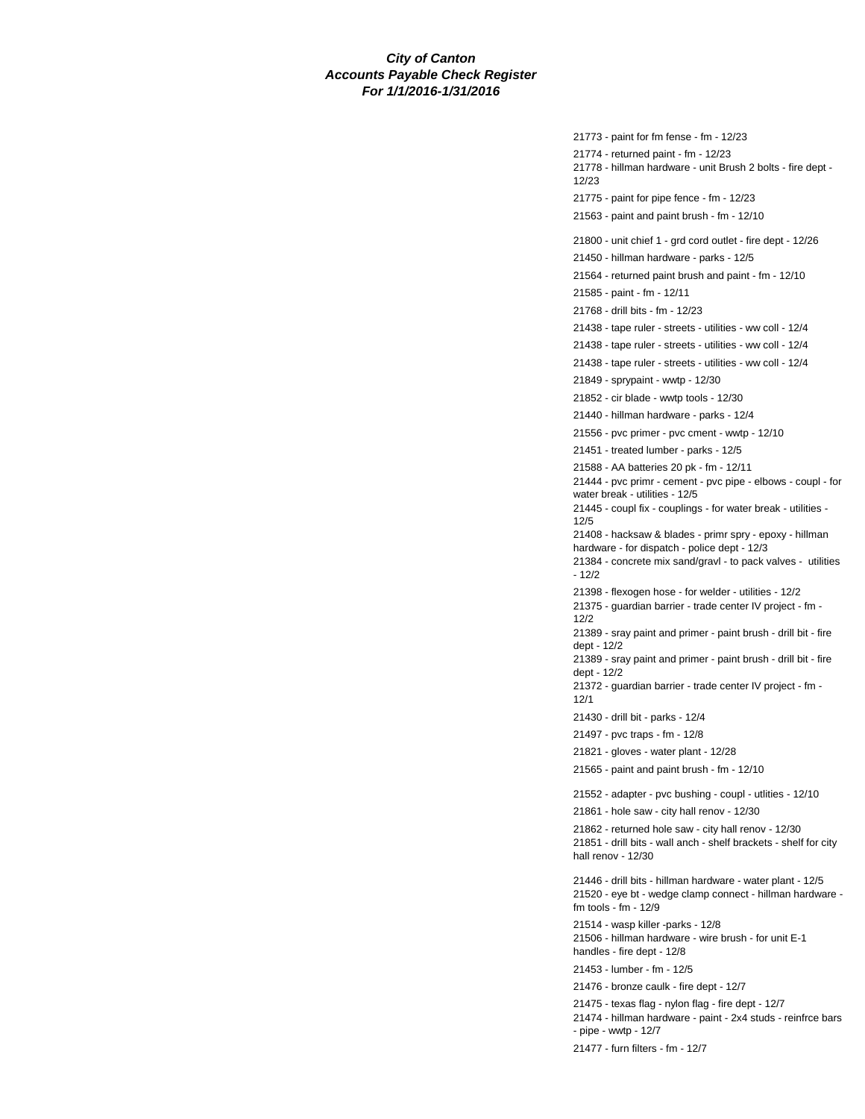21773 - paint for fm fense - fm - 12/23 21774 - returned paint - fm - 12/23 21778 - hillman hardware - unit Brush 2 bolts - fire dept - 12/23 21775 - paint for pipe fence - fm - 12/23 21563 - paint and paint brush - fm - 12/10 21800 - unit chief 1 - grd cord outlet - fire dept - 12/26 21450 - hillman hardware - parks - 12/5 21564 - returned paint brush and paint - fm - 12/10 21585 - paint - fm - 12/11 21768 - drill bits - fm - 12/23 21438 - tape ruler - streets - utilities - ww coll - 12/4 21438 - tape ruler - streets - utilities - ww coll - 12/4 21438 - tape ruler - streets - utilities - ww coll - 12/4 21849 - sprypaint - wwtp - 12/30 21852 - cir blade - wwtp tools - 12/30 21440 - hillman hardware - parks - 12/4 21556 - pvc primer - pvc cment - wwtp - 12/10 21451 - treated lumber - parks - 12/5 21588 - AA batteries 20 pk - fm - 12/11 21444 - pvc primr - cement - pvc pipe - elbows - coupl - for water break - utilities - 12/5 21445 - coupl fix - couplings - for water break - utilities - 12/5 21408 - hacksaw & blades - primr spry - epoxy - hillman hardware - for dispatch - police dept - 12/3 21384 - concrete mix sand/gravl - to pack valves - utilities - 12/2 21398 - flexogen hose - for welder - utilities - 12/2 21375 - guardian barrier - trade center IV project - fm - 12/2 21389 - sray paint and primer - paint brush - drill bit - fire dept - 12/2 21389 - sray paint and primer - paint brush - drill bit - fire dept - 12/2 21372 - guardian barrier - trade center IV project - fm - 12/1 21430 - drill bit - parks - 12/4 21497 - pvc traps - fm - 12/8 21821 - gloves - water plant - 12/28 21565 - paint and paint brush - fm - 12/10 21552 - adapter - pvc bushing - coupl - utlities - 12/10 21861 - hole saw - city hall renov - 12/30 21862 - returned hole saw - city hall renov - 12/30 21851 - drill bits - wall anch - shelf brackets - shelf for city hall renov - 12/30 21446 - drill bits - hillman hardware - water plant - 12/5 21520 - eye bt - wedge clamp connect - hillman hardware fm tools - fm - 12/9 21514 - wasp killer -parks - 12/8 21506 - hillman hardware - wire brush - for unit E-1 handles - fire dept - 12/8 21453 - lumber - fm - 12/5 21476 - bronze caulk - fire dept - 12/7 21475 - texas flag - nylon flag - fire dept - 12/7 21474 - hillman hardware - paint - 2x4 studs - reinfrce bars - pipe - wwtp - 12/7

21477 - furn filters - fm - 12/7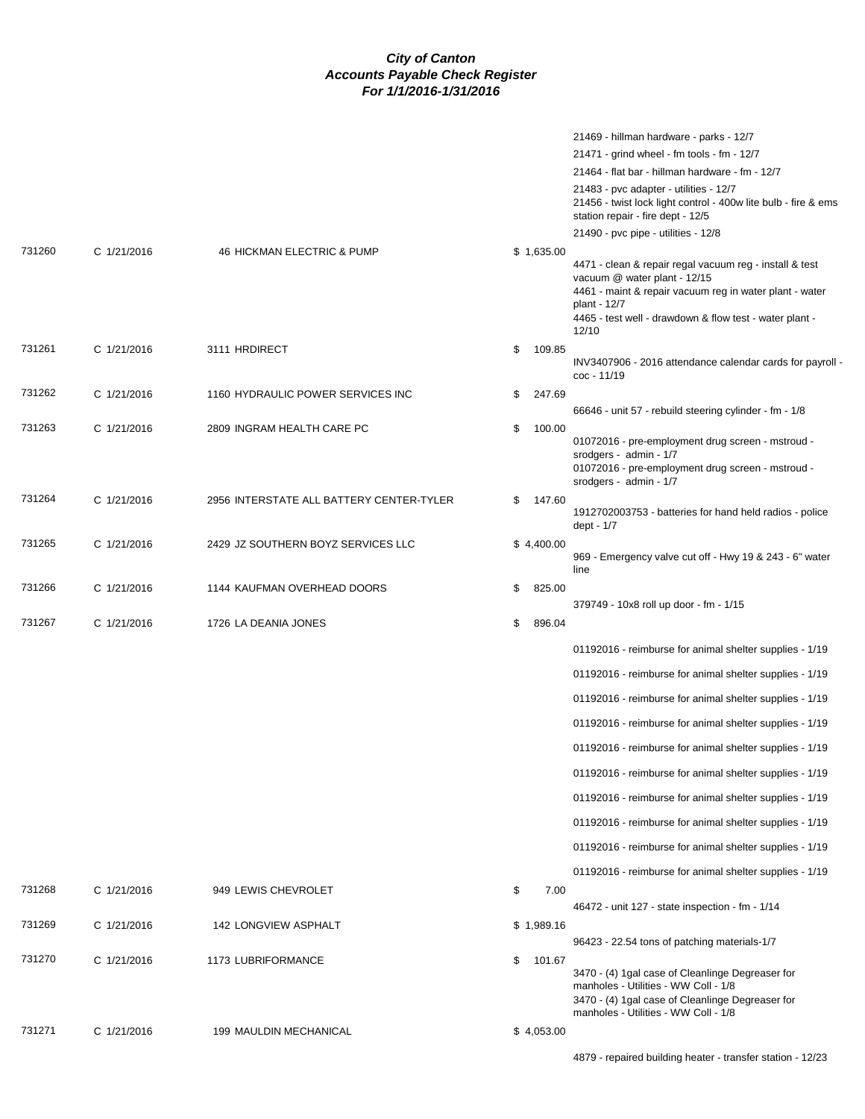|        |             |                                          |              | 21469 - hillman hardware - parks - 12/7                                                                                                                                                                                                |
|--------|-------------|------------------------------------------|--------------|----------------------------------------------------------------------------------------------------------------------------------------------------------------------------------------------------------------------------------------|
|        |             |                                          |              | 21471 - grind wheel - fm tools - fm - 12/7                                                                                                                                                                                             |
|        |             |                                          |              | 21464 - flat bar - hillman hardware - fm - 12/7                                                                                                                                                                                        |
|        |             |                                          |              | 21483 - pvc adapter - utilities - 12/7<br>21456 - twist lock light control - 400w lite bulb - fire & ems<br>station repair - fire dept - 12/5                                                                                          |
|        |             |                                          |              | 21490 - pvc pipe - utilities - 12/8                                                                                                                                                                                                    |
| 731260 | C 1/21/2016 | 46 HICKMAN ELECTRIC & PUMP               | \$1,635.00   | 4471 - clean & repair regal vacuum reg - install & test<br>vacuum @ water plant - 12/15<br>4461 - maint & repair vacuum reg in water plant - water<br>plant - 12/7<br>4465 - test well - drawdown & flow test - water plant -<br>12/10 |
| 731261 | C 1/21/2016 | 3111 HRDIRECT                            | \$<br>109.85 | INV3407906 - 2016 attendance calendar cards for payroll -<br>coc - 11/19                                                                                                                                                               |
| 731262 | C 1/21/2016 | 1160 HYDRAULIC POWER SERVICES INC        | \$<br>247.69 |                                                                                                                                                                                                                                        |
|        |             |                                          |              | 66646 - unit 57 - rebuild steering cylinder - fm - 1/8                                                                                                                                                                                 |
| 731263 | C 1/21/2016 | 2809 INGRAM HEALTH CARE PC               | \$<br>100.00 | 01072016 - pre-employment drug screen - mstroud -<br>srodgers - admin - 1/7<br>01072016 - pre-employment drug screen - mstroud -<br>srodgers - admin - 1/7                                                                             |
| 731264 | C 1/21/2016 | 2956 INTERSTATE ALL BATTERY CENTER-TYLER | \$<br>147.60 | 1912702003753 - batteries for hand held radios - police<br>dept - 1/7                                                                                                                                                                  |
| 731265 | C 1/21/2016 | 2429 JZ SOUTHERN BOYZ SERVICES LLC       | \$4,400.00   | 969 - Emergency valve cut off - Hwy 19 & 243 - 6" water<br>line                                                                                                                                                                        |
| 731266 | C 1/21/2016 | 1144 KAUFMAN OVERHEAD DOORS              | \$<br>825.00 |                                                                                                                                                                                                                                        |
|        |             |                                          |              | 379749 - 10x8 roll up door - fm - 1/15                                                                                                                                                                                                 |
| 731267 | C 1/21/2016 | 1726 LA DEANIA JONES                     | \$<br>896.04 |                                                                                                                                                                                                                                        |
|        |             |                                          |              | 01192016 - reimburse for animal shelter supplies - 1/19                                                                                                                                                                                |
|        |             |                                          |              | 01192016 - reimburse for animal shelter supplies - 1/19                                                                                                                                                                                |
|        |             |                                          |              | 01192016 - reimburse for animal shelter supplies - 1/19                                                                                                                                                                                |
|        |             |                                          |              | 01192016 - reimburse for animal shelter supplies - 1/19                                                                                                                                                                                |
|        |             |                                          |              | 01192016 - reimburse for animal shelter supplies - 1/19                                                                                                                                                                                |
|        |             |                                          |              | 01192016 - reimburse for animal shelter supplies - 1/19                                                                                                                                                                                |
|        |             |                                          |              | 01192016 - reimburse for animal shelter supplies - 1/19                                                                                                                                                                                |
|        |             |                                          |              | 01192016 - reimburse for animal shelter supplies - 1/19                                                                                                                                                                                |
|        |             |                                          |              | 01192016 - reimburse for animal shelter supplies - 1/19                                                                                                                                                                                |
|        |             |                                          |              | 01192016 - reimburse for animal shelter supplies - 1/19                                                                                                                                                                                |
| 731268 | C 1/21/2016 | 949 LEWIS CHEVROLET                      | \$<br>7.00   | 46472 - unit 127 - state inspection - fm - 1/14                                                                                                                                                                                        |
| 731269 | C 1/21/2016 | 142 LONGVIEW ASPHALT                     | \$1,989.16   |                                                                                                                                                                                                                                        |
|        |             |                                          |              | 96423 - 22.54 tons of patching materials-1/7                                                                                                                                                                                           |
| 731270 | C 1/21/2016 | 1173 LUBRIFORMANCE                       | \$<br>101.67 | 3470 - (4) 1gal case of Cleanlinge Degreaser for<br>manholes - Utilities - WW Coll - 1/8<br>3470 - (4) 1gal case of Cleanlinge Degreaser for<br>manholes - Utilities - WW Coll - 1/8                                                   |
| 731271 | C 1/21/2016 | 199 MAULDIN MECHANICAL                   | \$4,053.00   |                                                                                                                                                                                                                                        |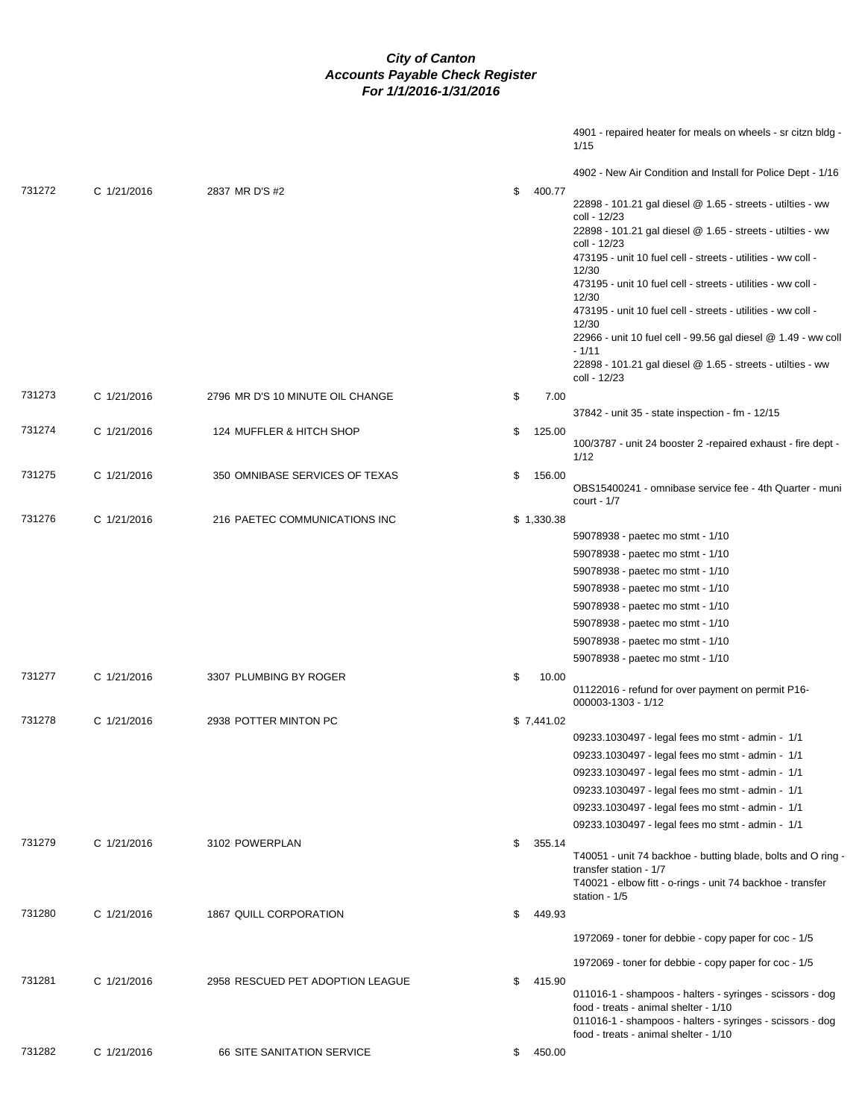|      | 4901 - repaired heater for meals on wheels - sr citzn bldg - |  |  |  |
|------|--------------------------------------------------------------|--|--|--|
| 1/15 |                                                              |  |  |  |

|        |             |                                  |              | 4902 - New Air Condition and Install for Police Dept - 1/16                                                                                                                                                                                                                                                                                                                                                                                                                                                                                   |
|--------|-------------|----------------------------------|--------------|-----------------------------------------------------------------------------------------------------------------------------------------------------------------------------------------------------------------------------------------------------------------------------------------------------------------------------------------------------------------------------------------------------------------------------------------------------------------------------------------------------------------------------------------------|
| 731272 | C 1/21/2016 | 2837 MR D'S #2                   | \$<br>400.77 | 22898 - 101.21 gal diesel @ 1.65 - streets - utilties - ww<br>coll - 12/23<br>22898 - 101.21 gal diesel @ 1.65 - streets - utilties - ww<br>coll - 12/23<br>473195 - unit 10 fuel cell - streets - utilities - ww coll -<br>12/30<br>473195 - unit 10 fuel cell - streets - utilities - ww coll -<br>12/30<br>473195 - unit 10 fuel cell - streets - utilities - ww coll -<br>12/30<br>22966 - unit 10 fuel cell - 99.56 gal diesel @ 1.49 - ww coll<br>$-1/11$<br>22898 - 101.21 gal diesel @ 1.65 - streets - utilties - ww<br>coll - 12/23 |
| 731273 | C 1/21/2016 | 2796 MR D'S 10 MINUTE OIL CHANGE | 7.00<br>\$   | 37842 - unit 35 - state inspection - fm - 12/15                                                                                                                                                                                                                                                                                                                                                                                                                                                                                               |
| 731274 | C 1/21/2016 | 124 MUFFLER & HITCH SHOP         | \$<br>125.00 | 100/3787 - unit 24 booster 2 -repaired exhaust - fire dept -<br>1/12                                                                                                                                                                                                                                                                                                                                                                                                                                                                          |
| 731275 | C 1/21/2016 | 350 OMNIBASE SERVICES OF TEXAS   | \$<br>156.00 | OBS15400241 - omnibase service fee - 4th Quarter - muni<br>court - $1/7$                                                                                                                                                                                                                                                                                                                                                                                                                                                                      |
| 731276 | C 1/21/2016 | 216 PAETEC COMMUNICATIONS INC    | \$1,330.38   | 59078938 - paetec mo stmt - 1/10<br>59078938 - paetec mo stmt - 1/10<br>59078938 - paetec mo stmt - 1/10<br>59078938 - paetec mo stmt - 1/10<br>59078938 - paetec mo stmt - 1/10<br>59078938 - paetec mo stmt - 1/10<br>59078938 - paetec mo stmt - 1/10<br>59078938 - paetec mo stmt - 1/10                                                                                                                                                                                                                                                  |
| 731277 | C 1/21/2016 | 3307 PLUMBING BY ROGER           | \$<br>10.00  | 01122016 - refund for over payment on permit P16-<br>000003-1303 - 1/12                                                                                                                                                                                                                                                                                                                                                                                                                                                                       |
| 731278 | C 1/21/2016 | 2938 POTTER MINTON PC            | \$7,441.02   | 09233.1030497 - legal fees mo stmt - admin - 1/1<br>09233.1030497 - legal fees mo stmt - admin - 1/1<br>09233.1030497 - legal fees mo stmt - admin - 1/1<br>09233.1030497 - legal fees mo stmt - admin - 1/1<br>09233.1030497 - legal fees mo stmt - admin - 1/1<br>09233.1030497 - legal fees mo stmt - admin - 1/1                                                                                                                                                                                                                          |
| 731279 | C 1/21/2016 | 3102 POWERPLAN                   | \$<br>355.14 | T40051 - unit 74 backhoe - butting blade, bolts and O ring -<br>transfer station - 1/7<br>T40021 - elbow fitt - o-rings - unit 74 backhoe - transfer<br>station - 1/5                                                                                                                                                                                                                                                                                                                                                                         |
| 731280 | C 1/21/2016 | 1867 QUILL CORPORATION           | \$<br>449.93 | 1972069 - toner for debbie - copy paper for coc - 1/5                                                                                                                                                                                                                                                                                                                                                                                                                                                                                         |
| 731281 | C 1/21/2016 | 2958 RESCUED PET ADOPTION LEAGUE | \$<br>415.90 | 1972069 - toner for debbie - copy paper for coc - 1/5<br>011016-1 - shampoos - halters - syringes - scissors - dog<br>food - treats - animal shelter - 1/10<br>011016-1 - shampoos - halters - syringes - scissors - dog<br>food - treats - animal shelter - 1/10                                                                                                                                                                                                                                                                             |
| 731282 | C 1/21/2016 | 66 SITE SANITATION SERVICE       | \$450.00     |                                                                                                                                                                                                                                                                                                                                                                                                                                                                                                                                               |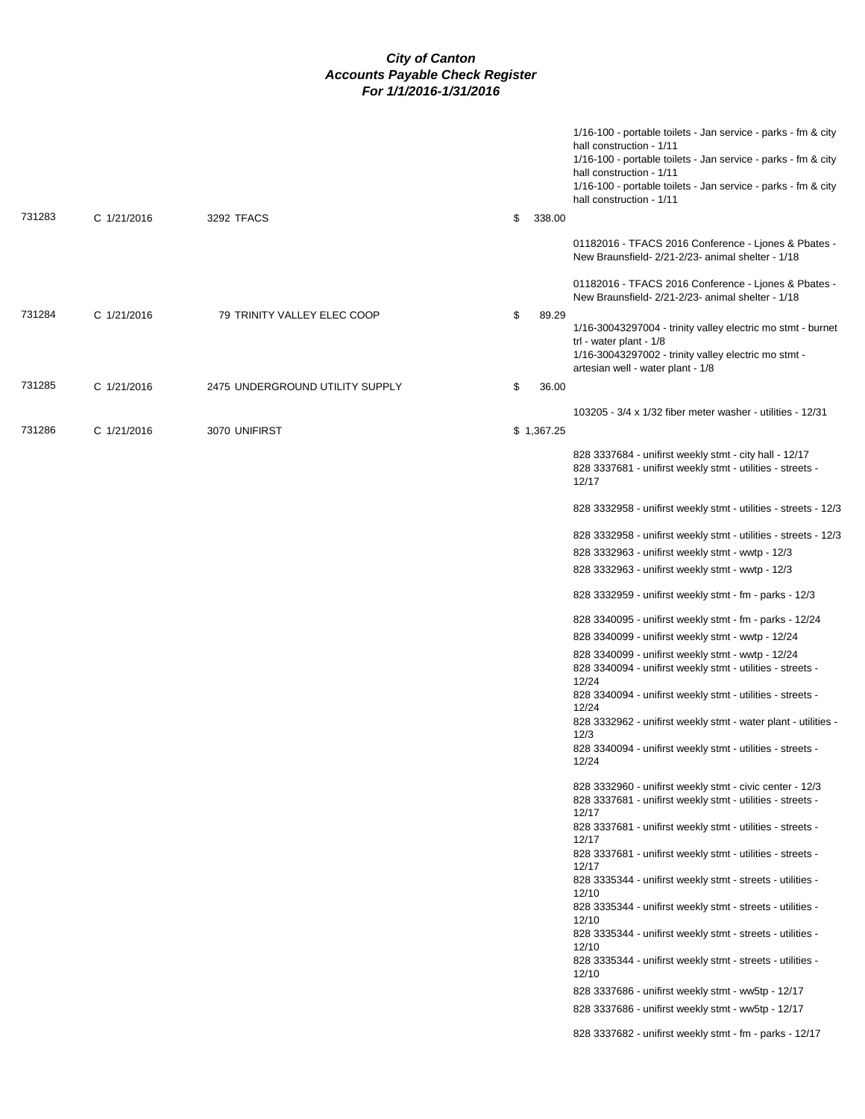|        |             |                                 |              | 1/16-100 - portable toilets - Jan service - parks - fm & city<br>hall construction - 1/11<br>1/16-100 - portable toilets - Jan service - parks - fm & city<br>hall construction - 1/11<br>1/16-100 - portable toilets - Jan service - parks - fm & city<br>hall construction - 1/11 |
|--------|-------------|---------------------------------|--------------|-------------------------------------------------------------------------------------------------------------------------------------------------------------------------------------------------------------------------------------------------------------------------------------|
| 731283 | C 1/21/2016 | 3292 TFACS                      | \$<br>338.00 |                                                                                                                                                                                                                                                                                     |
|        |             |                                 |              | 01182016 - TFACS 2016 Conference - Ljones & Pbates -<br>New Braunsfield- 2/21-2/23- animal shelter - 1/18                                                                                                                                                                           |
|        |             |                                 |              | 01182016 - TFACS 2016 Conference - Ljones & Pbates -<br>New Braunsfield- 2/21-2/23- animal shelter - 1/18                                                                                                                                                                           |
| 731284 | C 1/21/2016 | 79 TRINITY VALLEY ELEC COOP     | \$<br>89.29  | 1/16-30043297004 - trinity valley electric mo stmt - burnet<br>trl - water plant - 1/8                                                                                                                                                                                              |
|        |             |                                 |              | 1/16-30043297002 - trinity valley electric mo stmt -<br>artesian well - water plant - 1/8                                                                                                                                                                                           |
| 731285 | C 1/21/2016 | 2475 UNDERGROUND UTILITY SUPPLY | \$<br>36.00  |                                                                                                                                                                                                                                                                                     |
|        |             |                                 |              | 103205 - 3/4 x 1/32 fiber meter washer - utilities - 12/31                                                                                                                                                                                                                          |
| 731286 | C 1/21/2016 | 3070 UNIFIRST                   | \$1,367.25   |                                                                                                                                                                                                                                                                                     |
|        |             |                                 |              | 828 3337684 - unifirst weekly stmt - city hall - 12/17<br>828 3337681 - unifirst weekly stmt - utilities - streets -<br>12/17                                                                                                                                                       |
|        |             |                                 |              | 828 3332958 - unifirst weekly stmt - utilities - streets - 12/3                                                                                                                                                                                                                     |
|        |             |                                 |              | 828 3332958 - unifirst weekly stmt - utilities - streets - 12/3                                                                                                                                                                                                                     |
|        |             |                                 |              | 828 3332963 - unifirst weekly stmt - wwtp - 12/3                                                                                                                                                                                                                                    |
|        |             |                                 |              | 828 3332963 - unifirst weekly stmt - wwtp - 12/3                                                                                                                                                                                                                                    |
|        |             |                                 |              | 828 3332959 - unifirst weekly stmt - fm - parks - 12/3                                                                                                                                                                                                                              |
|        |             |                                 |              | 828 3340095 - unifirst weekly stmt - fm - parks - 12/24                                                                                                                                                                                                                             |
|        |             |                                 |              | 828 3340099 - unifirst weekly stmt - wwtp - 12/24                                                                                                                                                                                                                                   |
|        |             |                                 |              | 828 3340099 - unifirst weekly stmt - wwtp - 12/24                                                                                                                                                                                                                                   |
|        |             |                                 |              | 828 3340094 - unifirst weekly stmt - utilities - streets -<br>12/24                                                                                                                                                                                                                 |
|        |             |                                 |              | 828 3340094 - unifirst weekly stmt - utilities - streets -<br>12/24                                                                                                                                                                                                                 |
|        |             |                                 |              | 828 3332962 - unifirst weekly stmt - water plant - utilities -                                                                                                                                                                                                                      |
|        |             |                                 |              | 12/3<br>828 3340094 - unifirst weekly stmt - utilities - streets -                                                                                                                                                                                                                  |
|        |             |                                 |              | 12/24                                                                                                                                                                                                                                                                               |
|        |             |                                 |              | 828 3332960 - unifirst weekly stmt - civic center - 12/3<br>828 3337681 - unifirst weekly stmt - utilities - streets -                                                                                                                                                              |
|        |             |                                 |              | 12/17<br>828 3337681 - unifirst weekly stmt - utilities - streets -<br>12/17                                                                                                                                                                                                        |
|        |             |                                 |              | 828 3337681 - unifirst weekly stmt - utilities - streets -                                                                                                                                                                                                                          |
|        |             |                                 |              | 12/17<br>828 3335344 - unifirst weekly stmt - streets - utilities -                                                                                                                                                                                                                 |
|        |             |                                 |              | 12/10<br>828 3335344 - unifirst weekly stmt - streets - utilities -                                                                                                                                                                                                                 |
|        |             |                                 |              | 12/10<br>828 3335344 - unifirst weekly stmt - streets - utilities -                                                                                                                                                                                                                 |
|        |             |                                 |              | 12/10<br>828 3335344 - unifirst weekly stmt - streets - utilities -<br>12/10                                                                                                                                                                                                        |
|        |             |                                 |              | 828 3337686 - unifirst weekly stmt - ww5tp - 12/17                                                                                                                                                                                                                                  |
|        |             |                                 |              | 828 3337686 - unifirst weekly stmt - ww5tp - 12/17                                                                                                                                                                                                                                  |
|        |             |                                 |              | 828 3337682 - unifirst weekly stmt - fm - parks - 12/17                                                                                                                                                                                                                             |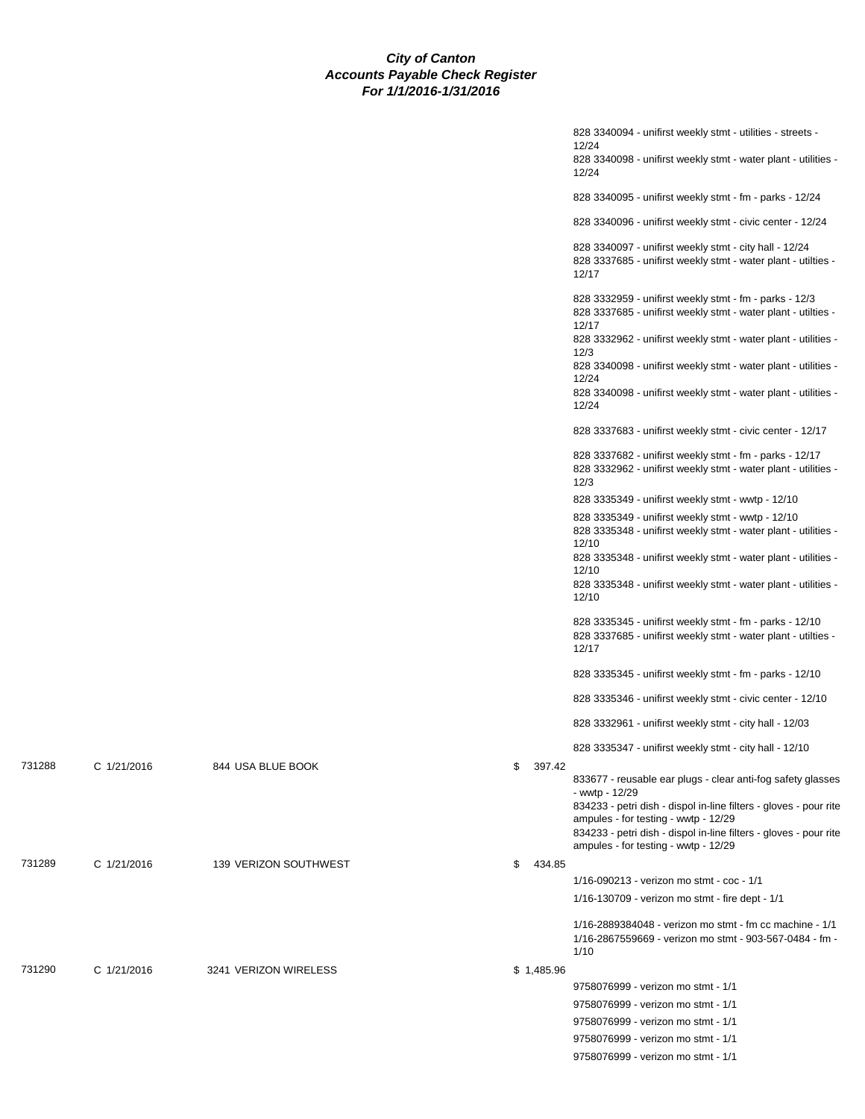|        |             |                       |              | 828 3340094 - unifirst weekly stmt - utilities - streets -<br>12/24<br>828 3340098 - unifirst weekly stmt - water plant - utilities -<br>12/24                                                     |
|--------|-------------|-----------------------|--------------|----------------------------------------------------------------------------------------------------------------------------------------------------------------------------------------------------|
|        |             |                       |              | 828 3340095 - unifirst weekly stmt - fm - parks - 12/24                                                                                                                                            |
|        |             |                       |              | 828 3340096 - unifirst weekly stmt - civic center - 12/24                                                                                                                                          |
|        |             |                       |              | 828 3340097 - unifirst weekly stmt - city hall - 12/24<br>828 3337685 - unifirst weekly stmt - water plant - utilties -<br>12/17                                                                   |
|        |             |                       |              | 828 3332959 - unifirst weekly stmt - fm - parks - 12/3<br>828 3337685 - unifirst weekly stmt - water plant - utilties -<br>12/17<br>828 3332962 - unifirst weekly stmt - water plant - utilities - |
|        |             |                       |              | 12/3<br>828 3340098 - unifirst weekly stmt - water plant - utilities -                                                                                                                             |
|        |             |                       |              | 12/24<br>828 3340098 - unifirst weekly stmt - water plant - utilities -<br>12/24                                                                                                                   |
|        |             |                       |              | 828 3337683 - unifirst weekly stmt - civic center - 12/17                                                                                                                                          |
|        |             |                       |              | 828 3337682 - unifirst weekly stmt - fm - parks - 12/17<br>828 3332962 - unifirst weekly stmt - water plant - utilities -<br>12/3                                                                  |
|        |             |                       |              | 828 3335349 - unifirst weekly stmt - wwtp - 12/10                                                                                                                                                  |
|        |             |                       |              | 828 3335349 - unifirst weekly stmt - wwtp - 12/10<br>828 3335348 - unifirst weekly stmt - water plant - utilities -<br>12/10                                                                       |
|        |             |                       |              | 828 3335348 - unifirst weekly stmt - water plant - utilities -<br>12/10                                                                                                                            |
|        |             |                       |              | 828 3335348 - unifirst weekly stmt - water plant - utilities -<br>12/10                                                                                                                            |
|        |             |                       |              | 828 3335345 - unifirst weekly stmt - fm - parks - 12/10<br>828 3337685 - unifirst weekly stmt - water plant - utilties -<br>12/17                                                                  |
|        |             |                       |              | 828 3335345 - unifirst weekly stmt - fm - parks - 12/10                                                                                                                                            |
|        |             |                       |              | 828 3335346 - unifirst weekly stmt - civic center - 12/10                                                                                                                                          |
|        |             |                       |              | 828 3332961 - unifirst weekly stmt - city hall - 12/03                                                                                                                                             |
|        |             |                       |              | 828 3335347 - unifirst weekly stmt - city hall - 12/10                                                                                                                                             |
| 731288 | C 1/21/2016 | 844 USA BLUE BOOK     | \$<br>397.42 | 833677 - reusable ear plugs - clear anti-fog safety glasses<br>- wwtp - 12/29                                                                                                                      |
|        |             |                       |              | 834233 - petri dish - dispol in-line filters - gloves - pour rite<br>ampules - for testing - wwtp - 12/29                                                                                          |
|        |             |                       |              | 834233 - petri dish - dispol in-line filters - gloves - pour rite<br>ampules - for testing - wwtp - 12/29                                                                                          |
| 731289 | C 1/21/2016 | 139 VERIZON SOUTHWEST | \$<br>434.85 |                                                                                                                                                                                                    |
|        |             |                       |              | 1/16-090213 - verizon mo stmt - coc - 1/1                                                                                                                                                          |
|        |             |                       |              | 1/16-130709 - verizon mo stmt - fire dept - 1/1                                                                                                                                                    |
|        |             |                       |              | 1/16-2889384048 - verizon mo stmt - fm cc machine - 1/1<br>1/16-2867559669 - verizon mo stmt - 903-567-0484 - fm -<br>1/10                                                                         |
| 731290 | C 1/21/2016 | 3241 VERIZON WIRELESS | \$1,485.96   |                                                                                                                                                                                                    |
|        |             |                       |              | 9758076999 - verizon mo stmt - 1/1                                                                                                                                                                 |
|        |             |                       |              | 9758076999 - verizon mo stmt - 1/1                                                                                                                                                                 |
|        |             |                       |              | 9758076999 - verizon mo stmt - 1/1                                                                                                                                                                 |
|        |             |                       |              | 9758076999 - verizon mo stmt - 1/1                                                                                                                                                                 |
|        |             |                       |              | 9758076999 - verizon mo stmt - 1/1                                                                                                                                                                 |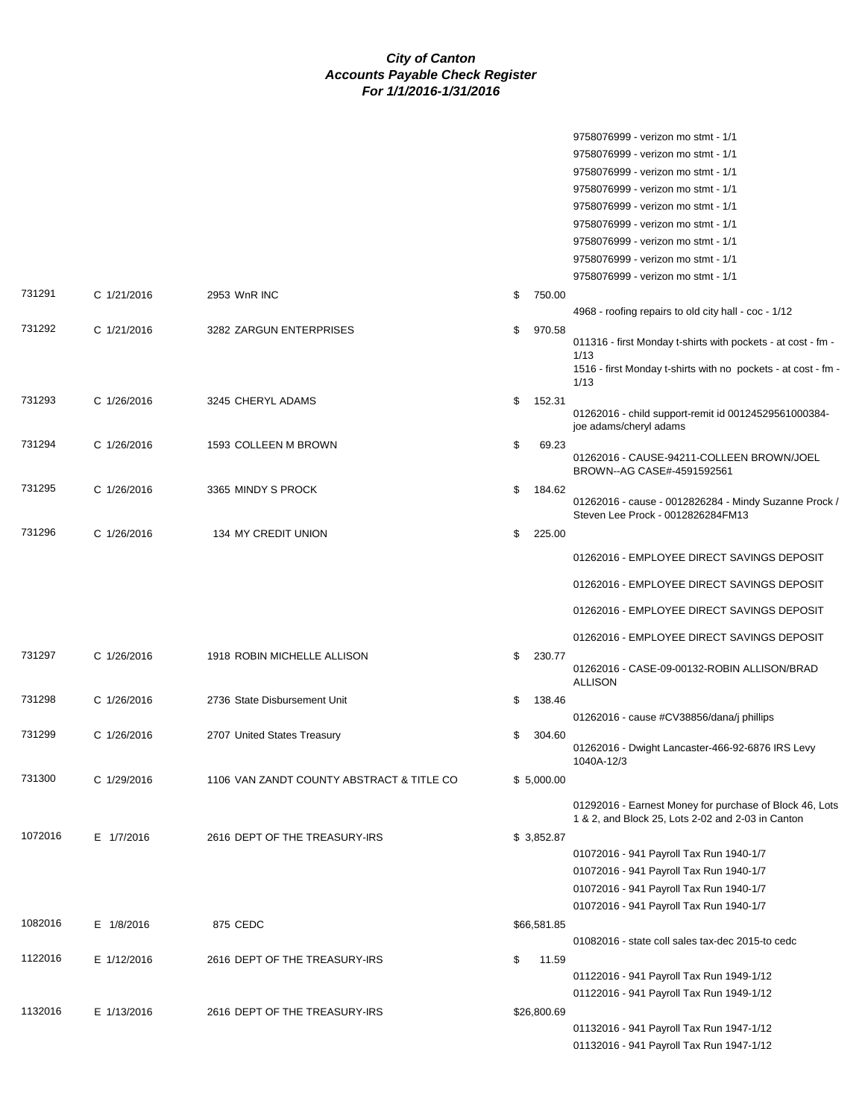|         |             |                                           |              | 9758076999 - verizon mo stmt - 1/1                                                                           |
|---------|-------------|-------------------------------------------|--------------|--------------------------------------------------------------------------------------------------------------|
|         |             |                                           |              | 9758076999 - verizon mo stmt - 1/1                                                                           |
|         |             |                                           |              | 9758076999 - verizon mo stmt - 1/1                                                                           |
|         |             |                                           |              | 9758076999 - verizon mo stmt - 1/1                                                                           |
|         |             |                                           |              | 9758076999 - verizon mo stmt - 1/1                                                                           |
|         |             |                                           |              | 9758076999 - verizon mo stmt - 1/1                                                                           |
|         |             |                                           |              | 9758076999 - verizon mo stmt - 1/1                                                                           |
|         |             |                                           |              | 9758076999 - verizon mo stmt - 1/1                                                                           |
|         |             |                                           |              | 9758076999 - verizon mo stmt - 1/1                                                                           |
| 731291  | C 1/21/2016 | 2953 WnR INC                              | \$<br>750.00 |                                                                                                              |
|         |             |                                           |              | 4968 - roofing repairs to old city hall - coc - 1/12                                                         |
| 731292  | C 1/21/2016 | 3282 ZARGUN ENTERPRISES                   | \$<br>970.58 | 011316 - first Monday t-shirts with pockets - at cost - fm -                                                 |
|         |             |                                           |              | 1/13                                                                                                         |
|         |             |                                           |              | 1516 - first Monday t-shirts with no pockets - at cost - fm -<br>1/13                                        |
| 731293  | C 1/26/2016 | 3245 CHERYL ADAMS                         | \$<br>152.31 |                                                                                                              |
|         |             |                                           |              | 01262016 - child support-remit id 00124529561000384-<br>joe adams/cheryl adams                               |
| 731294  | C 1/26/2016 | 1593 COLLEEN M BROWN                      | \$<br>69.23  |                                                                                                              |
|         |             |                                           |              | 01262016 - CAUSE-94211-COLLEEN BROWN/JOEL<br>BROWN--AG CASE#-4591592561                                      |
| 731295  | C 1/26/2016 | 3365 MINDY S PROCK                        | \$<br>184.62 |                                                                                                              |
|         |             |                                           |              | 01262016 - cause - 0012826284 - Mindy Suzanne Prock /<br>Steven Lee Prock - 0012826284FM13                   |
| 731296  | C 1/26/2016 | 134 MY CREDIT UNION                       | \$<br>225.00 |                                                                                                              |
|         |             |                                           |              | 01262016 - EMPLOYEE DIRECT SAVINGS DEPOSIT                                                                   |
|         |             |                                           |              | 01262016 - EMPLOYEE DIRECT SAVINGS DEPOSIT                                                                   |
|         |             |                                           |              | 01262016 - EMPLOYEE DIRECT SAVINGS DEPOSIT                                                                   |
|         |             |                                           |              |                                                                                                              |
| 731297  | C 1/26/2016 | 1918 ROBIN MICHELLE ALLISON               | \$<br>230.77 | 01262016 - EMPLOYEE DIRECT SAVINGS DEPOSIT                                                                   |
|         |             |                                           |              | 01262016 - CASE-09-00132-ROBIN ALLISON/BRAD                                                                  |
|         |             |                                           |              | <b>ALLISON</b>                                                                                               |
| 731298  | C 1/26/2016 | 2736 State Disbursement Unit              | \$<br>138.46 |                                                                                                              |
|         |             |                                           |              | 01262016 - cause #CV38856/dana/j phillips                                                                    |
| 731299  | C 1/26/2016 | 2707 United States Treasury               | \$<br>304.60 | 01262016 - Dwight Lancaster-466-92-6876 IRS Levy<br>1040A-12/3                                               |
| 731300  | C 1/29/2016 | 1106 VAN ZANDT COUNTY ABSTRACT & TITLE CO | \$5,000.00   |                                                                                                              |
|         |             |                                           |              |                                                                                                              |
|         |             |                                           |              | 01292016 - Earnest Money for purchase of Block 46, Lots<br>1 & 2, and Block 25, Lots 2-02 and 2-03 in Canton |
| 1072016 | E 1/7/2016  | 2616 DEPT OF THE TREASURY-IRS             | \$3,852.87   |                                                                                                              |
|         |             |                                           |              | 01072016 - 941 Payroll Tax Run 1940-1/7                                                                      |
|         |             |                                           |              | 01072016 - 941 Payroll Tax Run 1940-1/7                                                                      |
|         |             |                                           |              | 01072016 - 941 Payroll Tax Run 1940-1/7                                                                      |
|         |             |                                           |              | 01072016 - 941 Payroll Tax Run 1940-1/7                                                                      |
| 1082016 | E 1/8/2016  | 875 CEDC                                  | \$66,581.85  |                                                                                                              |
|         |             |                                           |              | 01082016 - state coll sales tax-dec 2015-to cedc                                                             |
| 1122016 | E 1/12/2016 | 2616 DEPT OF THE TREASURY-IRS             | \$<br>11.59  |                                                                                                              |
|         |             |                                           |              | 01122016 - 941 Payroll Tax Run 1949-1/12                                                                     |
|         |             |                                           |              | 01122016 - 941 Payroll Tax Run 1949-1/12                                                                     |
| 1132016 | E 1/13/2016 | 2616 DEPT OF THE TREASURY-IRS             | \$26,800.69  |                                                                                                              |
|         |             |                                           |              | 01132016 - 941 Payroll Tax Run 1947-1/12                                                                     |
|         |             |                                           |              | 01132016 - 941 Payroll Tax Run 1947-1/12                                                                     |